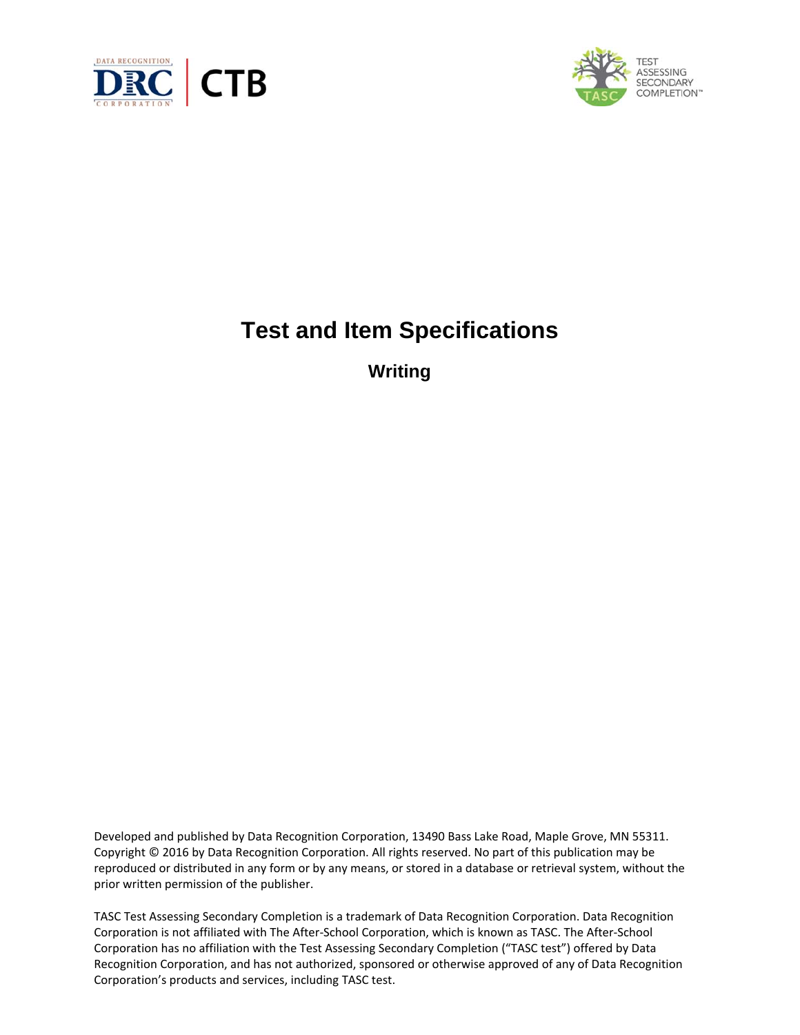



# **Test and Item Specifications**

**Writing** 

Developed and published by Data Recognition Corporation, 13490 Bass Lake Road, Maple Grove, MN 55311. Copyright © 2016 by Data Recognition Corporation. All rights reserved. No part of this publication may be reproduced or distributed in any form or by any means, or stored in a database or retrieval system, without the prior written permission of the publisher.

TASC Test Assessing Secondary Completion is a trademark of Data Recognition Corporation. Data Recognition Corporation is not affiliated with The After‐School Corporation, which is known as TASC. The After‐School Corporation has no affiliation with the Test Assessing Secondary Completion ("TASC test") offered by Data Recognition Corporation, and has not authorized, sponsored or otherwise approved of any of Data Recognition Corporation's products and services, including TASC test.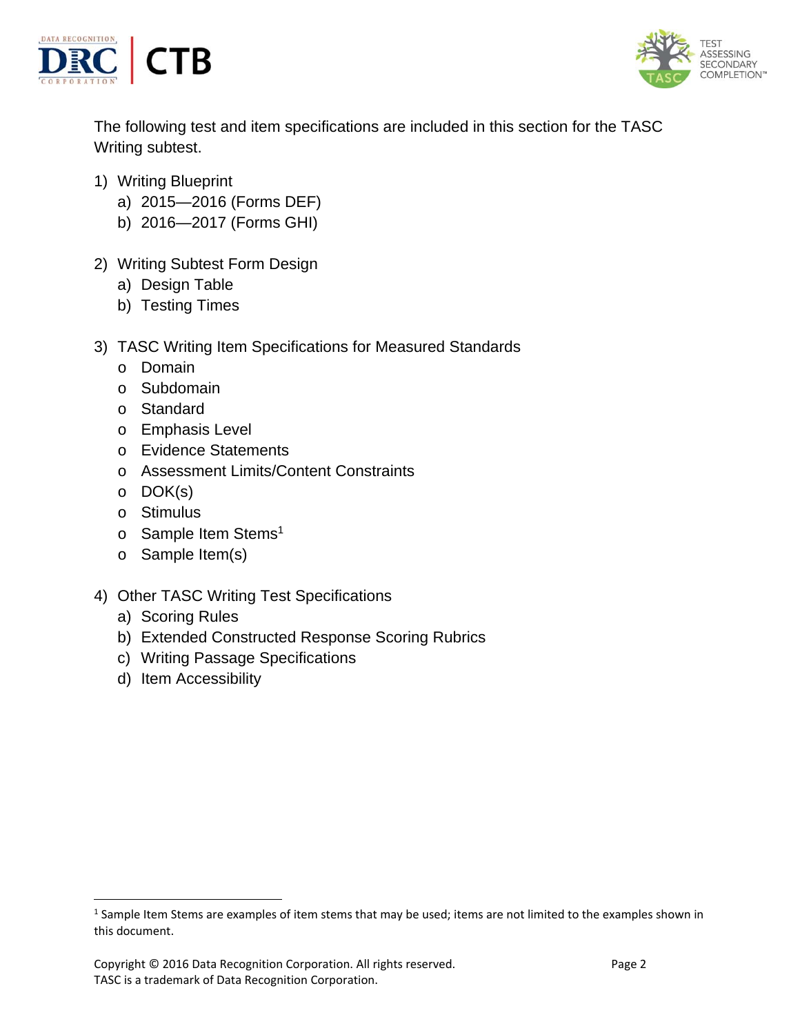



The following test and item specifications are included in this section for the TASC Writing subtest.

- 1) Writing Blueprint
	- a) 2015—2016 (Forms DEF)
	- b) 2016—2017 (Forms GHI)
- 2) Writing Subtest Form Design
	- a) Design Table
	- b) Testing Times
- 3) TASC Writing Item Specifications for Measured Standards
	- o Domain
	- o Subdomain
	- o Standard
	- o Emphasis Level
	- o Evidence Statements
	- o Assessment Limits/Content Constraints
	- o DOK(s)
	- o Stimulus
	- o Sample Item Stems<sup>1</sup>
	- o Sample Item(s)
- 4) Other TASC Writing Test Specifications
	- a) Scoring Rules
	- b) Extended Constructed Response Scoring Rubrics
	- c) Writing Passage Specifications
	- d) Item Accessibility

<sup>&</sup>lt;sup>1</sup> Sample Item Stems are examples of item stems that may be used; items are not limited to the examples shown in this document.

Copyright © 2016 Data Recognition Corporation. All rights reserved. 
Page 2 TASC is a trademark of Data Recognition Corporation.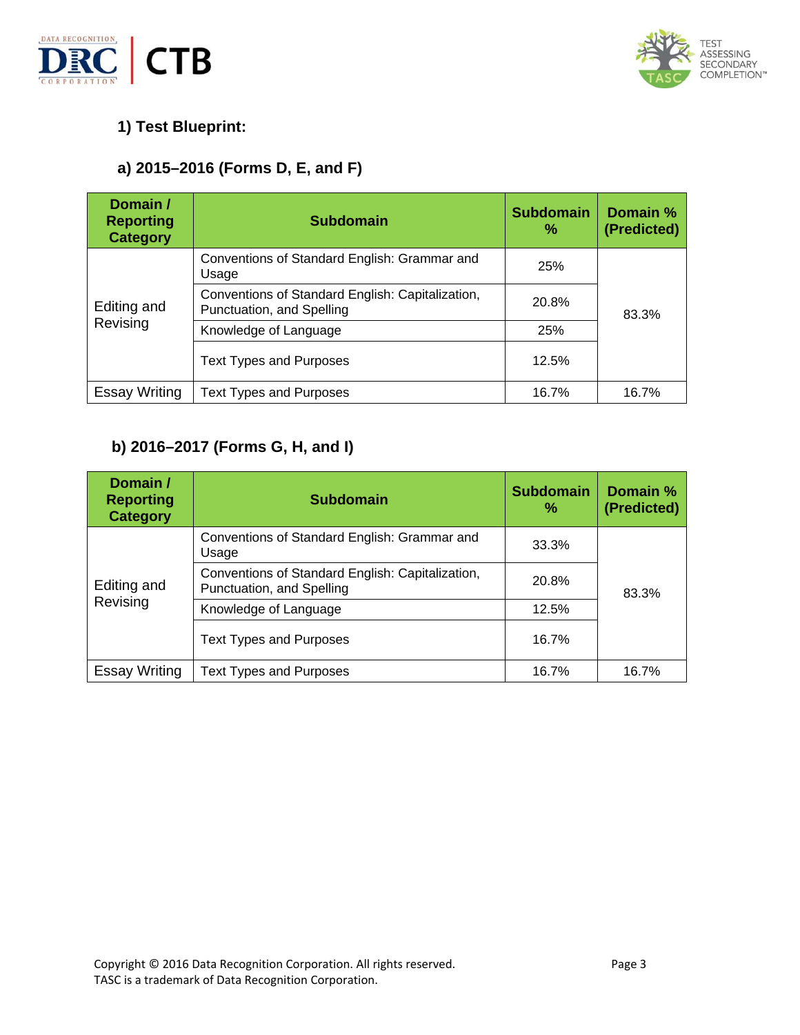



# **1) Test Blueprint:**

# **a) 2015–2016 (Forms D, E, and F)**

| Domain /<br><b>Reporting</b><br><b>Category</b> | <b>Subdomain</b>                                                              | <b>Subdomain</b><br>% | Domain %<br>(Predicted) |
|-------------------------------------------------|-------------------------------------------------------------------------------|-----------------------|-------------------------|
| Editing and<br>Revising                         | Conventions of Standard English: Grammar and<br>Usage                         | <b>25%</b>            |                         |
|                                                 | Conventions of Standard English: Capitalization,<br>Punctuation, and Spelling | 20.8%                 | 83.3%                   |
|                                                 | Knowledge of Language                                                         | 25%                   |                         |
|                                                 | <b>Text Types and Purposes</b>                                                | 12.5%                 |                         |
| <b>Essay Writing</b>                            | <b>Text Types and Purposes</b>                                                | 16.7%                 | 16.7%                   |

# **b) 2016–2017 (Forms G, H, and I)**

| Domain /<br><b>Reporting</b><br><b>Category</b> | <b>Subdomain</b>                                                              | <b>Subdomain</b><br>% | Domain %<br>(Predicted) |
|-------------------------------------------------|-------------------------------------------------------------------------------|-----------------------|-------------------------|
| Editing and<br>Revising                         | Conventions of Standard English: Grammar and<br>Usage                         | 33.3%                 |                         |
|                                                 | Conventions of Standard English: Capitalization,<br>Punctuation, and Spelling | 20.8%                 | 83.3%                   |
|                                                 | Knowledge of Language                                                         | 12.5%                 |                         |
|                                                 | <b>Text Types and Purposes</b>                                                | 16.7%                 |                         |
| <b>Essay Writing</b>                            | Text Types and Purposes                                                       | 16.7%                 | 16.7%                   |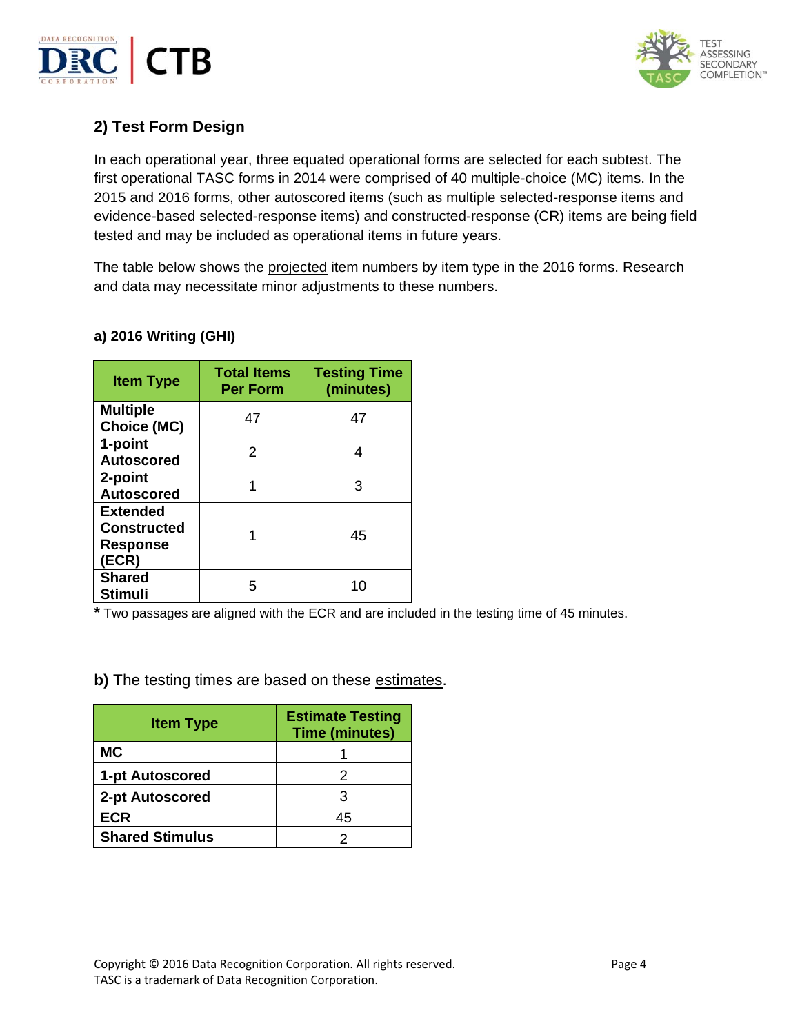



# **2) Test Form Design**

In each operational year, three equated operational forms are selected for each subtest. The first operational TASC forms in 2014 were comprised of 40 multiple-choice (MC) items. In the 2015 and 2016 forms, other autoscored items (such as multiple selected-response items and evidence-based selected-response items) and constructed-response (CR) items are being field tested and may be included as operational items in future years.

The table below shows the projected item numbers by item type in the 2016 forms. Research and data may necessitate minor adjustments to these numbers.

| <b>Item Type</b>                                                  | <b>Total Items</b><br><b>Per Form</b> | <b>Testing Time</b><br>(minutes) |
|-------------------------------------------------------------------|---------------------------------------|----------------------------------|
| <b>Multiple</b><br><b>Choice (MC)</b>                             | 47                                    | 47                               |
| 1-point<br><b>Autoscored</b>                                      | 2                                     | 4                                |
| 2-point<br><b>Autoscored</b>                                      |                                       | з                                |
| <b>Extended</b><br><b>Constructed</b><br><b>Response</b><br>(ECR) |                                       | 45                               |
| <b>Shared</b><br><b>Stimuli</b>                                   | 5                                     | 10                               |

### **a) 2016 Writing (GHI)**

**\*** Two passages are aligned with the ECR and are included in the testing time of 45 minutes.

**b)** The testing times are based on these estimates.

| <b>Item Type</b>       | <b>Estimate Testing</b><br><b>Time (minutes)</b> |
|------------------------|--------------------------------------------------|
| <b>MC</b>              |                                                  |
| 1-pt Autoscored        | 2                                                |
| 2-pt Autoscored        | З                                                |
| <b>ECR</b>             | 45                                               |
| <b>Shared Stimulus</b> |                                                  |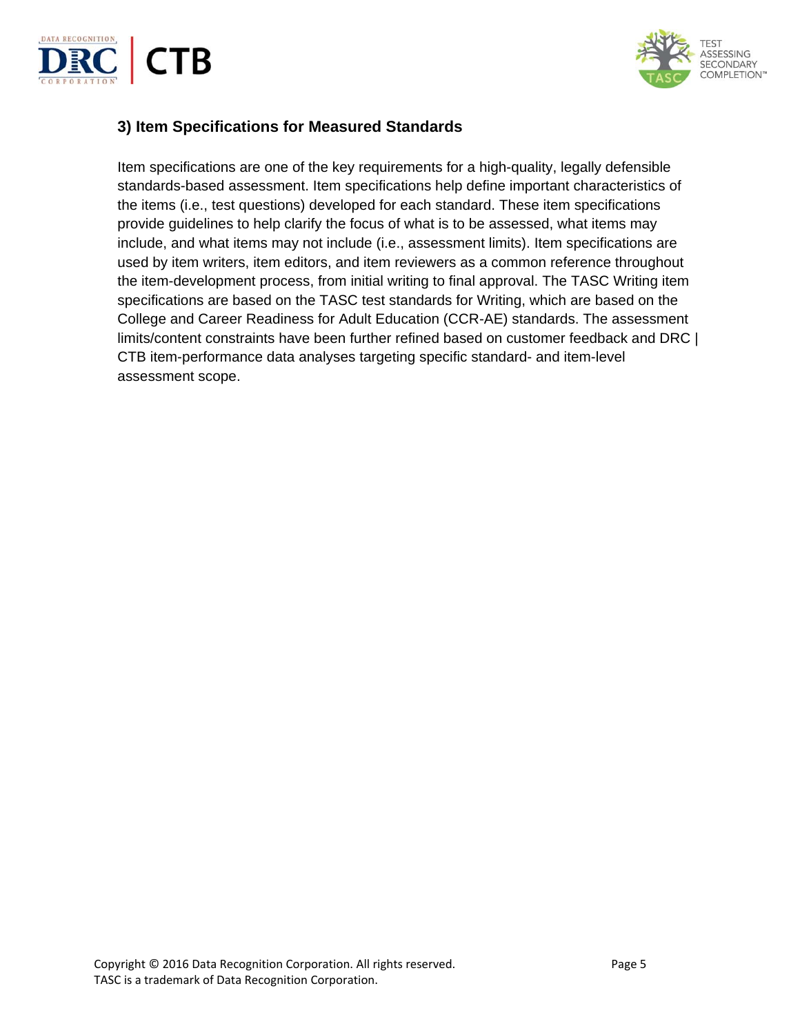



# **3) Item Specifications for Measured Standards**

Item specifications are one of the key requirements for a high-quality, legally defensible standards-based assessment. Item specifications help define important characteristics of the items (i.e., test questions) developed for each standard. These item specifications provide guidelines to help clarify the focus of what is to be assessed, what items may include, and what items may not include (i.e., assessment limits). Item specifications are used by item writers, item editors, and item reviewers as a common reference throughout the item-development process, from initial writing to final approval. The TASC Writing item specifications are based on the TASC test standards for Writing, which are based on the College and Career Readiness for Adult Education (CCR-AE) standards. The assessment limits/content constraints have been further refined based on customer feedback and DRC | CTB item-performance data analyses targeting specific standard- and item-level assessment scope.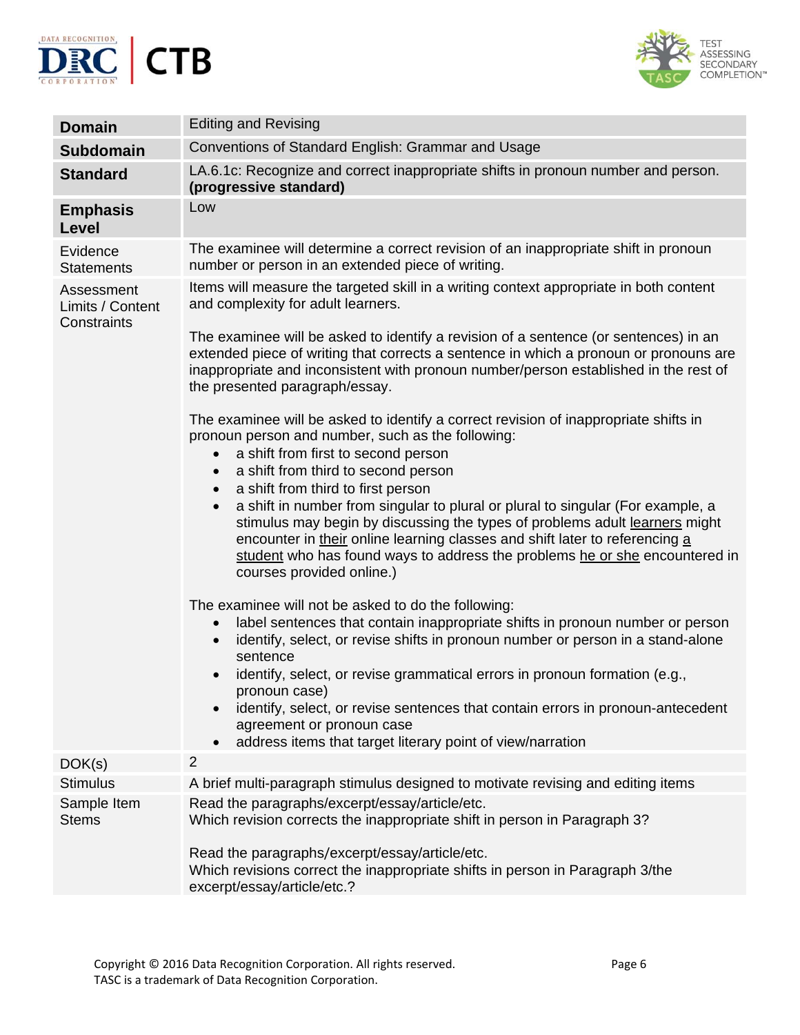



| <b>Domain</b>                                 | <b>Editing and Revising</b>                                                                                                                                                                                                                                                                                                                                                                                               |
|-----------------------------------------------|---------------------------------------------------------------------------------------------------------------------------------------------------------------------------------------------------------------------------------------------------------------------------------------------------------------------------------------------------------------------------------------------------------------------------|
| <b>Subdomain</b>                              | Conventions of Standard English: Grammar and Usage                                                                                                                                                                                                                                                                                                                                                                        |
| <b>Standard</b>                               | LA.6.1c: Recognize and correct inappropriate shifts in pronoun number and person.<br>(progressive standard)                                                                                                                                                                                                                                                                                                               |
| <b>Emphasis</b><br>Level                      | Low                                                                                                                                                                                                                                                                                                                                                                                                                       |
| Evidence<br><b>Statements</b>                 | The examinee will determine a correct revision of an inappropriate shift in pronoun<br>number or person in an extended piece of writing.                                                                                                                                                                                                                                                                                  |
| Assessment<br>Limits / Content<br>Constraints | Items will measure the targeted skill in a writing context appropriate in both content<br>and complexity for adult learners.<br>The examinee will be asked to identify a revision of a sentence (or sentences) in an                                                                                                                                                                                                      |
|                                               | extended piece of writing that corrects a sentence in which a pronoun or pronouns are<br>inappropriate and inconsistent with pronoun number/person established in the rest of<br>the presented paragraph/essay.                                                                                                                                                                                                           |
|                                               | The examinee will be asked to identify a correct revision of inappropriate shifts in<br>pronoun person and number, such as the following:<br>a shift from first to second person<br>$\bullet$                                                                                                                                                                                                                             |
|                                               | a shift from third to second person<br>$\bullet$                                                                                                                                                                                                                                                                                                                                                                          |
|                                               | a shift from third to first person<br>$\bullet$<br>a shift in number from singular to plural or plural to singular (For example, a<br>$\bullet$<br>stimulus may begin by discussing the types of problems adult learners might<br>encounter in their online learning classes and shift later to referencing a<br>student who has found ways to address the problems he or she encountered in<br>courses provided online.) |
|                                               | The examinee will not be asked to do the following:<br>label sentences that contain inappropriate shifts in pronoun number or person<br>$\bullet$<br>identify, select, or revise shifts in pronoun number or person in a stand-alone<br>$\bullet$<br>sentence<br>identify, select, or revise grammatical errors in pronoun formation (e.g.,<br>$\bullet$<br>pronoun case)                                                 |
|                                               | identify, select, or revise sentences that contain errors in pronoun-antecedent<br>$\bullet$<br>agreement or pronoun case<br>address items that target literary point of view/narration                                                                                                                                                                                                                                   |
| DOK(s)                                        | $\overline{2}$                                                                                                                                                                                                                                                                                                                                                                                                            |
| <b>Stimulus</b>                               | A brief multi-paragraph stimulus designed to motivate revising and editing items                                                                                                                                                                                                                                                                                                                                          |
| Sample Item<br><b>Stems</b>                   | Read the paragraphs/excerpt/essay/article/etc.<br>Which revision corrects the inappropriate shift in person in Paragraph 3?                                                                                                                                                                                                                                                                                               |
|                                               | Read the paragraphs/excerpt/essay/article/etc.<br>Which revisions correct the inappropriate shifts in person in Paragraph 3/the<br>excerpt/essay/article/etc.?                                                                                                                                                                                                                                                            |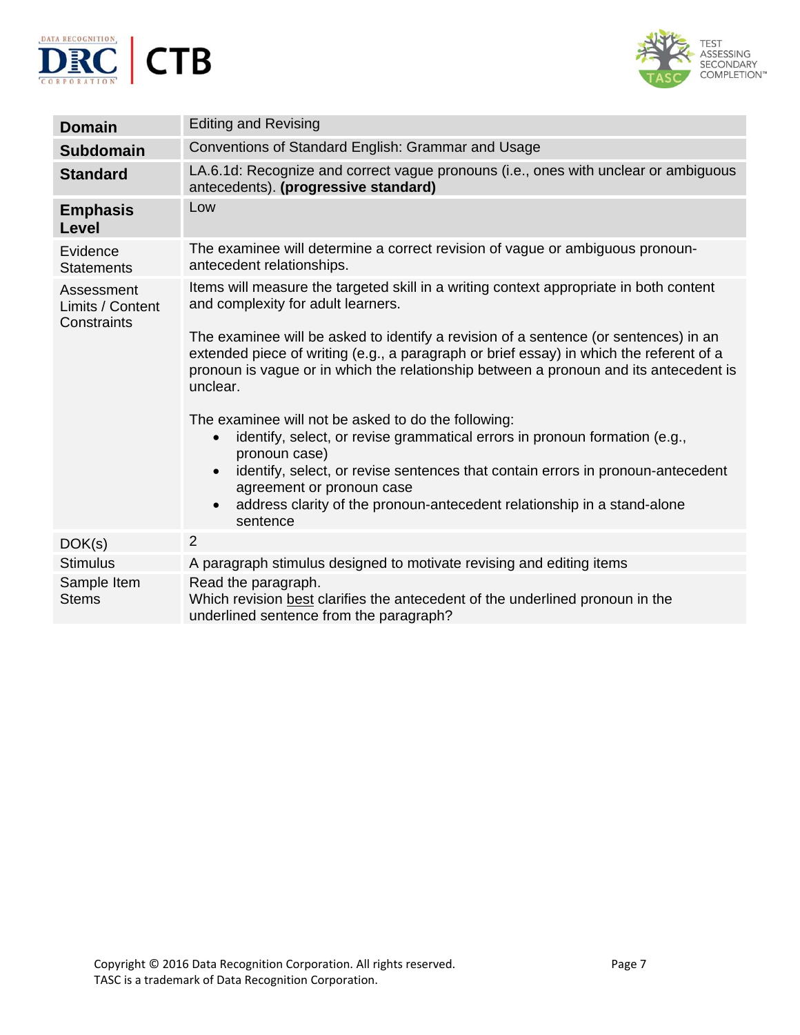



| <b>Domain</b>                                 | <b>Editing and Revising</b>                                                                                                                                                                                                                                                                                                                                                                      |
|-----------------------------------------------|--------------------------------------------------------------------------------------------------------------------------------------------------------------------------------------------------------------------------------------------------------------------------------------------------------------------------------------------------------------------------------------------------|
| <b>Subdomain</b>                              | Conventions of Standard English: Grammar and Usage                                                                                                                                                                                                                                                                                                                                               |
| <b>Standard</b>                               | LA.6.1d: Recognize and correct vague pronouns (i.e., ones with unclear or ambiguous<br>antecedents). (progressive standard)                                                                                                                                                                                                                                                                      |
| <b>Emphasis</b><br>Level                      | Low                                                                                                                                                                                                                                                                                                                                                                                              |
| Evidence<br><b>Statements</b>                 | The examinee will determine a correct revision of vague or ambiguous pronoun-<br>antecedent relationships.                                                                                                                                                                                                                                                                                       |
| Assessment<br>Limits / Content<br>Constraints | Items will measure the targeted skill in a writing context appropriate in both content<br>and complexity for adult learners.                                                                                                                                                                                                                                                                     |
|                                               | The examinee will be asked to identify a revision of a sentence (or sentences) in an<br>extended piece of writing (e.g., a paragraph or brief essay) in which the referent of a<br>pronoun is vague or in which the relationship between a pronoun and its antecedent is<br>unclear.                                                                                                             |
|                                               | The examinee will not be asked to do the following:<br>identify, select, or revise grammatical errors in pronoun formation (e.g.,<br>$\bullet$<br>pronoun case)<br>identify, select, or revise sentences that contain errors in pronoun-antecedent<br>$\bullet$<br>agreement or pronoun case<br>address clarity of the pronoun-antecedent relationship in a stand-alone<br>$\bullet$<br>sentence |
| DOK(s)                                        | 2                                                                                                                                                                                                                                                                                                                                                                                                |
| <b>Stimulus</b>                               | A paragraph stimulus designed to motivate revising and editing items                                                                                                                                                                                                                                                                                                                             |
| Sample Item<br><b>Stems</b>                   | Read the paragraph.<br>Which revision best clarifies the antecedent of the underlined pronoun in the<br>underlined sentence from the paragraph?                                                                                                                                                                                                                                                  |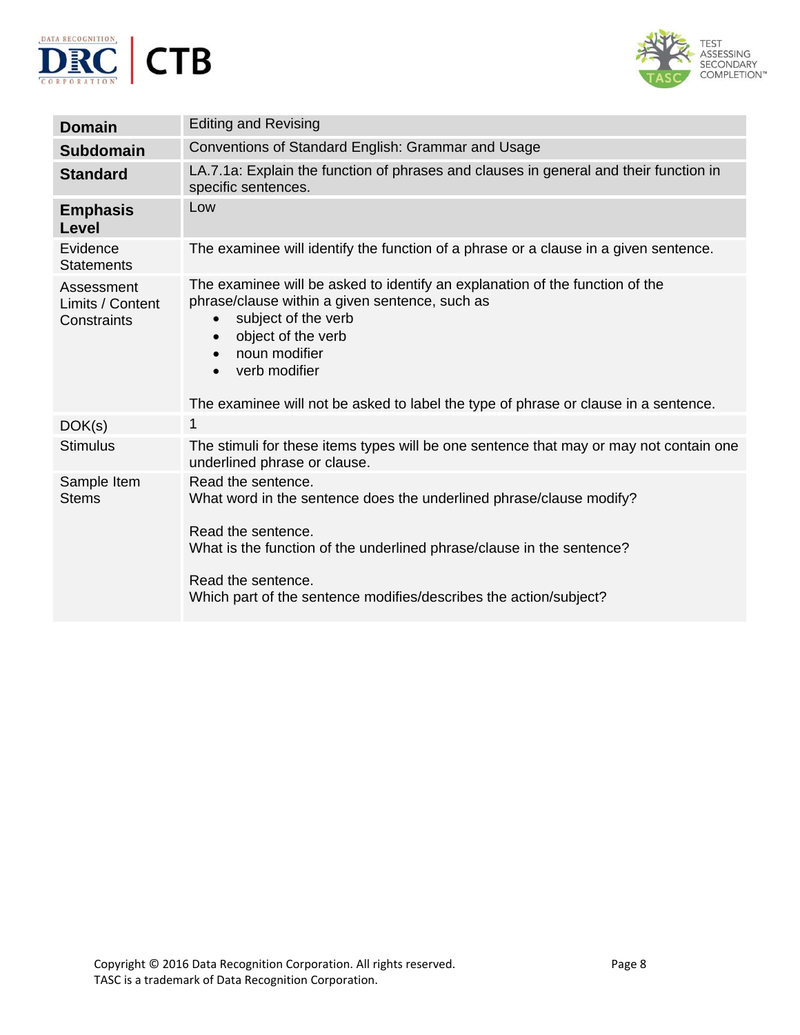



| <b>Domain</b>                                 | <b>Editing and Revising</b>                                                                                                                                                                                                                                                                                                                              |
|-----------------------------------------------|----------------------------------------------------------------------------------------------------------------------------------------------------------------------------------------------------------------------------------------------------------------------------------------------------------------------------------------------------------|
|                                               | Conventions of Standard English: Grammar and Usage                                                                                                                                                                                                                                                                                                       |
| <b>Subdomain</b>                              |                                                                                                                                                                                                                                                                                                                                                          |
| <b>Standard</b>                               | LA.7.1a: Explain the function of phrases and clauses in general and their function in<br>specific sentences.                                                                                                                                                                                                                                             |
| <b>Emphasis</b><br><b>Level</b>               | Low                                                                                                                                                                                                                                                                                                                                                      |
| Evidence<br><b>Statements</b>                 | The examinee will identify the function of a phrase or a clause in a given sentence.                                                                                                                                                                                                                                                                     |
| Assessment<br>Limits / Content<br>Constraints | The examinee will be asked to identify an explanation of the function of the<br>phrase/clause within a given sentence, such as<br>subject of the verb<br>$\bullet$<br>object of the verb<br>$\bullet$<br>noun modifier<br>$\bullet$<br>verb modifier<br>$\bullet$<br>The examinee will not be asked to label the type of phrase or clause in a sentence. |
| DOK(s)                                        | 1                                                                                                                                                                                                                                                                                                                                                        |
| <b>Stimulus</b>                               | The stimuli for these items types will be one sentence that may or may not contain one<br>underlined phrase or clause.                                                                                                                                                                                                                                   |
| Sample Item<br><b>Stems</b>                   | Read the sentence.<br>What word in the sentence does the underlined phrase/clause modify?<br>Read the sentence.<br>What is the function of the underlined phrase/clause in the sentence?<br>Read the sentence.<br>Which part of the sentence modifies/describes the action/subject?                                                                      |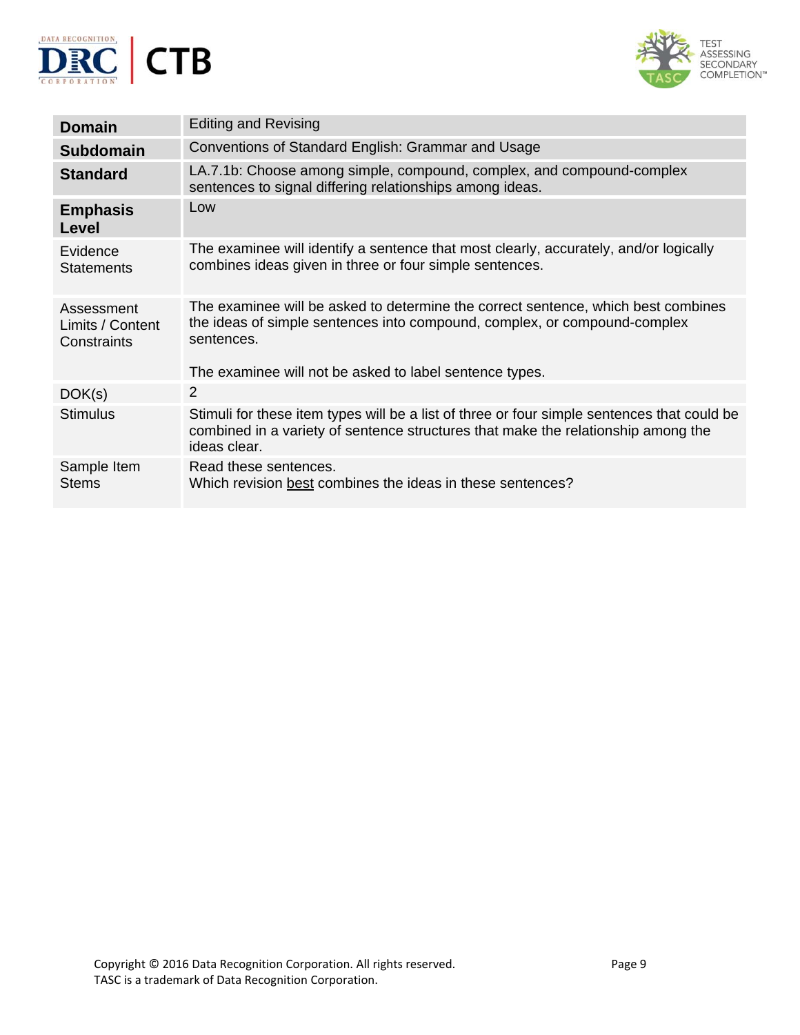



| <b>Domain</b>                                 | <b>Editing and Revising</b>                                                                                                                                                                      |
|-----------------------------------------------|--------------------------------------------------------------------------------------------------------------------------------------------------------------------------------------------------|
| <b>Subdomain</b>                              | Conventions of Standard English: Grammar and Usage                                                                                                                                               |
| <b>Standard</b>                               | LA.7.1b: Choose among simple, compound, complex, and compound-complex<br>sentences to signal differing relationships among ideas.                                                                |
| <b>Emphasis</b><br>Level                      | Low                                                                                                                                                                                              |
| Evidence<br><b>Statements</b>                 | The examinee will identify a sentence that most clearly, accurately, and/or logically<br>combines ideas given in three or four simple sentences.                                                 |
| Assessment<br>Limits / Content<br>Constraints | The examinee will be asked to determine the correct sentence, which best combines<br>the ideas of simple sentences into compound, complex, or compound-complex<br>sentences.                     |
|                                               | The examinee will not be asked to label sentence types.                                                                                                                                          |
| DOK(s)                                        | 2                                                                                                                                                                                                |
| <b>Stimulus</b>                               | Stimuli for these item types will be a list of three or four simple sentences that could be<br>combined in a variety of sentence structures that make the relationship among the<br>ideas clear. |
| Sample Item<br><b>Stems</b>                   | Read these sentences.<br>Which revision best combines the ideas in these sentences?                                                                                                              |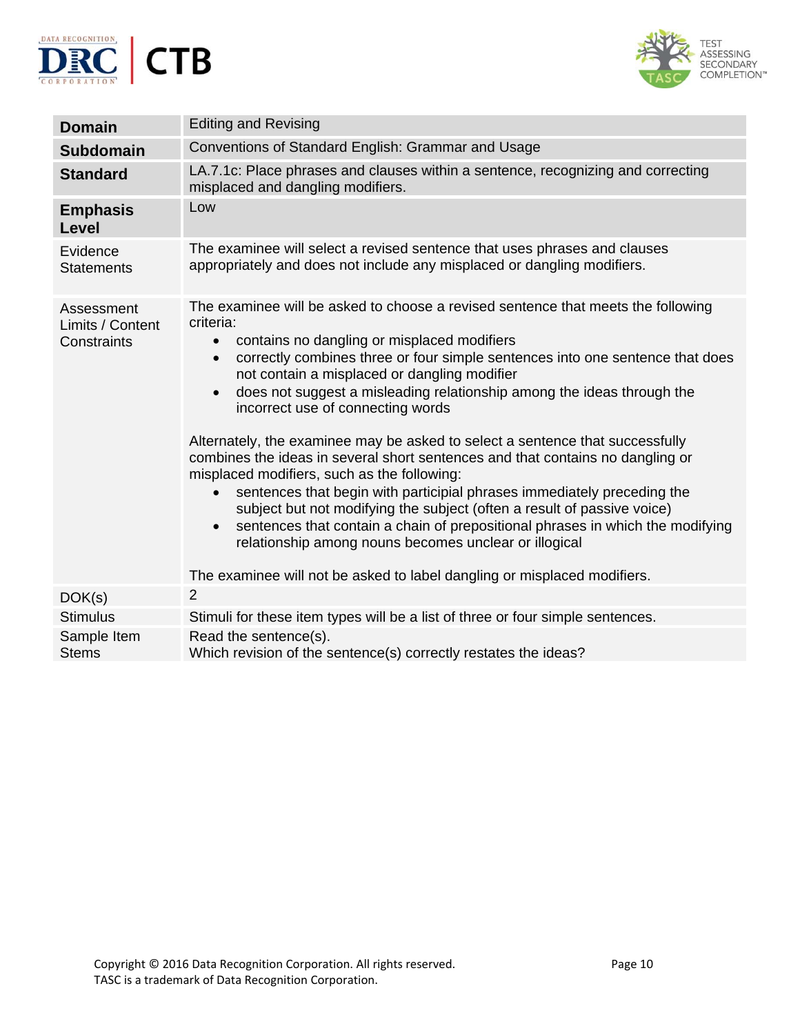



| <b>Domain</b>                                 | <b>Editing and Revising</b>                                                                                                                                                                                                                                                                                                                                                                                                                                                                                                                                                                                                                                                                                                                                                                                                                                                                                                                                                                                                                                  |
|-----------------------------------------------|--------------------------------------------------------------------------------------------------------------------------------------------------------------------------------------------------------------------------------------------------------------------------------------------------------------------------------------------------------------------------------------------------------------------------------------------------------------------------------------------------------------------------------------------------------------------------------------------------------------------------------------------------------------------------------------------------------------------------------------------------------------------------------------------------------------------------------------------------------------------------------------------------------------------------------------------------------------------------------------------------------------------------------------------------------------|
| <b>Subdomain</b>                              | Conventions of Standard English: Grammar and Usage                                                                                                                                                                                                                                                                                                                                                                                                                                                                                                                                                                                                                                                                                                                                                                                                                                                                                                                                                                                                           |
| <b>Standard</b>                               | LA.7.1c: Place phrases and clauses within a sentence, recognizing and correcting<br>misplaced and dangling modifiers.                                                                                                                                                                                                                                                                                                                                                                                                                                                                                                                                                                                                                                                                                                                                                                                                                                                                                                                                        |
| <b>Emphasis</b><br>Level                      | Low                                                                                                                                                                                                                                                                                                                                                                                                                                                                                                                                                                                                                                                                                                                                                                                                                                                                                                                                                                                                                                                          |
| Evidence<br><b>Statements</b>                 | The examinee will select a revised sentence that uses phrases and clauses<br>appropriately and does not include any misplaced or dangling modifiers.                                                                                                                                                                                                                                                                                                                                                                                                                                                                                                                                                                                                                                                                                                                                                                                                                                                                                                         |
| Assessment<br>Limits / Content<br>Constraints | The examinee will be asked to choose a revised sentence that meets the following<br>criteria:<br>contains no dangling or misplaced modifiers<br>$\bullet$<br>correctly combines three or four simple sentences into one sentence that does<br>$\bullet$<br>not contain a misplaced or dangling modifier<br>does not suggest a misleading relationship among the ideas through the<br>$\bullet$<br>incorrect use of connecting words<br>Alternately, the examinee may be asked to select a sentence that successfully<br>combines the ideas in several short sentences and that contains no dangling or<br>misplaced modifiers, such as the following:<br>sentences that begin with participial phrases immediately preceding the<br>$\bullet$<br>subject but not modifying the subject (often a result of passive voice)<br>sentences that contain a chain of prepositional phrases in which the modifying<br>$\bullet$<br>relationship among nouns becomes unclear or illogical<br>The examinee will not be asked to label dangling or misplaced modifiers. |
| DOK(s)                                        | 2                                                                                                                                                                                                                                                                                                                                                                                                                                                                                                                                                                                                                                                                                                                                                                                                                                                                                                                                                                                                                                                            |
| <b>Stimulus</b>                               | Stimuli for these item types will be a list of three or four simple sentences.                                                                                                                                                                                                                                                                                                                                                                                                                                                                                                                                                                                                                                                                                                                                                                                                                                                                                                                                                                               |
| Sample Item<br><b>Stems</b>                   | Read the sentence(s).<br>Which revision of the sentence(s) correctly restates the ideas?                                                                                                                                                                                                                                                                                                                                                                                                                                                                                                                                                                                                                                                                                                                                                                                                                                                                                                                                                                     |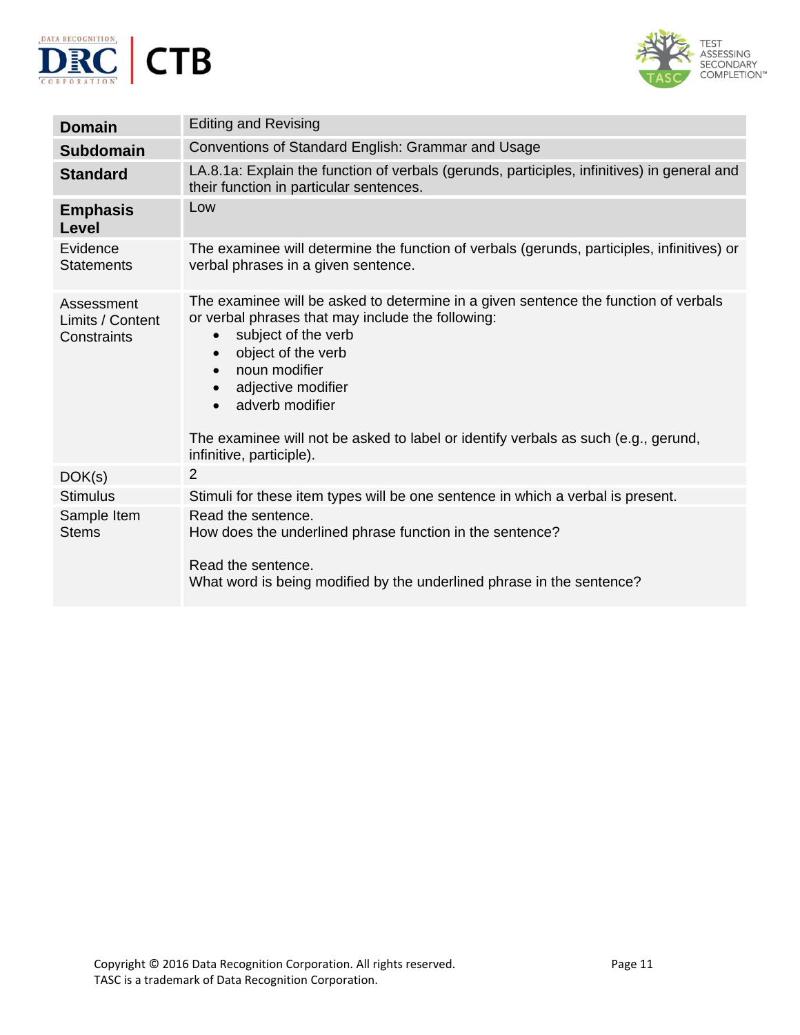



| Conventions of Standard English: Grammar and Usage                                                                                                                                                                                                                                                                                                                                                                                 |
|------------------------------------------------------------------------------------------------------------------------------------------------------------------------------------------------------------------------------------------------------------------------------------------------------------------------------------------------------------------------------------------------------------------------------------|
| LA.8.1a: Explain the function of verbals (gerunds, participles, infinitives) in general and<br>their function in particular sentences.                                                                                                                                                                                                                                                                                             |
| Low                                                                                                                                                                                                                                                                                                                                                                                                                                |
| The examinee will determine the function of verbals (gerunds, participles, infinitives) or<br>verbal phrases in a given sentence.                                                                                                                                                                                                                                                                                                  |
| The examinee will be asked to determine in a given sentence the function of verbals<br>or verbal phrases that may include the following:<br>subject of the verb<br>$\bullet$<br>object of the verb<br>$\bullet$<br>noun modifier<br>$\bullet$<br>adjective modifier<br>$\bullet$<br>adverb modifier<br>$\bullet$<br>The examinee will not be asked to label or identify verbals as such (e.g., gerund,<br>infinitive, participle). |
| 2                                                                                                                                                                                                                                                                                                                                                                                                                                  |
| Stimuli for these item types will be one sentence in which a verbal is present.                                                                                                                                                                                                                                                                                                                                                    |
| Read the sentence.<br>How does the underlined phrase function in the sentence?<br>Read the sentence.<br>What word is being modified by the underlined phrase in the sentence?                                                                                                                                                                                                                                                      |
|                                                                                                                                                                                                                                                                                                                                                                                                                                    |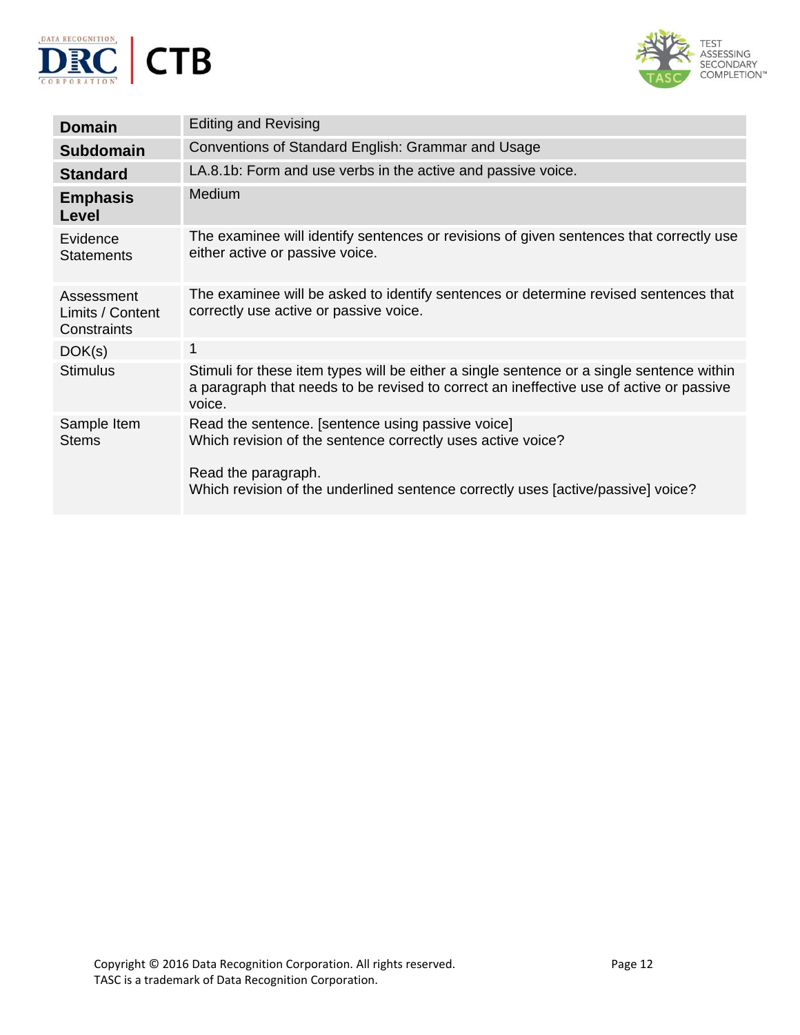



| <b>Domain</b>                                 | <b>Editing and Revising</b>                                                                                                                                                                                                 |
|-----------------------------------------------|-----------------------------------------------------------------------------------------------------------------------------------------------------------------------------------------------------------------------------|
| <b>Subdomain</b>                              | Conventions of Standard English: Grammar and Usage                                                                                                                                                                          |
| <b>Standard</b>                               | LA.8.1b: Form and use verbs in the active and passive voice.                                                                                                                                                                |
| <b>Emphasis</b><br><b>Level</b>               | <b>Medium</b>                                                                                                                                                                                                               |
| Evidence<br><b>Statements</b>                 | The examinee will identify sentences or revisions of given sentences that correctly use<br>either active or passive voice.                                                                                                  |
| Assessment<br>Limits / Content<br>Constraints | The examinee will be asked to identify sentences or determine revised sentences that<br>correctly use active or passive voice.                                                                                              |
| DOK(s)                                        | 1                                                                                                                                                                                                                           |
| <b>Stimulus</b>                               | Stimuli for these item types will be either a single sentence or a single sentence within<br>a paragraph that needs to be revised to correct an ineffective use of active or passive<br>voice.                              |
| Sample Item<br><b>Stems</b>                   | Read the sentence. [sentence using passive voice]<br>Which revision of the sentence correctly uses active voice?<br>Read the paragraph.<br>Which revision of the underlined sentence correctly uses [active/passive] voice? |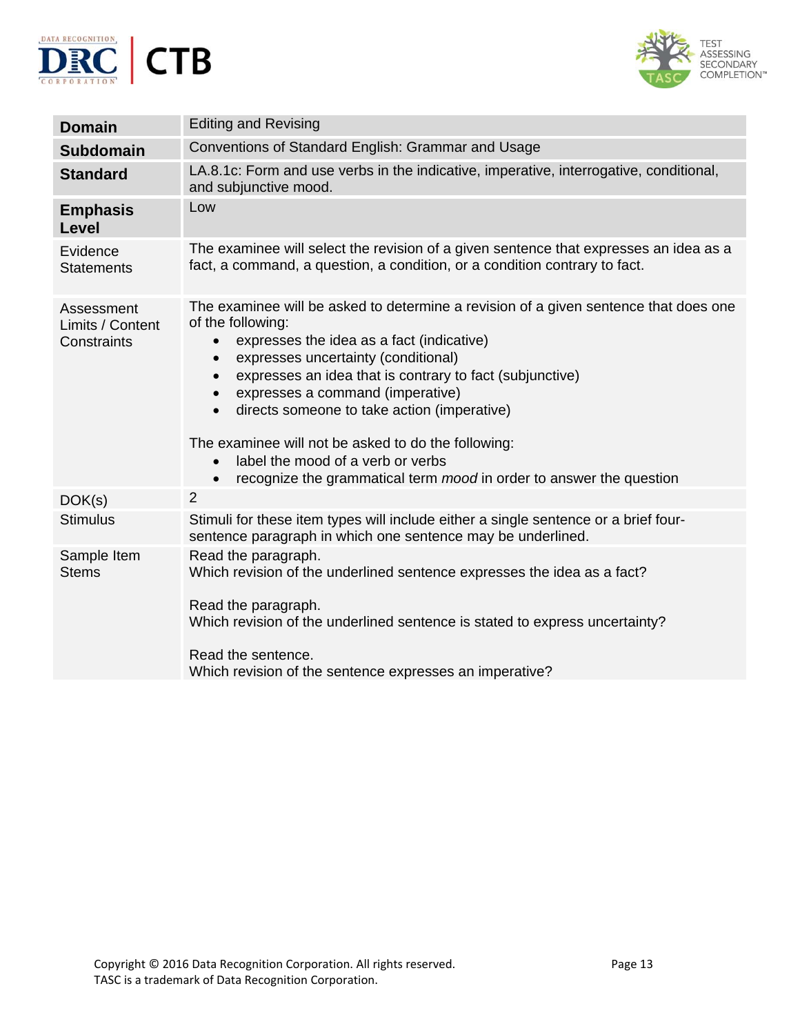



| <b>Domain</b>                                 | <b>Editing and Revising</b>                                                                                                                                                                                                                                                                                                                                                                                                                                                                                                                                                                                |
|-----------------------------------------------|------------------------------------------------------------------------------------------------------------------------------------------------------------------------------------------------------------------------------------------------------------------------------------------------------------------------------------------------------------------------------------------------------------------------------------------------------------------------------------------------------------------------------------------------------------------------------------------------------------|
| <b>Subdomain</b>                              | Conventions of Standard English: Grammar and Usage                                                                                                                                                                                                                                                                                                                                                                                                                                                                                                                                                         |
| <b>Standard</b>                               | LA.8.1c: Form and use verbs in the indicative, imperative, interrogative, conditional,<br>and subjunctive mood.                                                                                                                                                                                                                                                                                                                                                                                                                                                                                            |
| <b>Emphasis</b><br>Level                      | Low                                                                                                                                                                                                                                                                                                                                                                                                                                                                                                                                                                                                        |
| Evidence<br><b>Statements</b>                 | The examinee will select the revision of a given sentence that expresses an idea as a<br>fact, a command, a question, a condition, or a condition contrary to fact.                                                                                                                                                                                                                                                                                                                                                                                                                                        |
| Assessment<br>Limits / Content<br>Constraints | The examinee will be asked to determine a revision of a given sentence that does one<br>of the following:<br>expresses the idea as a fact (indicative)<br>$\bullet$<br>expresses uncertainty (conditional)<br>$\bullet$<br>expresses an idea that is contrary to fact (subjunctive)<br>$\bullet$<br>expresses a command (imperative)<br>$\bullet$<br>directs someone to take action (imperative)<br>$\bullet$<br>The examinee will not be asked to do the following:<br>label the mood of a verb or verbs<br>$\bullet$<br>recognize the grammatical term mood in order to answer the question<br>$\bullet$ |
| DOK(s)                                        | $\overline{2}$                                                                                                                                                                                                                                                                                                                                                                                                                                                                                                                                                                                             |
| <b>Stimulus</b>                               | Stimuli for these item types will include either a single sentence or a brief four-<br>sentence paragraph in which one sentence may be underlined.                                                                                                                                                                                                                                                                                                                                                                                                                                                         |
| Sample Item<br><b>Stems</b>                   | Read the paragraph.<br>Which revision of the underlined sentence expresses the idea as a fact?<br>Read the paragraph.<br>Which revision of the underlined sentence is stated to express uncertainty?<br>Read the sentence.<br>Which revision of the sentence expresses an imperative?                                                                                                                                                                                                                                                                                                                      |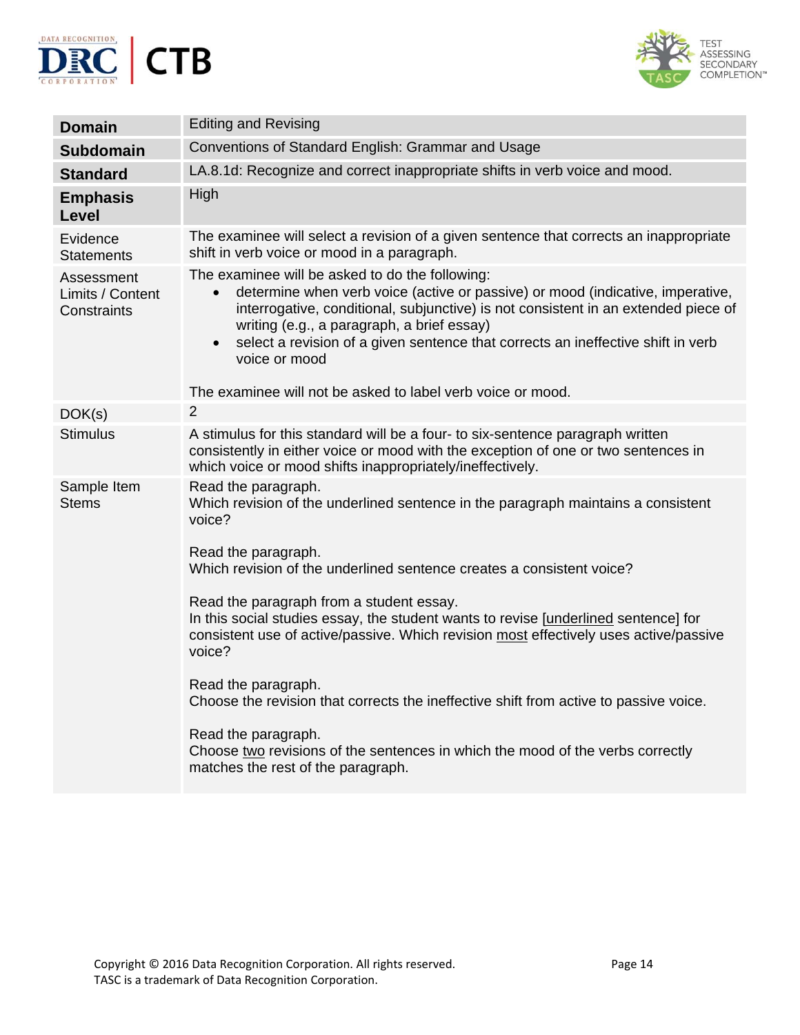



|                                               | <b>Editing and Revising</b>                                                                                                                                                                                                                                                                                                                                                                                                                                         |
|-----------------------------------------------|---------------------------------------------------------------------------------------------------------------------------------------------------------------------------------------------------------------------------------------------------------------------------------------------------------------------------------------------------------------------------------------------------------------------------------------------------------------------|
| <b>Domain</b>                                 |                                                                                                                                                                                                                                                                                                                                                                                                                                                                     |
| <b>Subdomain</b>                              | Conventions of Standard English: Grammar and Usage                                                                                                                                                                                                                                                                                                                                                                                                                  |
| <b>Standard</b>                               | LA.8.1d: Recognize and correct inappropriate shifts in verb voice and mood.                                                                                                                                                                                                                                                                                                                                                                                         |
| <b>Emphasis</b><br><b>Level</b>               | High                                                                                                                                                                                                                                                                                                                                                                                                                                                                |
| Evidence<br><b>Statements</b>                 | The examinee will select a revision of a given sentence that corrects an inappropriate<br>shift in verb voice or mood in a paragraph.                                                                                                                                                                                                                                                                                                                               |
| Assessment<br>Limits / Content<br>Constraints | The examinee will be asked to do the following:<br>determine when verb voice (active or passive) or mood (indicative, imperative,<br>$\bullet$<br>interrogative, conditional, subjunctive) is not consistent in an extended piece of<br>writing (e.g., a paragraph, a brief essay)<br>select a revision of a given sentence that corrects an ineffective shift in verb<br>$\bullet$<br>voice or mood<br>The examinee will not be asked to label verb voice or mood. |
| DOK(s)                                        | $\overline{2}$                                                                                                                                                                                                                                                                                                                                                                                                                                                      |
| <b>Stimulus</b>                               | A stimulus for this standard will be a four- to six-sentence paragraph written<br>consistently in either voice or mood with the exception of one or two sentences in<br>which voice or mood shifts inappropriately/ineffectively.                                                                                                                                                                                                                                   |
| Sample Item<br><b>Stems</b>                   | Read the paragraph.<br>Which revision of the underlined sentence in the paragraph maintains a consistent<br>voice?                                                                                                                                                                                                                                                                                                                                                  |
|                                               | Read the paragraph.<br>Which revision of the underlined sentence creates a consistent voice?                                                                                                                                                                                                                                                                                                                                                                        |
|                                               | Read the paragraph from a student essay.<br>In this social studies essay, the student wants to revise [underlined sentence] for<br>consistent use of active/passive. Which revision most effectively uses active/passive<br>voice?                                                                                                                                                                                                                                  |
|                                               | Read the paragraph.<br>Choose the revision that corrects the ineffective shift from active to passive voice.                                                                                                                                                                                                                                                                                                                                                        |
|                                               | Read the paragraph.<br>Choose two revisions of the sentences in which the mood of the verbs correctly<br>matches the rest of the paragraph.                                                                                                                                                                                                                                                                                                                         |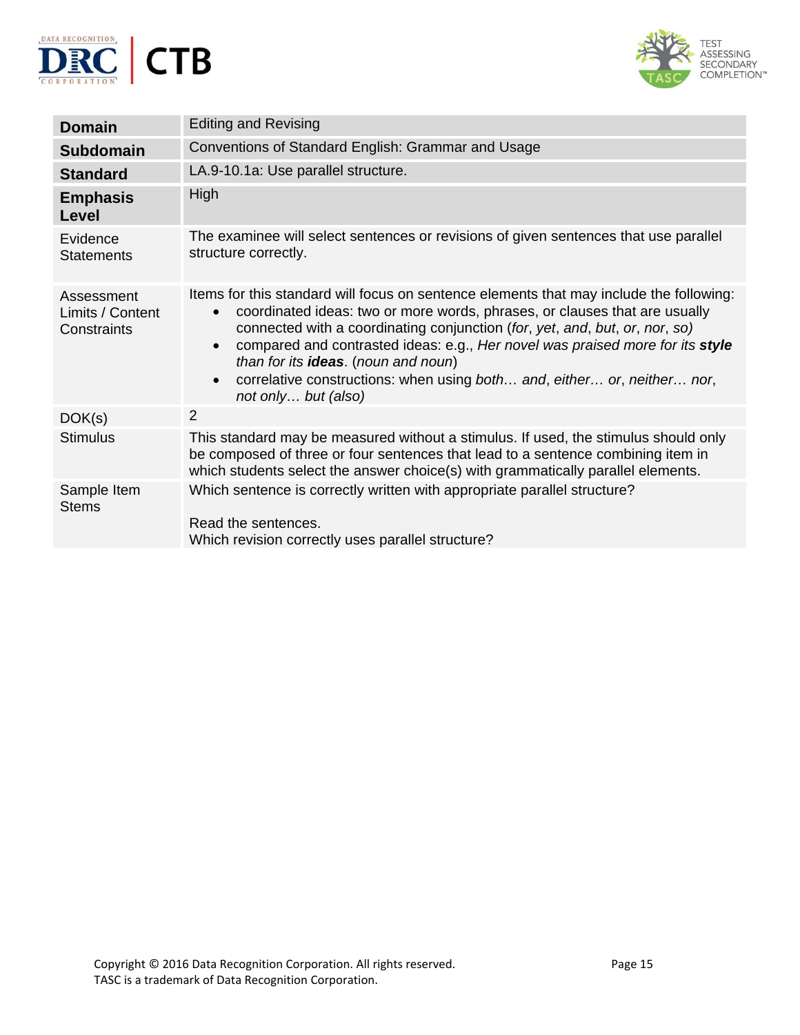



| <b>Domain</b>                                 | <b>Editing and Revising</b>                                                                                                                                                                                                                                                                                                                                                                                                                                                                                           |
|-----------------------------------------------|-----------------------------------------------------------------------------------------------------------------------------------------------------------------------------------------------------------------------------------------------------------------------------------------------------------------------------------------------------------------------------------------------------------------------------------------------------------------------------------------------------------------------|
| <b>Subdomain</b>                              | Conventions of Standard English: Grammar and Usage                                                                                                                                                                                                                                                                                                                                                                                                                                                                    |
| <b>Standard</b>                               | LA.9-10.1a: Use parallel structure.                                                                                                                                                                                                                                                                                                                                                                                                                                                                                   |
| <b>Emphasis</b><br><b>Level</b>               | High                                                                                                                                                                                                                                                                                                                                                                                                                                                                                                                  |
| Evidence<br><b>Statements</b>                 | The examinee will select sentences or revisions of given sentences that use parallel<br>structure correctly.                                                                                                                                                                                                                                                                                                                                                                                                          |
| Assessment<br>Limits / Content<br>Constraints | Items for this standard will focus on sentence elements that may include the following:<br>coordinated ideas: two or more words, phrases, or clauses that are usually<br>$\bullet$<br>connected with a coordinating conjunction (for, yet, and, but, or, nor, so)<br>compared and contrasted ideas: e.g., Her novel was praised more for its style<br>$\bullet$<br>than for its ideas. (noun and noun)<br>correlative constructions: when using both and, either or, neither nor,<br>$\bullet$<br>not only but (also) |
| DOK(s)                                        | 2                                                                                                                                                                                                                                                                                                                                                                                                                                                                                                                     |
| <b>Stimulus</b>                               | This standard may be measured without a stimulus. If used, the stimulus should only<br>be composed of three or four sentences that lead to a sentence combining item in<br>which students select the answer choice(s) with grammatically parallel elements.                                                                                                                                                                                                                                                           |
| Sample Item<br><b>Stems</b>                   | Which sentence is correctly written with appropriate parallel structure?<br>Read the sentences.<br>Which revision correctly uses parallel structure?                                                                                                                                                                                                                                                                                                                                                                  |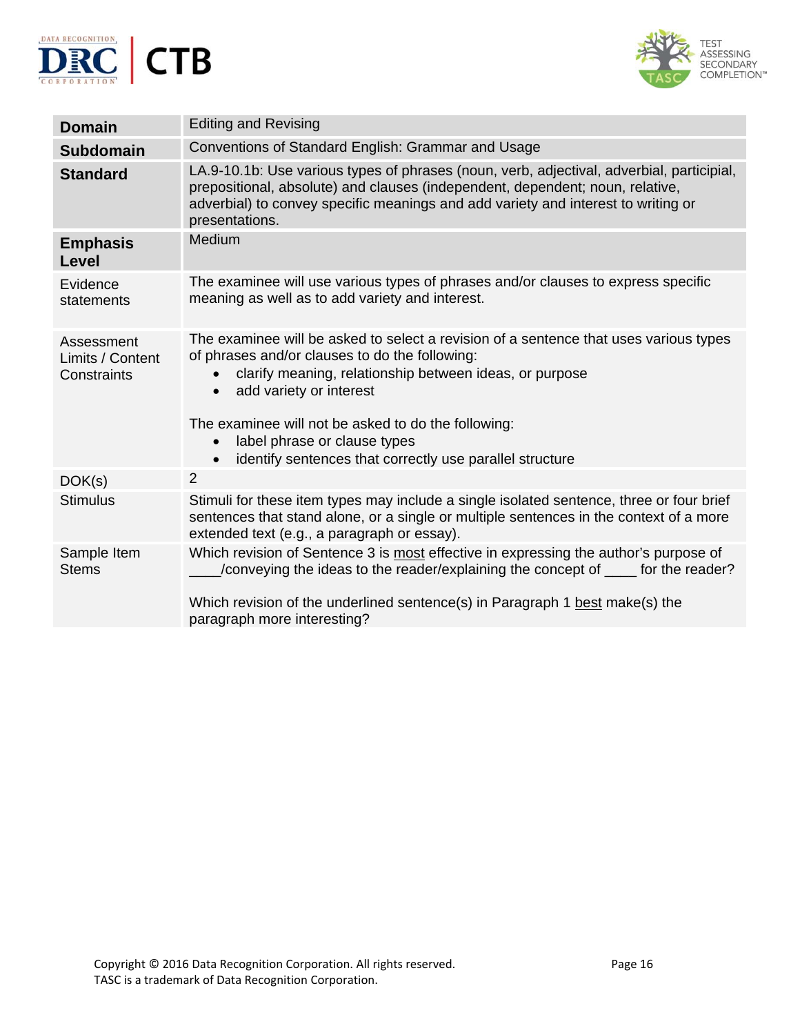



| <b>Domain</b>                                 | <b>Editing and Revising</b>                                                                                                                                                                                                                                                                                                                                                                                             |
|-----------------------------------------------|-------------------------------------------------------------------------------------------------------------------------------------------------------------------------------------------------------------------------------------------------------------------------------------------------------------------------------------------------------------------------------------------------------------------------|
| <b>Subdomain</b>                              | Conventions of Standard English: Grammar and Usage                                                                                                                                                                                                                                                                                                                                                                      |
| <b>Standard</b>                               | LA.9-10.1b: Use various types of phrases (noun, verb, adjectival, adverbial, participial,<br>prepositional, absolute) and clauses (independent, dependent; noun, relative,<br>adverbial) to convey specific meanings and add variety and interest to writing or<br>presentations.                                                                                                                                       |
| <b>Emphasis</b><br>Level                      | Medium                                                                                                                                                                                                                                                                                                                                                                                                                  |
| Evidence<br>statements                        | The examinee will use various types of phrases and/or clauses to express specific<br>meaning as well as to add variety and interest.                                                                                                                                                                                                                                                                                    |
| Assessment<br>Limits / Content<br>Constraints | The examinee will be asked to select a revision of a sentence that uses various types<br>of phrases and/or clauses to do the following:<br>clarify meaning, relationship between ideas, or purpose<br>$\bullet$<br>add variety or interest<br>$\bullet$<br>The examinee will not be asked to do the following:<br>label phrase or clause types<br>$\bullet$<br>identify sentences that correctly use parallel structure |
| DOK(s)                                        | 2                                                                                                                                                                                                                                                                                                                                                                                                                       |
| <b>Stimulus</b>                               | Stimuli for these item types may include a single isolated sentence, three or four brief<br>sentences that stand alone, or a single or multiple sentences in the context of a more<br>extended text (e.g., a paragraph or essay).                                                                                                                                                                                       |
| Sample Item<br><b>Stems</b>                   | Which revision of Sentence 3 is most effective in expressing the author's purpose of<br>/conveying the ideas to the reader/explaining the concept of _____ for the reader?<br>Which revision of the underlined sentence(s) in Paragraph 1 best make(s) the<br>paragraph more interesting?                                                                                                                               |
|                                               |                                                                                                                                                                                                                                                                                                                                                                                                                         |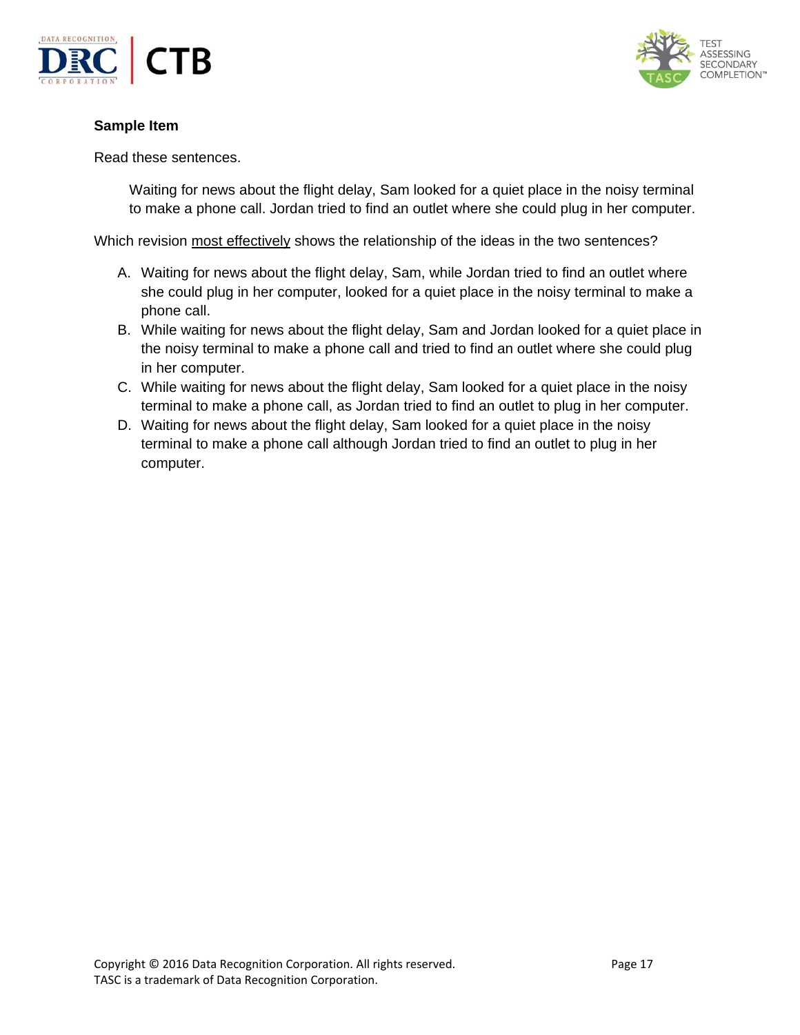



### **Sample Item**

#### Read these sentences.

Waiting for news about the flight delay, Sam looked for a quiet place in the noisy terminal to make a phone call. Jordan tried to find an outlet where she could plug in her computer.

Which revision most effectively shows the relationship of the ideas in the two sentences?

- A. Waiting for news about the flight delay, Sam, while Jordan tried to find an outlet where she could plug in her computer, looked for a quiet place in the noisy terminal to make a phone call.
- B. While waiting for news about the flight delay, Sam and Jordan looked for a quiet place in the noisy terminal to make a phone call and tried to find an outlet where she could plug in her computer.
- C. While waiting for news about the flight delay, Sam looked for a quiet place in the noisy terminal to make a phone call, as Jordan tried to find an outlet to plug in her computer.
- D. Waiting for news about the flight delay, Sam looked for a quiet place in the noisy terminal to make a phone call although Jordan tried to find an outlet to plug in her computer.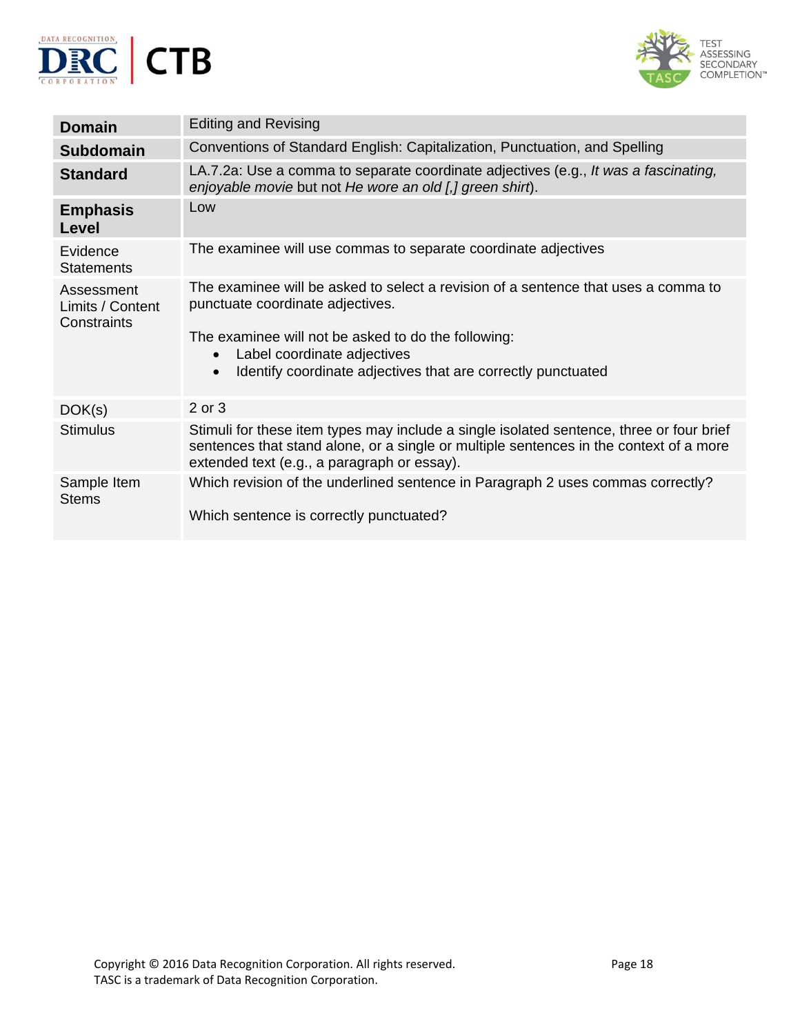



| <b>Domain</b>                                 | <b>Editing and Revising</b>                                                                                                                                                                                                                                                                            |
|-----------------------------------------------|--------------------------------------------------------------------------------------------------------------------------------------------------------------------------------------------------------------------------------------------------------------------------------------------------------|
| <b>Subdomain</b>                              | Conventions of Standard English: Capitalization, Punctuation, and Spelling                                                                                                                                                                                                                             |
| <b>Standard</b>                               | LA.7.2a: Use a comma to separate coordinate adjectives (e.g., It was a fascinating,<br>enjoyable movie but not He wore an old [,] green shirt).                                                                                                                                                        |
| <b>Emphasis</b><br>Level                      | Low                                                                                                                                                                                                                                                                                                    |
| Evidence<br><b>Statements</b>                 | The examinee will use commas to separate coordinate adjectives                                                                                                                                                                                                                                         |
| Assessment<br>Limits / Content<br>Constraints | The examinee will be asked to select a revision of a sentence that uses a comma to<br>punctuate coordinate adjectives.<br>The examinee will not be asked to do the following:<br>Label coordinate adjectives<br>$\bullet$<br>Identify coordinate adjectives that are correctly punctuated<br>$\bullet$ |
| DOK(s)                                        | 2 or 3                                                                                                                                                                                                                                                                                                 |
| <b>Stimulus</b>                               | Stimuli for these item types may include a single isolated sentence, three or four brief<br>sentences that stand alone, or a single or multiple sentences in the context of a more<br>extended text (e.g., a paragraph or essay).                                                                      |
| Sample Item<br><b>Stems</b>                   | Which revision of the underlined sentence in Paragraph 2 uses commas correctly?<br>Which sentence is correctly punctuated?                                                                                                                                                                             |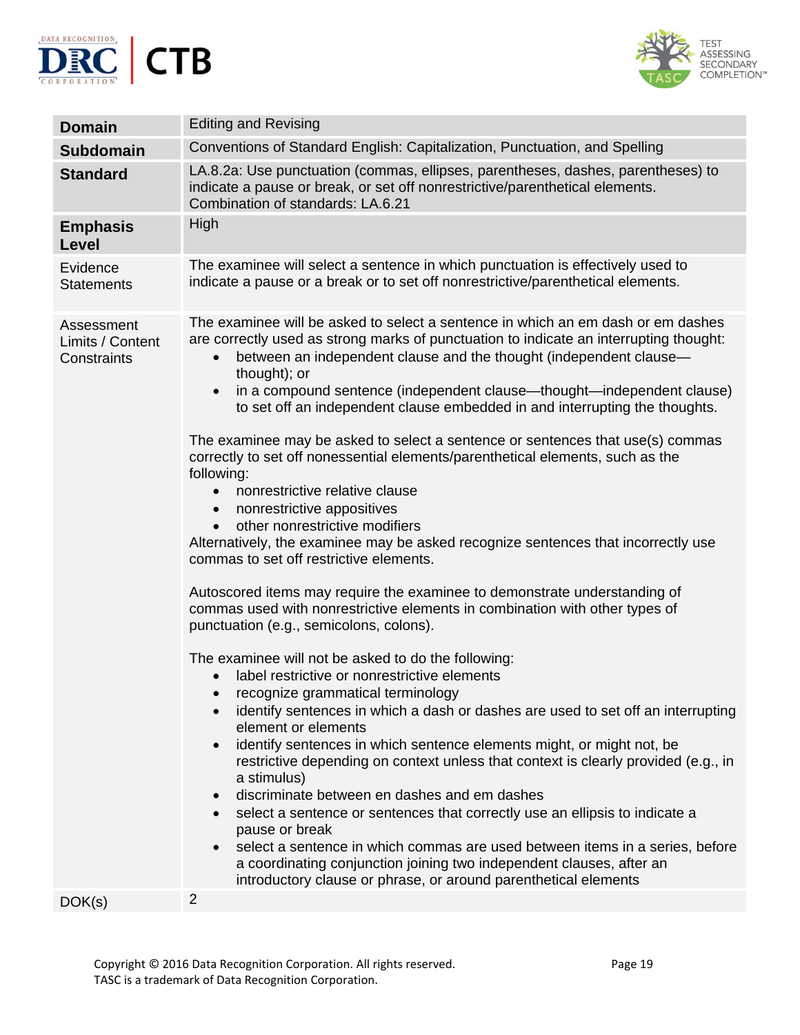



| <b>Domain</b>                                 | <b>Editing and Revising</b>                                                                                                                                                                                                                                                                                                                                                                                                                                                                                                                                                                                                                                                                                                                                                                                                                                                                                                                                                                                                                                                                                                                                                                                                                                                                                                                                                                                                                                                                                                                                                                                                                                                                                                                                                                                                                                                                   |
|-----------------------------------------------|-----------------------------------------------------------------------------------------------------------------------------------------------------------------------------------------------------------------------------------------------------------------------------------------------------------------------------------------------------------------------------------------------------------------------------------------------------------------------------------------------------------------------------------------------------------------------------------------------------------------------------------------------------------------------------------------------------------------------------------------------------------------------------------------------------------------------------------------------------------------------------------------------------------------------------------------------------------------------------------------------------------------------------------------------------------------------------------------------------------------------------------------------------------------------------------------------------------------------------------------------------------------------------------------------------------------------------------------------------------------------------------------------------------------------------------------------------------------------------------------------------------------------------------------------------------------------------------------------------------------------------------------------------------------------------------------------------------------------------------------------------------------------------------------------------------------------------------------------------------------------------------------------|
| <b>Subdomain</b>                              | Conventions of Standard English: Capitalization, Punctuation, and Spelling                                                                                                                                                                                                                                                                                                                                                                                                                                                                                                                                                                                                                                                                                                                                                                                                                                                                                                                                                                                                                                                                                                                                                                                                                                                                                                                                                                                                                                                                                                                                                                                                                                                                                                                                                                                                                    |
| <b>Standard</b>                               | LA.8.2a: Use punctuation (commas, ellipses, parentheses, dashes, parentheses) to<br>indicate a pause or break, or set off nonrestrictive/parenthetical elements.<br>Combination of standards: LA.6.21                                                                                                                                                                                                                                                                                                                                                                                                                                                                                                                                                                                                                                                                                                                                                                                                                                                                                                                                                                                                                                                                                                                                                                                                                                                                                                                                                                                                                                                                                                                                                                                                                                                                                         |
| <b>Emphasis</b><br>Level                      | High                                                                                                                                                                                                                                                                                                                                                                                                                                                                                                                                                                                                                                                                                                                                                                                                                                                                                                                                                                                                                                                                                                                                                                                                                                                                                                                                                                                                                                                                                                                                                                                                                                                                                                                                                                                                                                                                                          |
| Evidence<br><b>Statements</b>                 | The examinee will select a sentence in which punctuation is effectively used to<br>indicate a pause or a break or to set off nonrestrictive/parenthetical elements.                                                                                                                                                                                                                                                                                                                                                                                                                                                                                                                                                                                                                                                                                                                                                                                                                                                                                                                                                                                                                                                                                                                                                                                                                                                                                                                                                                                                                                                                                                                                                                                                                                                                                                                           |
| Assessment<br>Limits / Content<br>Constraints | The examinee will be asked to select a sentence in which an em dash or em dashes<br>are correctly used as strong marks of punctuation to indicate an interrupting thought:<br>between an independent clause and the thought (independent clause-<br>$\bullet$<br>thought); or<br>in a compound sentence (independent clause—thought—independent clause)<br>to set off an independent clause embedded in and interrupting the thoughts.<br>The examinee may be asked to select a sentence or sentences that use(s) commas<br>correctly to set off nonessential elements/parenthetical elements, such as the<br>following:<br>nonrestrictive relative clause<br>$\bullet$<br>nonrestrictive appositives<br>$\bullet$<br>other nonrestrictive modifiers<br>$\bullet$<br>Alternatively, the examinee may be asked recognize sentences that incorrectly use<br>commas to set off restrictive elements.<br>Autoscored items may require the examinee to demonstrate understanding of<br>commas used with nonrestrictive elements in combination with other types of<br>punctuation (e.g., semicolons, colons).<br>The examinee will not be asked to do the following:<br>label restrictive or nonrestrictive elements<br>recognize grammatical terminology<br>identify sentences in which a dash or dashes are used to set off an interrupting<br>element or elements<br>identify sentences in which sentence elements might, or might not, be<br>$\bullet$<br>restrictive depending on context unless that context is clearly provided (e.g., in<br>a stimulus)<br>discriminate between en dashes and em dashes<br>$\bullet$<br>select a sentence or sentences that correctly use an ellipsis to indicate a<br>$\bullet$<br>pause or break<br>select a sentence in which commas are used between items in a series, before<br>a coordinating conjunction joining two independent clauses, after an |
| DOK(s)                                        | introductory clause or phrase, or around parenthetical elements<br>$\overline{2}$                                                                                                                                                                                                                                                                                                                                                                                                                                                                                                                                                                                                                                                                                                                                                                                                                                                                                                                                                                                                                                                                                                                                                                                                                                                                                                                                                                                                                                                                                                                                                                                                                                                                                                                                                                                                             |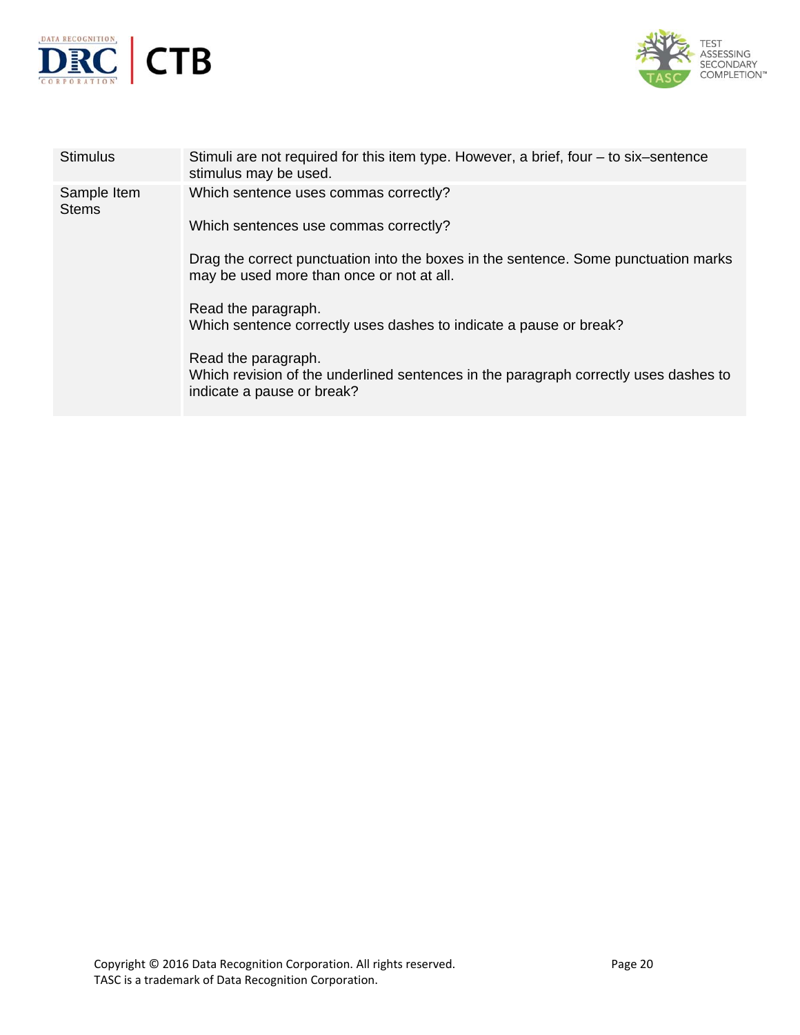



| <b>Stimulus</b>             | Stimuli are not required for this item type. However, a brief, four – to six–sentence<br>stimulus may be used.                            |
|-----------------------------|-------------------------------------------------------------------------------------------------------------------------------------------|
| Sample Item<br><b>Stems</b> | Which sentence uses commas correctly?                                                                                                     |
|                             | Which sentences use commas correctly?                                                                                                     |
|                             | Drag the correct punctuation into the boxes in the sentence. Some punctuation marks<br>may be used more than once or not at all.          |
|                             | Read the paragraph.<br>Which sentence correctly uses dashes to indicate a pause or break?                                                 |
|                             | Read the paragraph.<br>Which revision of the underlined sentences in the paragraph correctly uses dashes to<br>indicate a pause or break? |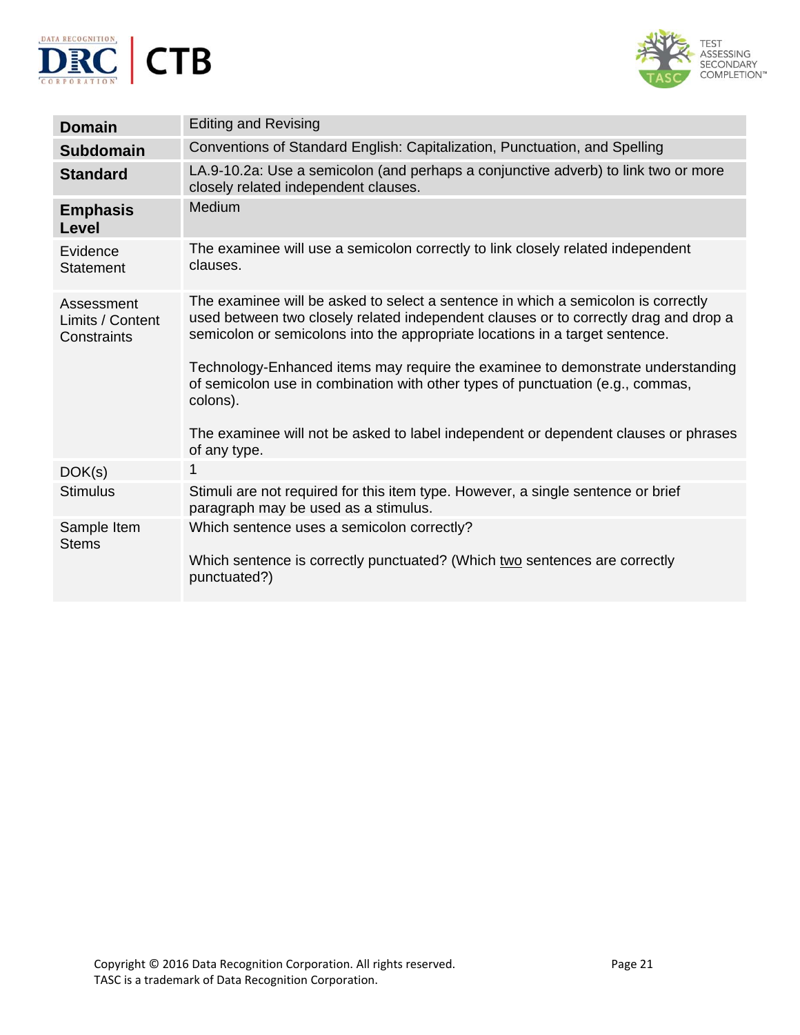



| <b>Domain</b>                                 | <b>Editing and Revising</b>                                                                                                                                                                                                                                                                                                                                                                                                                                                                                                                       |
|-----------------------------------------------|---------------------------------------------------------------------------------------------------------------------------------------------------------------------------------------------------------------------------------------------------------------------------------------------------------------------------------------------------------------------------------------------------------------------------------------------------------------------------------------------------------------------------------------------------|
| <b>Subdomain</b>                              | Conventions of Standard English: Capitalization, Punctuation, and Spelling                                                                                                                                                                                                                                                                                                                                                                                                                                                                        |
| <b>Standard</b>                               | LA.9-10.2a: Use a semicolon (and perhaps a conjunctive adverb) to link two or more<br>closely related independent clauses.                                                                                                                                                                                                                                                                                                                                                                                                                        |
| <b>Emphasis</b><br>Level                      | Medium                                                                                                                                                                                                                                                                                                                                                                                                                                                                                                                                            |
| Evidence<br>Statement                         | The examinee will use a semicolon correctly to link closely related independent<br>clauses.                                                                                                                                                                                                                                                                                                                                                                                                                                                       |
| Assessment<br>Limits / Content<br>Constraints | The examinee will be asked to select a sentence in which a semicolon is correctly<br>used between two closely related independent clauses or to correctly drag and drop a<br>semicolon or semicolons into the appropriate locations in a target sentence.<br>Technology-Enhanced items may require the examinee to demonstrate understanding<br>of semicolon use in combination with other types of punctuation (e.g., commas,<br>colons).<br>The examinee will not be asked to label independent or dependent clauses or phrases<br>of any type. |
| DOK(s)                                        | 1                                                                                                                                                                                                                                                                                                                                                                                                                                                                                                                                                 |
| <b>Stimulus</b>                               | Stimuli are not required for this item type. However, a single sentence or brief<br>paragraph may be used as a stimulus.                                                                                                                                                                                                                                                                                                                                                                                                                          |
| Sample Item<br><b>Stems</b>                   | Which sentence uses a semicolon correctly?<br>Which sentence is correctly punctuated? (Which two sentences are correctly<br>punctuated?)                                                                                                                                                                                                                                                                                                                                                                                                          |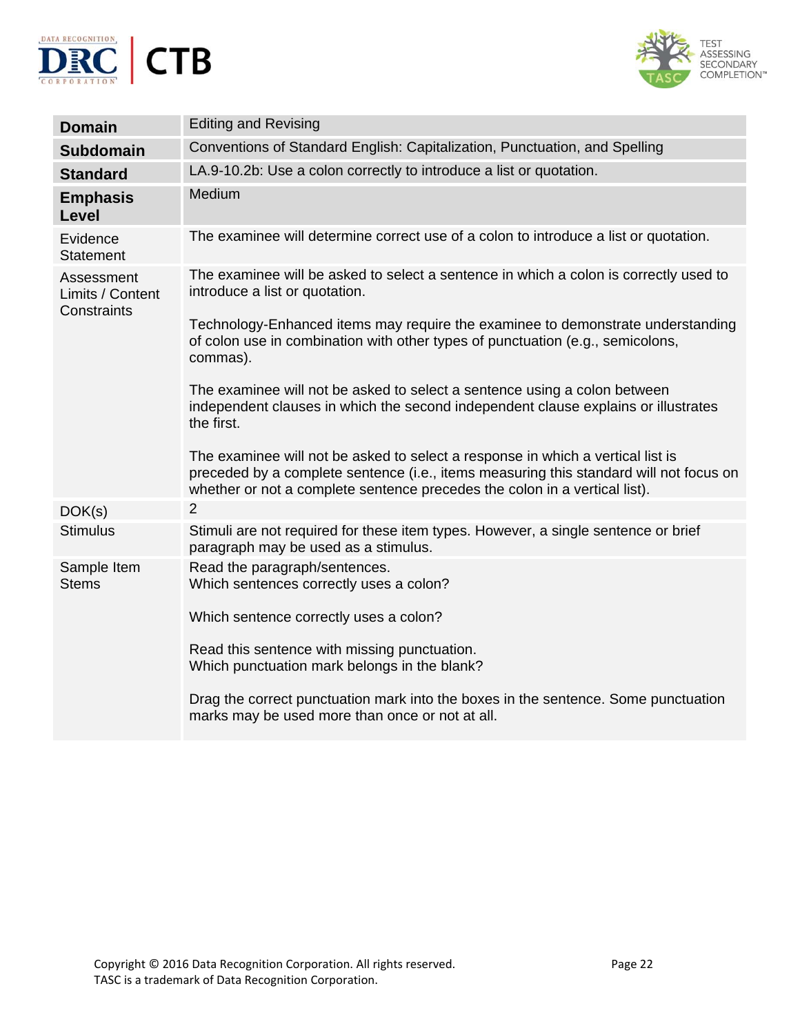



| <b>Domain</b>                                 | <b>Editing and Revising</b>                                                                                                                                                                                                                                                                                                                                                                                                                                                                                                                                                                                                                                                                                                                          |
|-----------------------------------------------|------------------------------------------------------------------------------------------------------------------------------------------------------------------------------------------------------------------------------------------------------------------------------------------------------------------------------------------------------------------------------------------------------------------------------------------------------------------------------------------------------------------------------------------------------------------------------------------------------------------------------------------------------------------------------------------------------------------------------------------------------|
| <b>Subdomain</b>                              | Conventions of Standard English: Capitalization, Punctuation, and Spelling                                                                                                                                                                                                                                                                                                                                                                                                                                                                                                                                                                                                                                                                           |
| <b>Standard</b>                               | LA.9-10.2b: Use a colon correctly to introduce a list or quotation.                                                                                                                                                                                                                                                                                                                                                                                                                                                                                                                                                                                                                                                                                  |
| <b>Emphasis</b><br>Level                      | Medium                                                                                                                                                                                                                                                                                                                                                                                                                                                                                                                                                                                                                                                                                                                                               |
| Evidence<br><b>Statement</b>                  | The examinee will determine correct use of a colon to introduce a list or quotation.                                                                                                                                                                                                                                                                                                                                                                                                                                                                                                                                                                                                                                                                 |
| Assessment<br>Limits / Content<br>Constraints | The examinee will be asked to select a sentence in which a colon is correctly used to<br>introduce a list or quotation.<br>Technology-Enhanced items may require the examinee to demonstrate understanding<br>of colon use in combination with other types of punctuation (e.g., semicolons,<br>commas).<br>The examinee will not be asked to select a sentence using a colon between<br>independent clauses in which the second independent clause explains or illustrates<br>the first.<br>The examinee will not be asked to select a response in which a vertical list is<br>preceded by a complete sentence (i.e., items measuring this standard will not focus on<br>whether or not a complete sentence precedes the colon in a vertical list). |
| DOK(s)                                        | $\overline{2}$                                                                                                                                                                                                                                                                                                                                                                                                                                                                                                                                                                                                                                                                                                                                       |
| <b>Stimulus</b>                               | Stimuli are not required for these item types. However, a single sentence or brief<br>paragraph may be used as a stimulus.                                                                                                                                                                                                                                                                                                                                                                                                                                                                                                                                                                                                                           |
| Sample Item<br><b>Stems</b>                   | Read the paragraph/sentences.<br>Which sentences correctly uses a colon?<br>Which sentence correctly uses a colon?<br>Read this sentence with missing punctuation.<br>Which punctuation mark belongs in the blank?<br>Drag the correct punctuation mark into the boxes in the sentence. Some punctuation<br>marks may be used more than once or not at all.                                                                                                                                                                                                                                                                                                                                                                                          |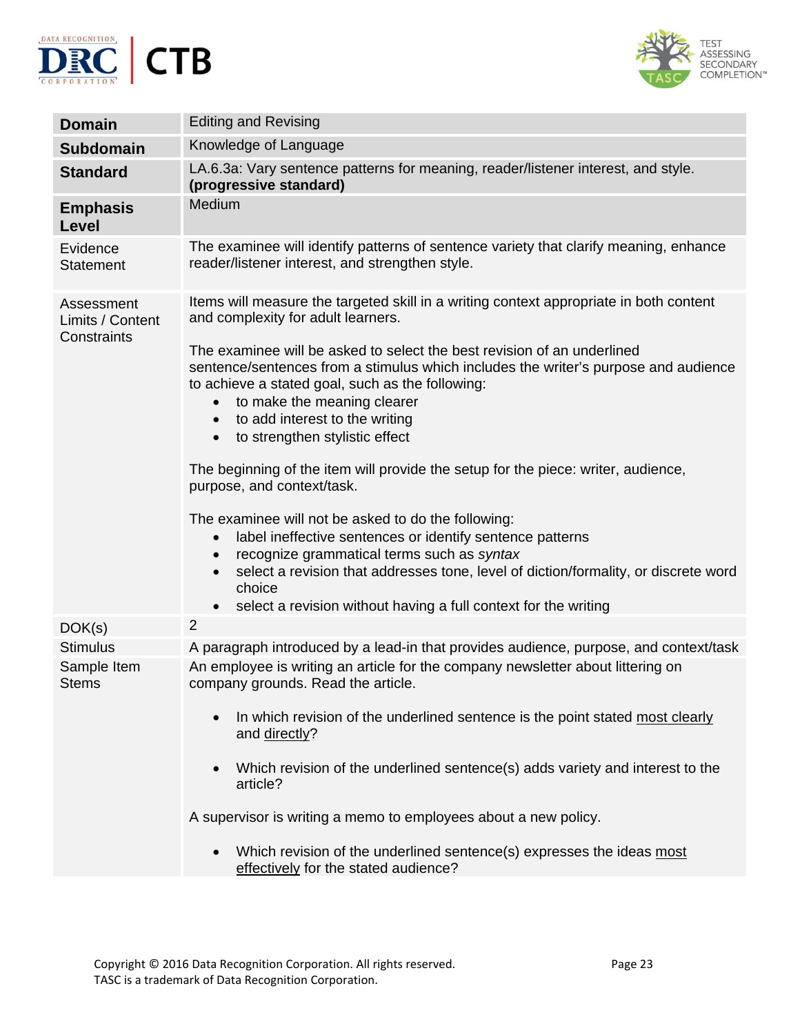



| <b>Domain</b>                                 | <b>Editing and Revising</b>                                                                                                                                                                                                                                                                                                                                                                                                                                                                                                                                                                                                                                                                                                                                                                                                                                                                                                                                                                               |
|-----------------------------------------------|-----------------------------------------------------------------------------------------------------------------------------------------------------------------------------------------------------------------------------------------------------------------------------------------------------------------------------------------------------------------------------------------------------------------------------------------------------------------------------------------------------------------------------------------------------------------------------------------------------------------------------------------------------------------------------------------------------------------------------------------------------------------------------------------------------------------------------------------------------------------------------------------------------------------------------------------------------------------------------------------------------------|
| <b>Subdomain</b>                              | Knowledge of Language                                                                                                                                                                                                                                                                                                                                                                                                                                                                                                                                                                                                                                                                                                                                                                                                                                                                                                                                                                                     |
| <b>Standard</b>                               | LA.6.3a: Vary sentence patterns for meaning, reader/listener interest, and style.<br>(progressive standard)                                                                                                                                                                                                                                                                                                                                                                                                                                                                                                                                                                                                                                                                                                                                                                                                                                                                                               |
| <b>Emphasis</b><br>Level                      | Medium                                                                                                                                                                                                                                                                                                                                                                                                                                                                                                                                                                                                                                                                                                                                                                                                                                                                                                                                                                                                    |
| Evidence<br><b>Statement</b>                  | The examinee will identify patterns of sentence variety that clarify meaning, enhance<br>reader/listener interest, and strengthen style.                                                                                                                                                                                                                                                                                                                                                                                                                                                                                                                                                                                                                                                                                                                                                                                                                                                                  |
| Assessment<br>Limits / Content<br>Constraints | Items will measure the targeted skill in a writing context appropriate in both content<br>and complexity for adult learners.<br>The examinee will be asked to select the best revision of an underlined<br>sentence/sentences from a stimulus which includes the writer's purpose and audience<br>to achieve a stated goal, such as the following:<br>to make the meaning clearer<br>$\bullet$<br>to add interest to the writing<br>$\bullet$<br>to strengthen stylistic effect<br>$\bullet$<br>The beginning of the item will provide the setup for the piece: writer, audience,<br>purpose, and context/task.<br>The examinee will not be asked to do the following:<br>label ineffective sentences or identify sentence patterns<br>$\bullet$<br>recognize grammatical terms such as syntax<br>$\bullet$<br>select a revision that addresses tone, level of diction/formality, or discrete word<br>$\bullet$<br>choice<br>select a revision without having a full context for the writing<br>$\bullet$ |
| DOK(s)                                        | $\overline{2}$                                                                                                                                                                                                                                                                                                                                                                                                                                                                                                                                                                                                                                                                                                                                                                                                                                                                                                                                                                                            |
| <b>Stimulus</b>                               | A paragraph introduced by a lead-in that provides audience, purpose, and context/task                                                                                                                                                                                                                                                                                                                                                                                                                                                                                                                                                                                                                                                                                                                                                                                                                                                                                                                     |
| Sample Item<br><b>Stems</b>                   | An employee is writing an article for the company newsletter about littering on<br>company grounds. Read the article.<br>In which revision of the underlined sentence is the point stated most clearly<br>and directly?<br>Which revision of the underlined sentence(s) adds variety and interest to the<br>$\bullet$<br>article?<br>A supervisor is writing a memo to employees about a new policy.<br>Which revision of the underlined sentence(s) expresses the ideas most<br>$\bullet$<br>effectively for the stated audience?                                                                                                                                                                                                                                                                                                                                                                                                                                                                        |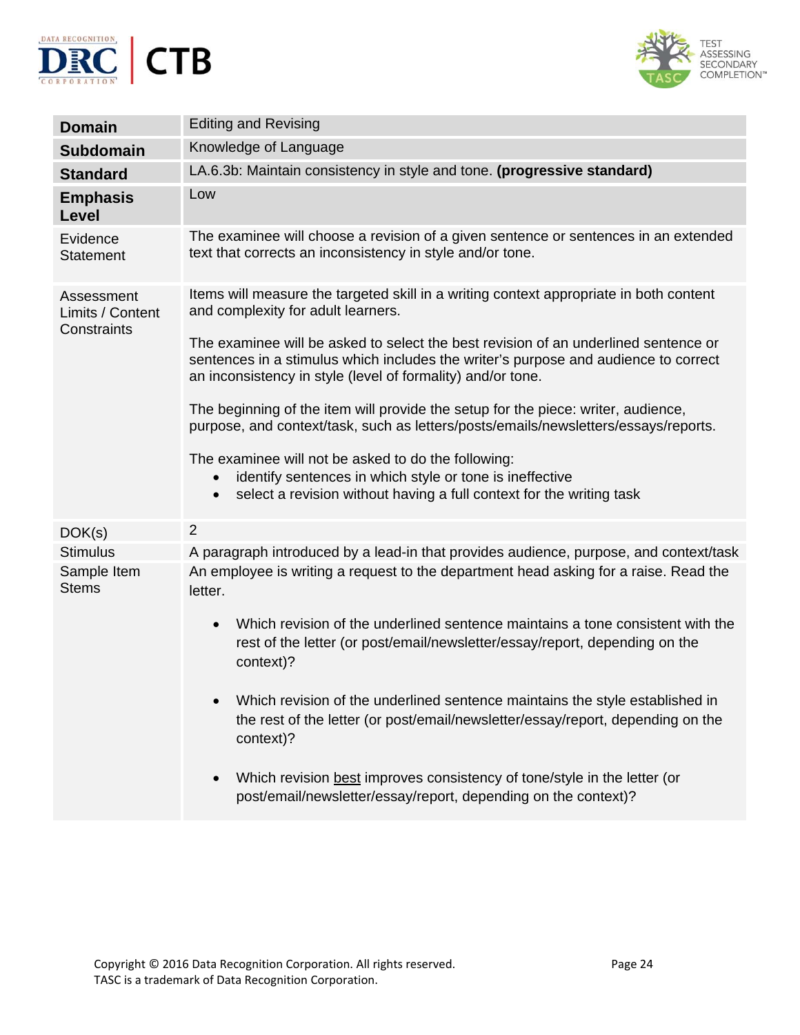



| <b>Domain</b>                                  | <b>Editing and Revising</b>                                                                                                                                                                                         |
|------------------------------------------------|---------------------------------------------------------------------------------------------------------------------------------------------------------------------------------------------------------------------|
| Subdomain                                      | Knowledge of Language                                                                                                                                                                                               |
| <b>Standard</b>                                | LA.6.3b: Maintain consistency in style and tone. (progressive standard)                                                                                                                                             |
| <b>Emphasis</b><br>Level                       | Low                                                                                                                                                                                                                 |
| Evidence<br><b>Statement</b>                   | The examinee will choose a revision of a given sentence or sentences in an extended<br>text that corrects an inconsistency in style and/or tone.                                                                    |
| Assessment<br>Limits / Content<br>Constraints  | Items will measure the targeted skill in a writing context appropriate in both content<br>and complexity for adult learners.<br>The examinee will be asked to select the best revision of an underlined sentence or |
|                                                | sentences in a stimulus which includes the writer's purpose and audience to correct<br>an inconsistency in style (level of formality) and/or tone.                                                                  |
|                                                | The beginning of the item will provide the setup for the piece: writer, audience,<br>purpose, and context/task, such as letters/posts/emails/newsletters/essays/reports.                                            |
|                                                | The examinee will not be asked to do the following:<br>identify sentences in which style or tone is ineffective<br>$\bullet$<br>select a revision without having a full context for the writing task<br>$\bullet$   |
| DOK(s)                                         | $\overline{2}$                                                                                                                                                                                                      |
| <b>Stimulus</b><br>Sample Item<br><b>Stems</b> | A paragraph introduced by a lead-in that provides audience, purpose, and context/task<br>An employee is writing a request to the department head asking for a raise. Read the<br>letter.                            |
|                                                | Which revision of the underlined sentence maintains a tone consistent with the<br>$\bullet$<br>rest of the letter (or post/email/newsletter/essay/report, depending on the<br>context)?                             |
|                                                | Which revision of the underlined sentence maintains the style established in<br>the rest of the letter (or post/email/newsletter/essay/report, depending on the<br>context)?                                        |
|                                                | Which revision best improves consistency of tone/style in the letter (or<br>$\bullet$<br>post/email/newsletter/essay/report, depending on the context)?                                                             |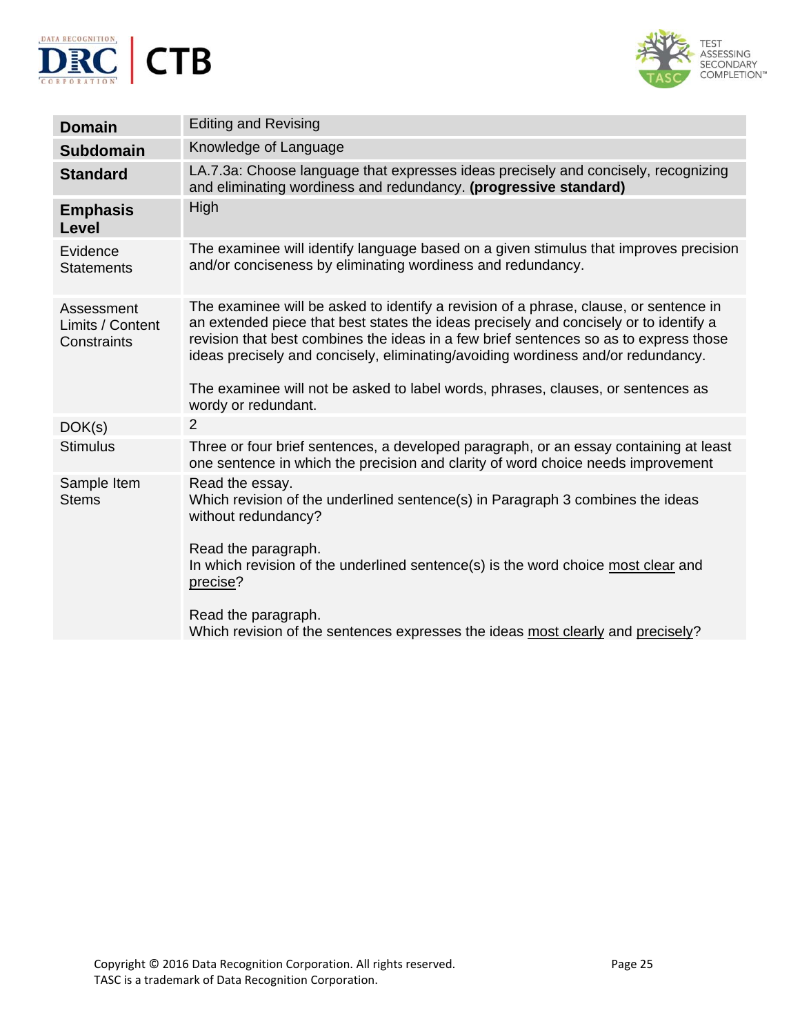



| <b>Domain</b>                                 | <b>Editing and Revising</b>                                                                                                                                                                                                                                                                                                                                                                                                                     |
|-----------------------------------------------|-------------------------------------------------------------------------------------------------------------------------------------------------------------------------------------------------------------------------------------------------------------------------------------------------------------------------------------------------------------------------------------------------------------------------------------------------|
| <b>Subdomain</b>                              | Knowledge of Language                                                                                                                                                                                                                                                                                                                                                                                                                           |
| <b>Standard</b>                               | LA.7.3a: Choose language that expresses ideas precisely and concisely, recognizing<br>and eliminating wordiness and redundancy. (progressive standard)                                                                                                                                                                                                                                                                                          |
| <b>Emphasis</b><br>Level                      | High                                                                                                                                                                                                                                                                                                                                                                                                                                            |
| Evidence<br><b>Statements</b>                 | The examinee will identify language based on a given stimulus that improves precision<br>and/or conciseness by eliminating wordiness and redundancy.                                                                                                                                                                                                                                                                                            |
| Assessment<br>Limits / Content<br>Constraints | The examinee will be asked to identify a revision of a phrase, clause, or sentence in<br>an extended piece that best states the ideas precisely and concisely or to identify a<br>revision that best combines the ideas in a few brief sentences so as to express those<br>ideas precisely and concisely, eliminating/avoiding wordiness and/or redundancy.<br>The examinee will not be asked to label words, phrases, clauses, or sentences as |
|                                               | wordy or redundant.                                                                                                                                                                                                                                                                                                                                                                                                                             |
| DOK(s)                                        | $\overline{2}$                                                                                                                                                                                                                                                                                                                                                                                                                                  |
| <b>Stimulus</b>                               | Three or four brief sentences, a developed paragraph, or an essay containing at least<br>one sentence in which the precision and clarity of word choice needs improvement                                                                                                                                                                                                                                                                       |
| Sample Item<br><b>Stems</b>                   | Read the essay.<br>Which revision of the underlined sentence(s) in Paragraph 3 combines the ideas<br>without redundancy?<br>Read the paragraph.<br>In which revision of the underlined sentence(s) is the word choice most clear and<br>precise?<br>Read the paragraph.                                                                                                                                                                         |
|                                               | Which revision of the sentences expresses the ideas most clearly and precisely?                                                                                                                                                                                                                                                                                                                                                                 |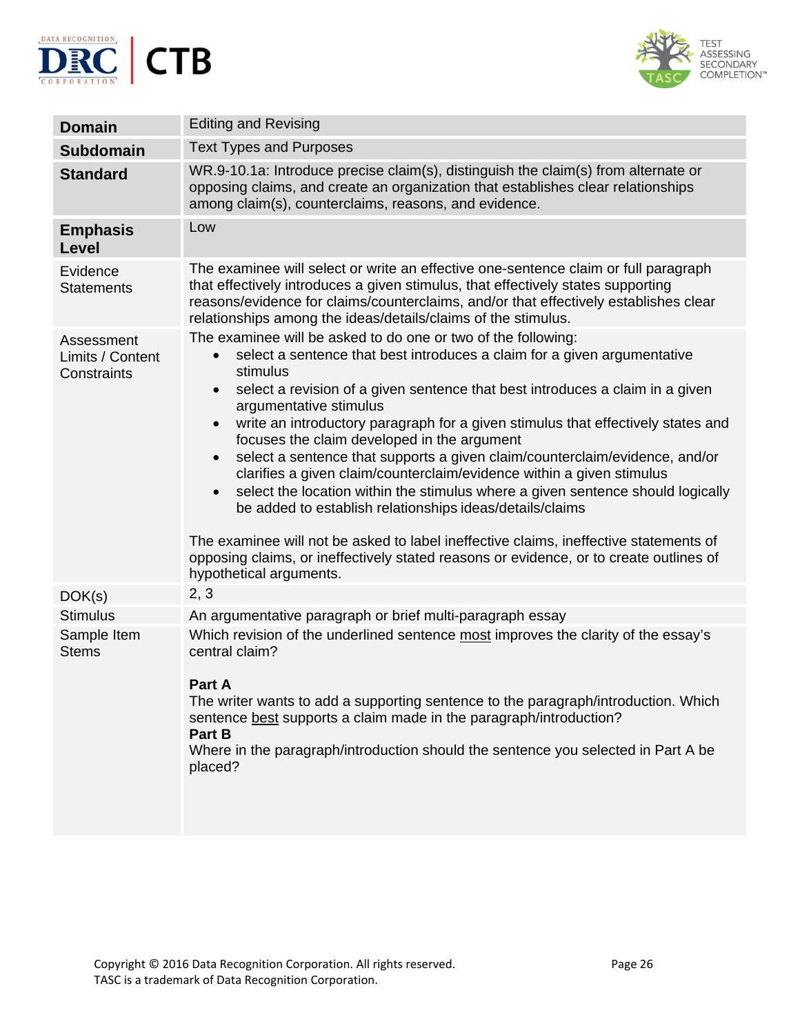



| <b>Domain</b>                                 | <b>Editing and Revising</b>                                                                                                                                                                                                                                                                                                                                                                                                                                                                                                                                                                                                                                                                                                                                                                                                                                                                                                                                                  |
|-----------------------------------------------|------------------------------------------------------------------------------------------------------------------------------------------------------------------------------------------------------------------------------------------------------------------------------------------------------------------------------------------------------------------------------------------------------------------------------------------------------------------------------------------------------------------------------------------------------------------------------------------------------------------------------------------------------------------------------------------------------------------------------------------------------------------------------------------------------------------------------------------------------------------------------------------------------------------------------------------------------------------------------|
|                                               |                                                                                                                                                                                                                                                                                                                                                                                                                                                                                                                                                                                                                                                                                                                                                                                                                                                                                                                                                                              |
| <b>Subdomain</b>                              | <b>Text Types and Purposes</b>                                                                                                                                                                                                                                                                                                                                                                                                                                                                                                                                                                                                                                                                                                                                                                                                                                                                                                                                               |
| <b>Standard</b>                               | WR.9-10.1a: Introduce precise claim(s), distinguish the claim(s) from alternate or<br>opposing claims, and create an organization that establishes clear relationships<br>among claim(s), counterclaims, reasons, and evidence.                                                                                                                                                                                                                                                                                                                                                                                                                                                                                                                                                                                                                                                                                                                                              |
| <b>Emphasis</b><br>Level                      | Low                                                                                                                                                                                                                                                                                                                                                                                                                                                                                                                                                                                                                                                                                                                                                                                                                                                                                                                                                                          |
| Evidence<br><b>Statements</b>                 | The examinee will select or write an effective one-sentence claim or full paragraph<br>that effectively introduces a given stimulus, that effectively states supporting<br>reasons/evidence for claims/counterclaims, and/or that effectively establishes clear<br>relationships among the ideas/details/claims of the stimulus.                                                                                                                                                                                                                                                                                                                                                                                                                                                                                                                                                                                                                                             |
| Assessment<br>Limits / Content<br>Constraints | The examinee will be asked to do one or two of the following:<br>select a sentence that best introduces a claim for a given argumentative<br>stimulus<br>select a revision of a given sentence that best introduces a claim in a given<br>$\bullet$<br>argumentative stimulus<br>write an introductory paragraph for a given stimulus that effectively states and<br>$\bullet$<br>focuses the claim developed in the argument<br>select a sentence that supports a given claim/counterclaim/evidence, and/or<br>$\bullet$<br>clarifies a given claim/counterclaim/evidence within a given stimulus<br>select the location within the stimulus where a given sentence should logically<br>$\bullet$<br>be added to establish relationships ideas/details/claims<br>The examinee will not be asked to label ineffective claims, ineffective statements of<br>opposing claims, or ineffectively stated reasons or evidence, or to create outlines of<br>hypothetical arguments. |
| DOK(s)                                        | 2, 3                                                                                                                                                                                                                                                                                                                                                                                                                                                                                                                                                                                                                                                                                                                                                                                                                                                                                                                                                                         |
| <b>Stimulus</b>                               | An argumentative paragraph or brief multi-paragraph essay                                                                                                                                                                                                                                                                                                                                                                                                                                                                                                                                                                                                                                                                                                                                                                                                                                                                                                                    |
| Sample Item<br><b>Stems</b>                   | Which revision of the underlined sentence most improves the clarity of the essay's<br>central claim?<br>Part A<br>The writer wants to add a supporting sentence to the paragraph/introduction. Which<br>sentence best supports a claim made in the paragraph/introduction?<br>Part B<br>Where in the paragraph/introduction should the sentence you selected in Part A be<br>placed?                                                                                                                                                                                                                                                                                                                                                                                                                                                                                                                                                                                         |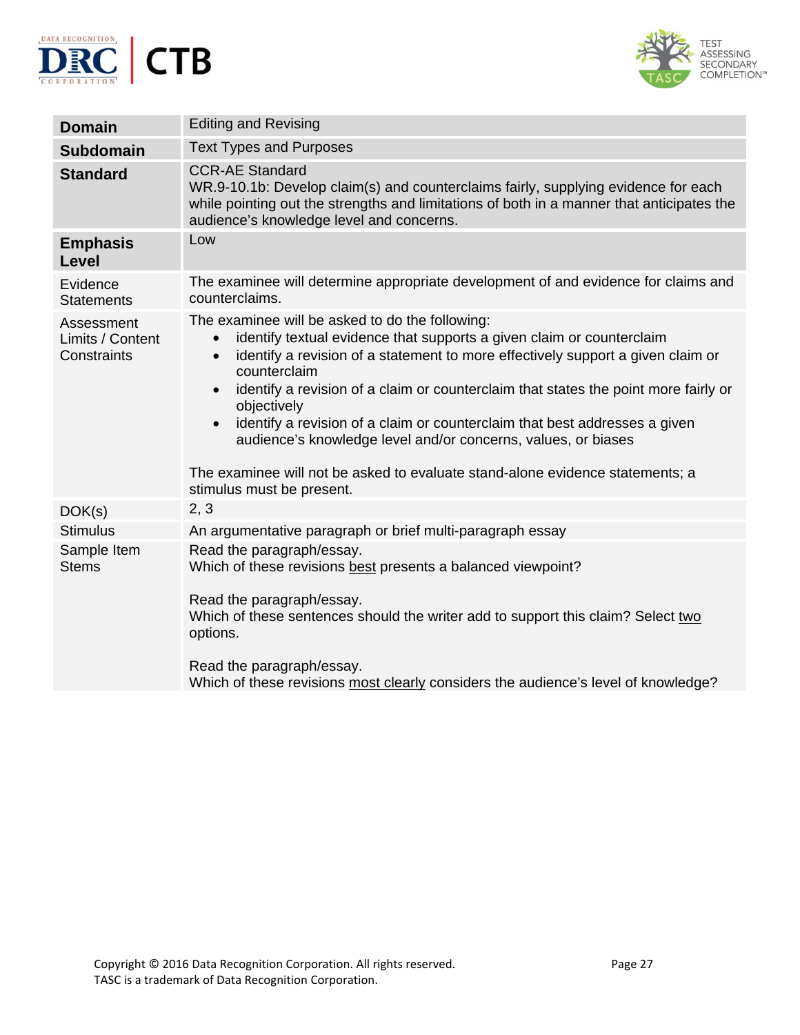



| <b>Domain</b>                                 | <b>Editing and Revising</b>                                                                                                                                                                                                                                                                                                                                                                                                                                                                                                                                                                                                                        |
|-----------------------------------------------|----------------------------------------------------------------------------------------------------------------------------------------------------------------------------------------------------------------------------------------------------------------------------------------------------------------------------------------------------------------------------------------------------------------------------------------------------------------------------------------------------------------------------------------------------------------------------------------------------------------------------------------------------|
| <b>Subdomain</b>                              | <b>Text Types and Purposes</b>                                                                                                                                                                                                                                                                                                                                                                                                                                                                                                                                                                                                                     |
| <b>Standard</b>                               | <b>CCR-AE Standard</b><br>WR.9-10.1b: Develop claim(s) and counterclaims fairly, supplying evidence for each<br>while pointing out the strengths and limitations of both in a manner that anticipates the<br>audience's knowledge level and concerns.                                                                                                                                                                                                                                                                                                                                                                                              |
| <b>Emphasis</b><br>Level                      | Low                                                                                                                                                                                                                                                                                                                                                                                                                                                                                                                                                                                                                                                |
| Evidence<br><b>Statements</b>                 | The examinee will determine appropriate development of and evidence for claims and<br>counterclaims.                                                                                                                                                                                                                                                                                                                                                                                                                                                                                                                                               |
| Assessment<br>Limits / Content<br>Constraints | The examinee will be asked to do the following:<br>identify textual evidence that supports a given claim or counterclaim<br>$\bullet$<br>identify a revision of a statement to more effectively support a given claim or<br>$\bullet$<br>counterclaim<br>identify a revision of a claim or counterclaim that states the point more fairly or<br>$\bullet$<br>objectively<br>identify a revision of a claim or counterclaim that best addresses a given<br>$\bullet$<br>audience's knowledge level and/or concerns, values, or biases<br>The examinee will not be asked to evaluate stand-alone evidence statements; a<br>stimulus must be present. |
| DOK(s)                                        | 2, 3                                                                                                                                                                                                                                                                                                                                                                                                                                                                                                                                                                                                                                               |
| <b>Stimulus</b>                               | An argumentative paragraph or brief multi-paragraph essay                                                                                                                                                                                                                                                                                                                                                                                                                                                                                                                                                                                          |
| Sample Item<br><b>Stems</b>                   | Read the paragraph/essay.<br>Which of these revisions best presents a balanced viewpoint?<br>Read the paragraph/essay.<br>Which of these sentences should the writer add to support this claim? Select two<br>options.<br>Read the paragraph/essay.<br>Which of these revisions most clearly considers the audience's level of knowledge?                                                                                                                                                                                                                                                                                                          |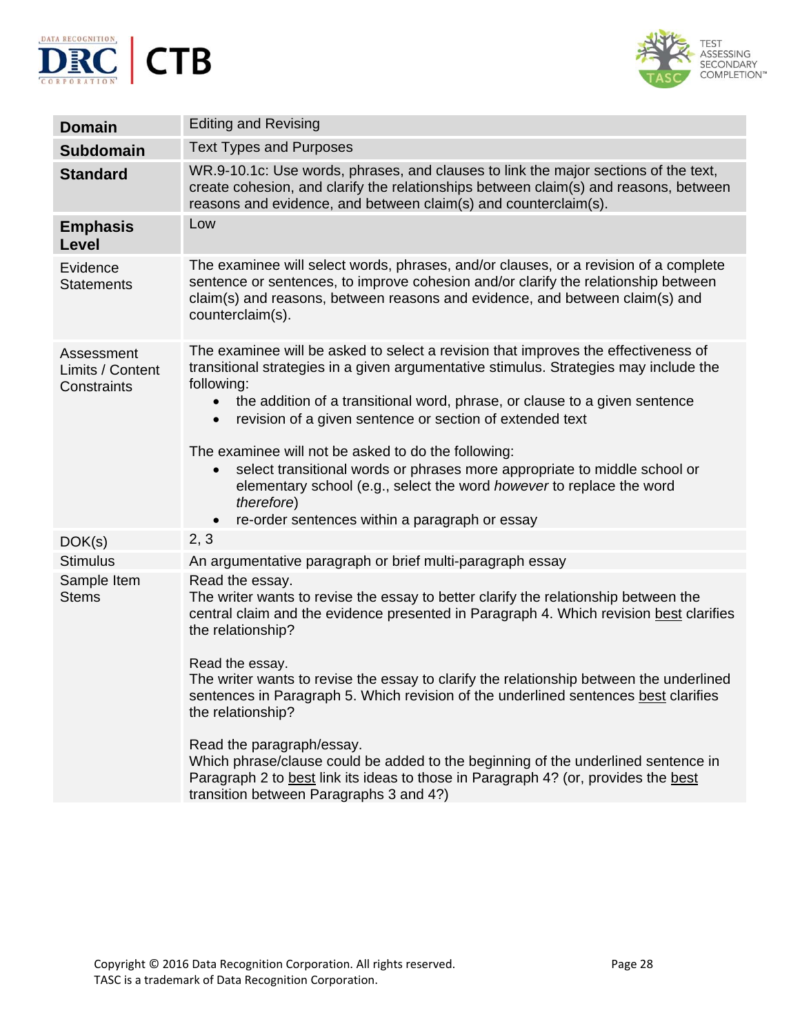



| <b>Domain</b>                                 | <b>Editing and Revising</b>                                                                                                                                                                                                                                                                                                                                                                                                                                                                                                                                                                                                                            |
|-----------------------------------------------|--------------------------------------------------------------------------------------------------------------------------------------------------------------------------------------------------------------------------------------------------------------------------------------------------------------------------------------------------------------------------------------------------------------------------------------------------------------------------------------------------------------------------------------------------------------------------------------------------------------------------------------------------------|
| <b>Subdomain</b>                              | <b>Text Types and Purposes</b>                                                                                                                                                                                                                                                                                                                                                                                                                                                                                                                                                                                                                         |
| <b>Standard</b>                               | WR.9-10.1c: Use words, phrases, and clauses to link the major sections of the text,<br>create cohesion, and clarify the relationships between claim(s) and reasons, between<br>reasons and evidence, and between claim(s) and counterclaim(s).                                                                                                                                                                                                                                                                                                                                                                                                         |
| <b>Emphasis</b><br>Level                      | Low                                                                                                                                                                                                                                                                                                                                                                                                                                                                                                                                                                                                                                                    |
| Evidence<br><b>Statements</b>                 | The examinee will select words, phrases, and/or clauses, or a revision of a complete<br>sentence or sentences, to improve cohesion and/or clarify the relationship between<br>claim(s) and reasons, between reasons and evidence, and between claim(s) and<br>counterclaim(s).                                                                                                                                                                                                                                                                                                                                                                         |
| Assessment<br>Limits / Content<br>Constraints | The examinee will be asked to select a revision that improves the effectiveness of<br>transitional strategies in a given argumentative stimulus. Strategies may include the<br>following:<br>the addition of a transitional word, phrase, or clause to a given sentence<br>$\bullet$<br>revision of a given sentence or section of extended text<br>$\bullet$<br>The examinee will not be asked to do the following:<br>select transitional words or phrases more appropriate to middle school or<br>elementary school (e.g., select the word however to replace the word<br>therefore)<br>re-order sentences within a paragraph or essay<br>$\bullet$ |
| DOK(s)                                        | 2, 3                                                                                                                                                                                                                                                                                                                                                                                                                                                                                                                                                                                                                                                   |
| <b>Stimulus</b>                               | An argumentative paragraph or brief multi-paragraph essay                                                                                                                                                                                                                                                                                                                                                                                                                                                                                                                                                                                              |
| Sample Item<br><b>Stems</b>                   | Read the essay.<br>The writer wants to revise the essay to better clarify the relationship between the<br>central claim and the evidence presented in Paragraph 4. Which revision best clarifies<br>the relationship?<br>Read the essay.<br>The writer wants to revise the essay to clarify the relationship between the underlined<br>sentences in Paragraph 5. Which revision of the underlined sentences best clarifies<br>the relationship?<br>Read the paragraph/essay.<br>Which phrase/clause could be added to the beginning of the underlined sentence in                                                                                      |
|                                               | Paragraph 2 to best link its ideas to those in Paragraph 4? (or, provides the best<br>transition between Paragraphs 3 and 4?)                                                                                                                                                                                                                                                                                                                                                                                                                                                                                                                          |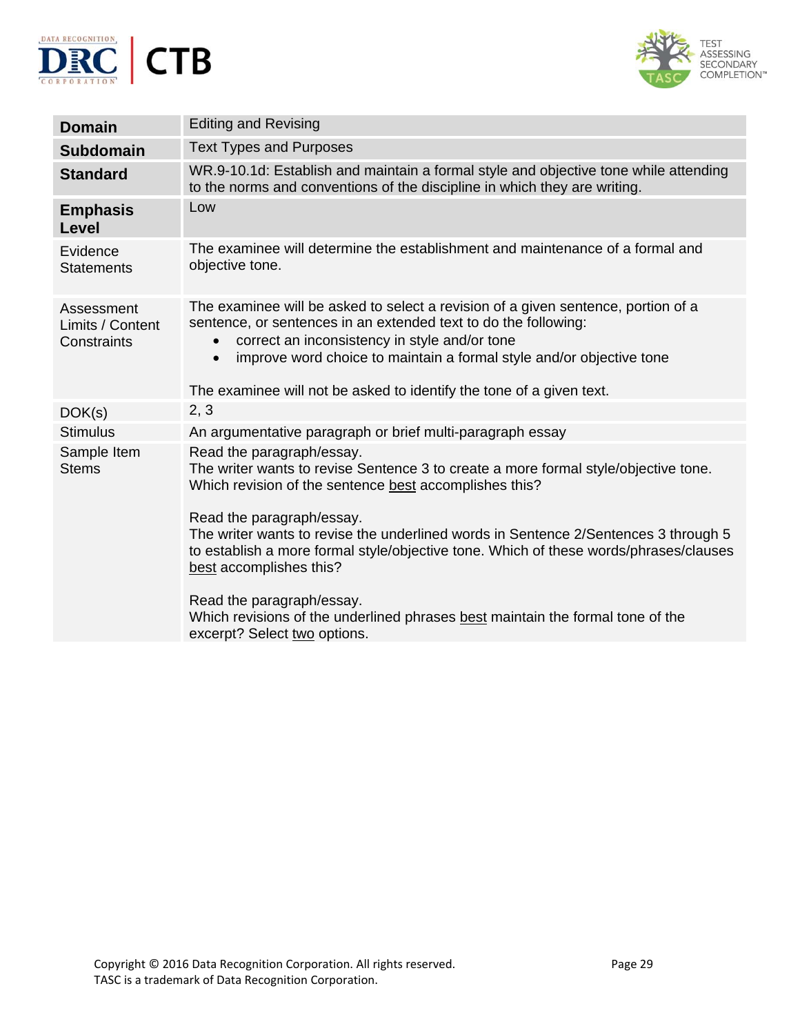



| <b>Domain</b>                                 | <b>Editing and Revising</b>                                                                                                                                                                                                                                                                                                                                                     |
|-----------------------------------------------|---------------------------------------------------------------------------------------------------------------------------------------------------------------------------------------------------------------------------------------------------------------------------------------------------------------------------------------------------------------------------------|
| <b>Subdomain</b>                              | <b>Text Types and Purposes</b>                                                                                                                                                                                                                                                                                                                                                  |
| <b>Standard</b>                               | WR.9-10.1d: Establish and maintain a formal style and objective tone while attending<br>to the norms and conventions of the discipline in which they are writing.                                                                                                                                                                                                               |
| <b>Emphasis</b><br><b>Level</b>               | Low                                                                                                                                                                                                                                                                                                                                                                             |
| Evidence<br><b>Statements</b>                 | The examinee will determine the establishment and maintenance of a formal and<br>objective tone.                                                                                                                                                                                                                                                                                |
| Assessment<br>Limits / Content<br>Constraints | The examinee will be asked to select a revision of a given sentence, portion of a<br>sentence, or sentences in an extended text to do the following:<br>correct an inconsistency in style and/or tone<br>$\bullet$<br>improve word choice to maintain a formal style and/or objective tone<br>$\bullet$<br>The examinee will not be asked to identify the tone of a given text. |
| DOK(s)                                        | 2, 3                                                                                                                                                                                                                                                                                                                                                                            |
| <b>Stimulus</b>                               | An argumentative paragraph or brief multi-paragraph essay                                                                                                                                                                                                                                                                                                                       |
| Sample Item<br><b>Stems</b>                   | Read the paragraph/essay.<br>The writer wants to revise Sentence 3 to create a more formal style/objective tone.<br>Which revision of the sentence best accomplishes this?<br>Read the paragraph/essay.<br>The writer wants to revise the underlined words in Sentence 2/Sentences 3 through 5                                                                                  |
|                                               | to establish a more formal style/objective tone. Which of these words/phrases/clauses<br>best accomplishes this?<br>Read the paragraph/essay.<br>Which revisions of the underlined phrases best maintain the formal tone of the                                                                                                                                                 |
|                                               | excerpt? Select two options.                                                                                                                                                                                                                                                                                                                                                    |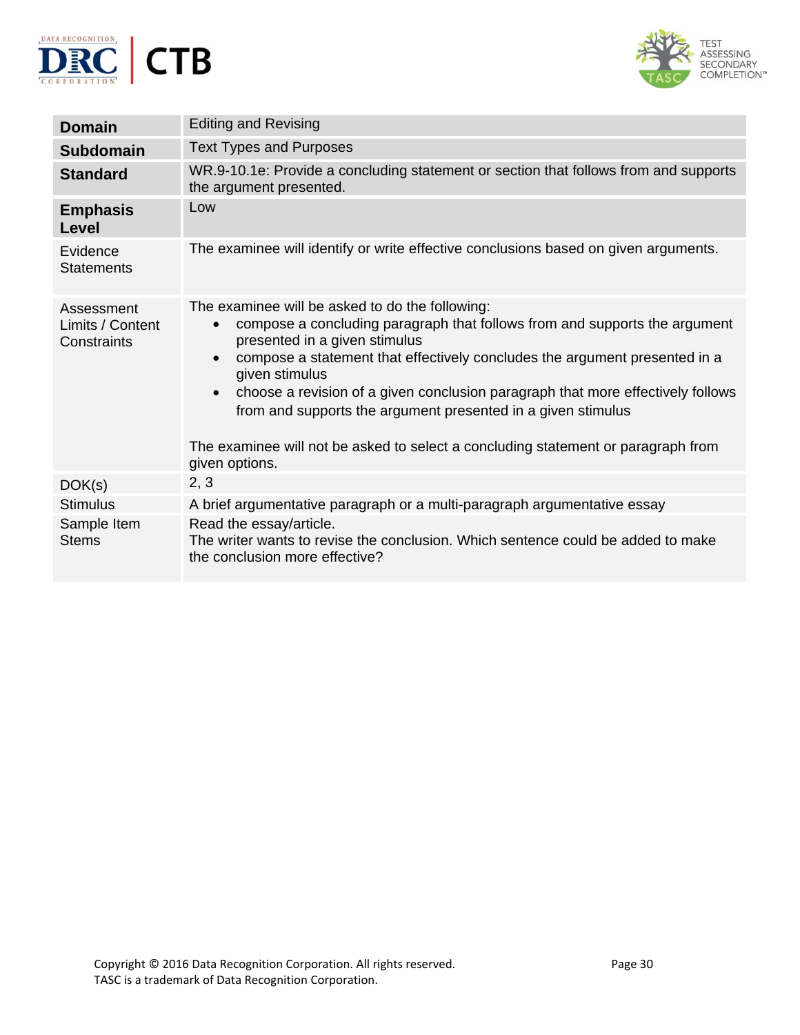



| <b>Domain</b>                                 | <b>Editing and Revising</b>                                                                                                                                                                                                                                                                                                                                                                                                                                                                                                                                     |
|-----------------------------------------------|-----------------------------------------------------------------------------------------------------------------------------------------------------------------------------------------------------------------------------------------------------------------------------------------------------------------------------------------------------------------------------------------------------------------------------------------------------------------------------------------------------------------------------------------------------------------|
| <b>Subdomain</b>                              | <b>Text Types and Purposes</b>                                                                                                                                                                                                                                                                                                                                                                                                                                                                                                                                  |
| <b>Standard</b>                               | WR.9-10.1e: Provide a concluding statement or section that follows from and supports<br>the argument presented.                                                                                                                                                                                                                                                                                                                                                                                                                                                 |
| <b>Emphasis</b><br>Level                      | Low                                                                                                                                                                                                                                                                                                                                                                                                                                                                                                                                                             |
| Evidence<br><b>Statements</b>                 | The examinee will identify or write effective conclusions based on given arguments.                                                                                                                                                                                                                                                                                                                                                                                                                                                                             |
| Assessment<br>Limits / Content<br>Constraints | The examinee will be asked to do the following:<br>compose a concluding paragraph that follows from and supports the argument<br>$\bullet$<br>presented in a given stimulus<br>compose a statement that effectively concludes the argument presented in a<br>$\bullet$<br>given stimulus<br>choose a revision of a given conclusion paragraph that more effectively follows<br>$\bullet$<br>from and supports the argument presented in a given stimulus<br>The examinee will not be asked to select a concluding statement or paragraph from<br>given options. |
| DOK(s)                                        | 2, 3                                                                                                                                                                                                                                                                                                                                                                                                                                                                                                                                                            |
| <b>Stimulus</b>                               | A brief argumentative paragraph or a multi-paragraph argumentative essay                                                                                                                                                                                                                                                                                                                                                                                                                                                                                        |
| Sample Item<br><b>Stems</b>                   | Read the essay/article.<br>The writer wants to revise the conclusion. Which sentence could be added to make<br>the conclusion more effective?                                                                                                                                                                                                                                                                                                                                                                                                                   |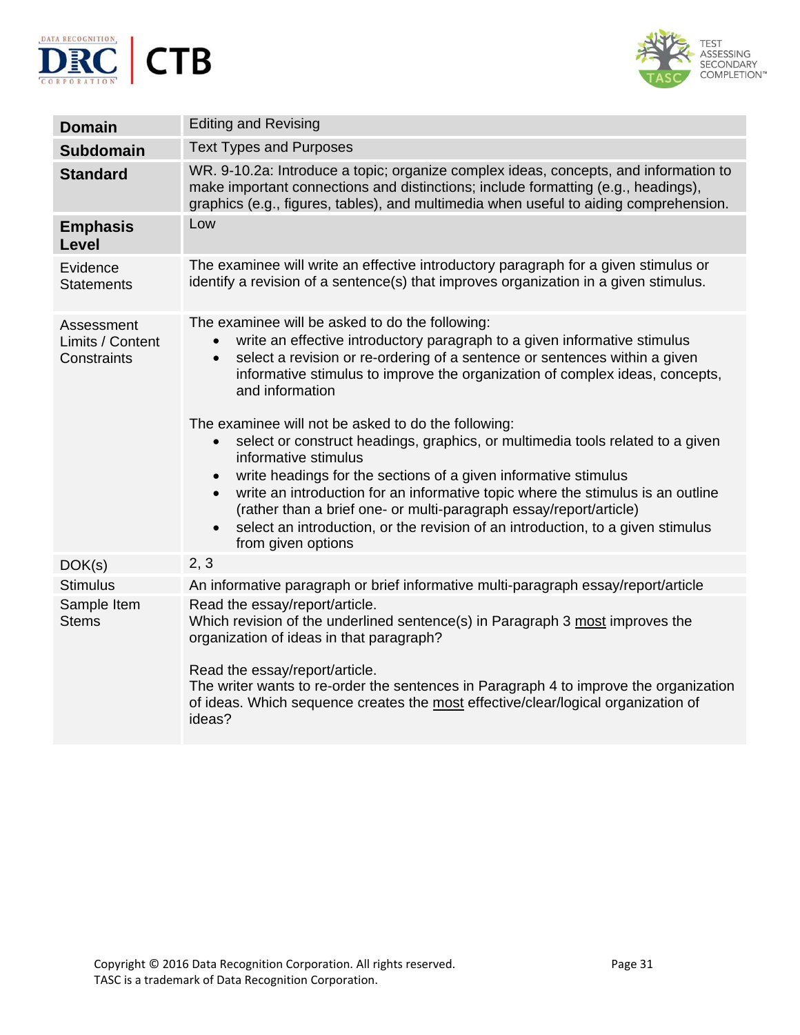



| <b>Domain</b>                                 | <b>Editing and Revising</b>                                                                                                                                                                                                                                                                                                                                                                                                                                                                                                                                                                                                                                                                                                                                                                                                                                                                       |
|-----------------------------------------------|---------------------------------------------------------------------------------------------------------------------------------------------------------------------------------------------------------------------------------------------------------------------------------------------------------------------------------------------------------------------------------------------------------------------------------------------------------------------------------------------------------------------------------------------------------------------------------------------------------------------------------------------------------------------------------------------------------------------------------------------------------------------------------------------------------------------------------------------------------------------------------------------------|
| <b>Subdomain</b>                              | <b>Text Types and Purposes</b>                                                                                                                                                                                                                                                                                                                                                                                                                                                                                                                                                                                                                                                                                                                                                                                                                                                                    |
| <b>Standard</b>                               | WR. 9-10.2a: Introduce a topic; organize complex ideas, concepts, and information to<br>make important connections and distinctions; include formatting (e.g., headings),<br>graphics (e.g., figures, tables), and multimedia when useful to aiding comprehension.                                                                                                                                                                                                                                                                                                                                                                                                                                                                                                                                                                                                                                |
| <b>Emphasis</b><br>Level                      | Low                                                                                                                                                                                                                                                                                                                                                                                                                                                                                                                                                                                                                                                                                                                                                                                                                                                                                               |
| Evidence<br><b>Statements</b>                 | The examinee will write an effective introductory paragraph for a given stimulus or<br>identify a revision of a sentence(s) that improves organization in a given stimulus.                                                                                                                                                                                                                                                                                                                                                                                                                                                                                                                                                                                                                                                                                                                       |
| Assessment<br>Limits / Content<br>Constraints | The examinee will be asked to do the following:<br>write an effective introductory paragraph to a given informative stimulus<br>$\bullet$<br>select a revision or re-ordering of a sentence or sentences within a given<br>$\bullet$<br>informative stimulus to improve the organization of complex ideas, concepts,<br>and information<br>The examinee will not be asked to do the following:<br>select or construct headings, graphics, or multimedia tools related to a given<br>$\bullet$<br>informative stimulus<br>write headings for the sections of a given informative stimulus<br>$\bullet$<br>write an introduction for an informative topic where the stimulus is an outline<br>$\bullet$<br>(rather than a brief one- or multi-paragraph essay/report/article)<br>select an introduction, or the revision of an introduction, to a given stimulus<br>$\bullet$<br>from given options |
| DOK(s)                                        | 2, 3                                                                                                                                                                                                                                                                                                                                                                                                                                                                                                                                                                                                                                                                                                                                                                                                                                                                                              |
| <b>Stimulus</b>                               | An informative paragraph or brief informative multi-paragraph essay/report/article                                                                                                                                                                                                                                                                                                                                                                                                                                                                                                                                                                                                                                                                                                                                                                                                                |
| Sample Item<br><b>Stems</b>                   | Read the essay/report/article.<br>Which revision of the underlined sentence(s) in Paragraph 3 most improves the<br>organization of ideas in that paragraph?<br>Read the essay/report/article.<br>The writer wants to re-order the sentences in Paragraph 4 to improve the organization<br>of ideas. Which sequence creates the most effective/clear/logical organization of<br>ideas?                                                                                                                                                                                                                                                                                                                                                                                                                                                                                                             |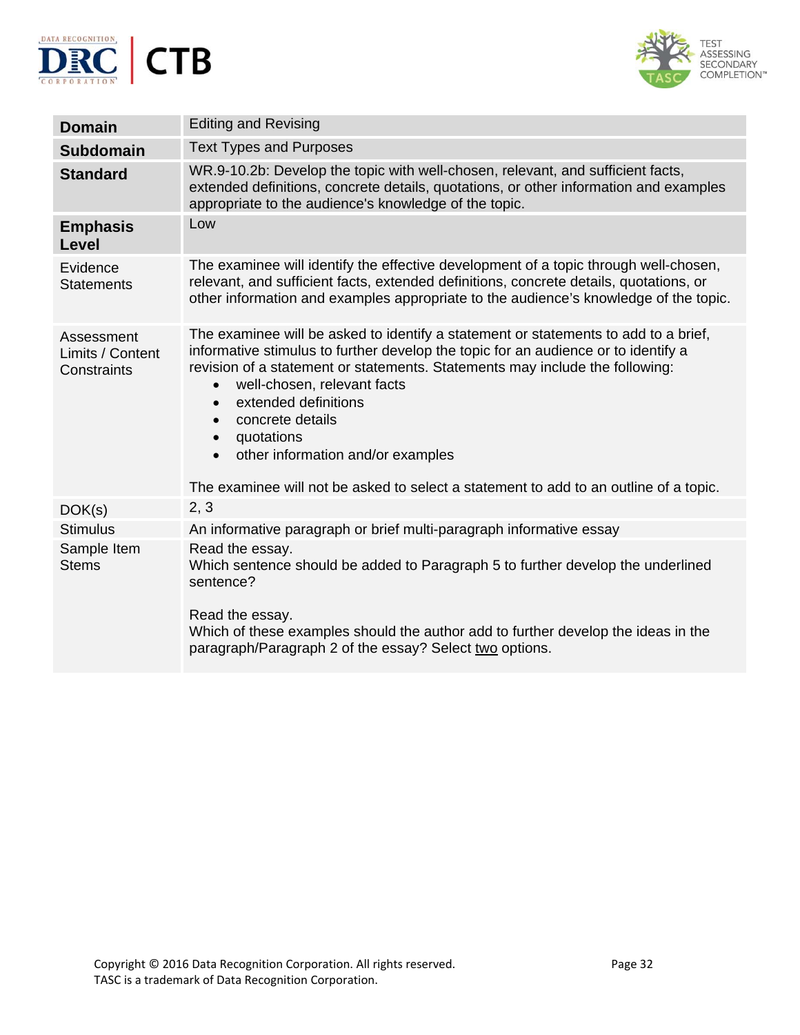



| <b>Domain</b>                                 | <b>Editing and Revising</b>                                                                                                                                                                                                                                                                                                                                                                                                                                                                                                                       |
|-----------------------------------------------|---------------------------------------------------------------------------------------------------------------------------------------------------------------------------------------------------------------------------------------------------------------------------------------------------------------------------------------------------------------------------------------------------------------------------------------------------------------------------------------------------------------------------------------------------|
| <b>Subdomain</b>                              | <b>Text Types and Purposes</b>                                                                                                                                                                                                                                                                                                                                                                                                                                                                                                                    |
| <b>Standard</b>                               | WR.9-10.2b: Develop the topic with well-chosen, relevant, and sufficient facts,<br>extended definitions, concrete details, quotations, or other information and examples<br>appropriate to the audience's knowledge of the topic.                                                                                                                                                                                                                                                                                                                 |
| <b>Emphasis</b><br>Level                      | Low                                                                                                                                                                                                                                                                                                                                                                                                                                                                                                                                               |
| Evidence<br><b>Statements</b>                 | The examinee will identify the effective development of a topic through well-chosen,<br>relevant, and sufficient facts, extended definitions, concrete details, quotations, or<br>other information and examples appropriate to the audience's knowledge of the topic.                                                                                                                                                                                                                                                                            |
| Assessment<br>Limits / Content<br>Constraints | The examinee will be asked to identify a statement or statements to add to a brief,<br>informative stimulus to further develop the topic for an audience or to identify a<br>revision of a statement or statements. Statements may include the following:<br>well-chosen, relevant facts<br>$\bullet$<br>extended definitions<br>$\bullet$<br>concrete details<br>$\bullet$<br>quotations<br>$\bullet$<br>other information and/or examples<br>$\bullet$<br>The examinee will not be asked to select a statement to add to an outline of a topic. |
| DOK(s)                                        | 2, 3                                                                                                                                                                                                                                                                                                                                                                                                                                                                                                                                              |
| <b>Stimulus</b>                               | An informative paragraph or brief multi-paragraph informative essay                                                                                                                                                                                                                                                                                                                                                                                                                                                                               |
| Sample Item<br><b>Stems</b>                   | Read the essay.<br>Which sentence should be added to Paragraph 5 to further develop the underlined<br>sentence?<br>Read the essay.<br>Which of these examples should the author add to further develop the ideas in the<br>paragraph/Paragraph 2 of the essay? Select two options.                                                                                                                                                                                                                                                                |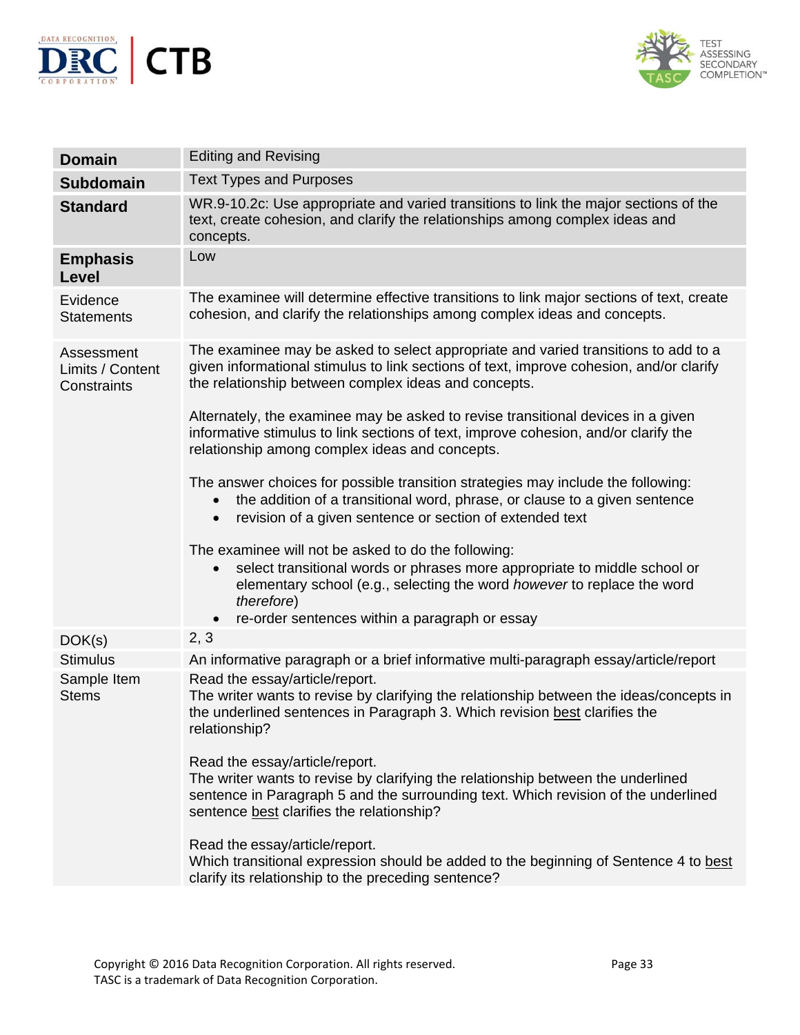



| <b>Domain</b>                                 | <b>Editing and Revising</b>                                                                                                                                                                                                                                                                           |
|-----------------------------------------------|-------------------------------------------------------------------------------------------------------------------------------------------------------------------------------------------------------------------------------------------------------------------------------------------------------|
| <b>Subdomain</b>                              | <b>Text Types and Purposes</b>                                                                                                                                                                                                                                                                        |
| <b>Standard</b>                               | WR.9-10.2c: Use appropriate and varied transitions to link the major sections of the<br>text, create cohesion, and clarify the relationships among complex ideas and<br>concepts.                                                                                                                     |
| <b>Emphasis</b><br>Level                      | Low                                                                                                                                                                                                                                                                                                   |
| Evidence<br><b>Statements</b>                 | The examinee will determine effective transitions to link major sections of text, create<br>cohesion, and clarify the relationships among complex ideas and concepts.                                                                                                                                 |
| Assessment<br>Limits / Content<br>Constraints | The examinee may be asked to select appropriate and varied transitions to add to a<br>given informational stimulus to link sections of text, improve cohesion, and/or clarify<br>the relationship between complex ideas and concepts.                                                                 |
|                                               | Alternately, the examinee may be asked to revise transitional devices in a given<br>informative stimulus to link sections of text, improve cohesion, and/or clarify the<br>relationship among complex ideas and concepts.                                                                             |
|                                               | The answer choices for possible transition strategies may include the following:<br>the addition of a transitional word, phrase, or clause to a given sentence<br>$\bullet$<br>revision of a given sentence or section of extended text<br>$\bullet$                                                  |
|                                               | The examinee will not be asked to do the following:<br>select transitional words or phrases more appropriate to middle school or<br>$\bullet$<br>elementary school (e.g., selecting the word however to replace the word<br>therefore)<br>re-order sentences within a paragraph or essay<br>$\bullet$ |
| DOK(s)                                        | 2, 3                                                                                                                                                                                                                                                                                                  |
| <b>Stimulus</b>                               | An informative paragraph or a brief informative multi-paragraph essay/article/report                                                                                                                                                                                                                  |
| Sample Item<br><b>Stems</b>                   | Read the essay/article/report.<br>The writer wants to revise by clarifying the relationship between the ideas/concepts in<br>the underlined sentences in Paragraph 3. Which revision best clarifies the<br>relationship?                                                                              |
|                                               | Read the essay/article/report.<br>The writer wants to revise by clarifying the relationship between the underlined<br>sentence in Paragraph 5 and the surrounding text. Which revision of the underlined<br>sentence best clarifies the relationship?                                                 |
|                                               | Read the essay/article/report.<br>Which transitional expression should be added to the beginning of Sentence 4 to best<br>clarify its relationship to the preceding sentence?                                                                                                                         |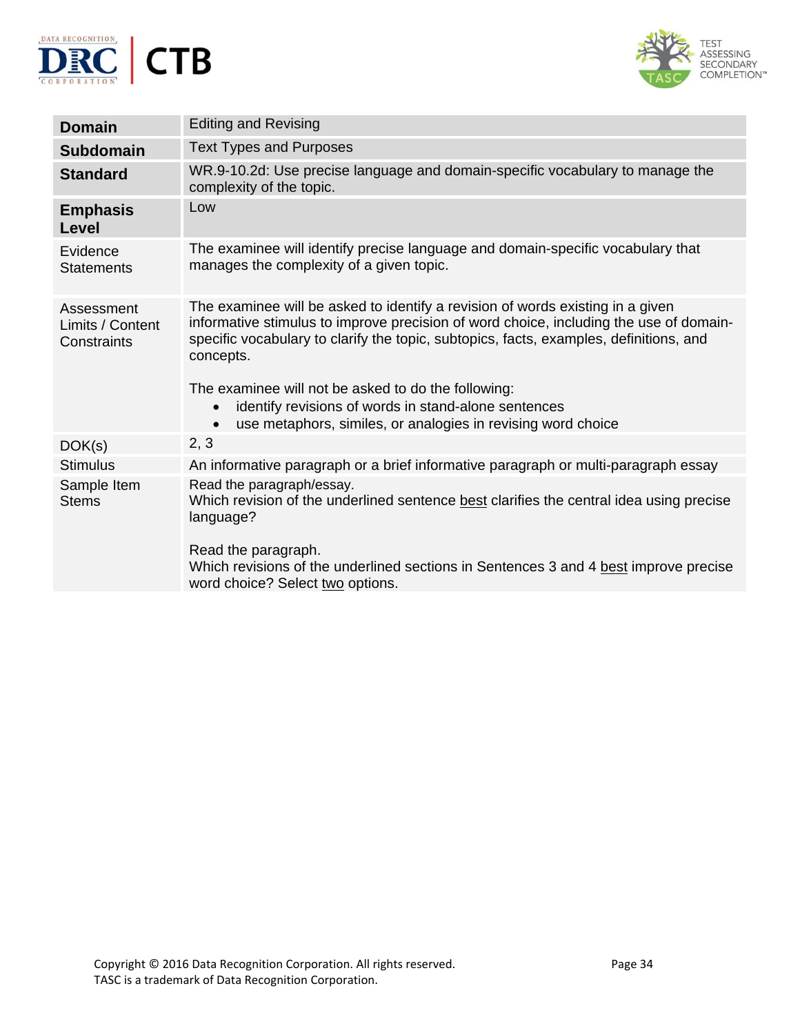



| <b>Domain</b>                                 | <b>Editing and Revising</b>                                                                                                                                                                                                                                                                                                                                                                                                                                                              |
|-----------------------------------------------|------------------------------------------------------------------------------------------------------------------------------------------------------------------------------------------------------------------------------------------------------------------------------------------------------------------------------------------------------------------------------------------------------------------------------------------------------------------------------------------|
| <b>Subdomain</b>                              | <b>Text Types and Purposes</b>                                                                                                                                                                                                                                                                                                                                                                                                                                                           |
| <b>Standard</b>                               | WR.9-10.2d: Use precise language and domain-specific vocabulary to manage the<br>complexity of the topic.                                                                                                                                                                                                                                                                                                                                                                                |
| <b>Emphasis</b><br><b>Level</b>               | Low                                                                                                                                                                                                                                                                                                                                                                                                                                                                                      |
| Evidence<br><b>Statements</b>                 | The examinee will identify precise language and domain-specific vocabulary that<br>manages the complexity of a given topic.                                                                                                                                                                                                                                                                                                                                                              |
| Assessment<br>Limits / Content<br>Constraints | The examinee will be asked to identify a revision of words existing in a given<br>informative stimulus to improve precision of word choice, including the use of domain-<br>specific vocabulary to clarify the topic, subtopics, facts, examples, definitions, and<br>concepts.<br>The examinee will not be asked to do the following:<br>identify revisions of words in stand-alone sentences<br>$\bullet$<br>use metaphors, similes, or analogies in revising word choice<br>$\bullet$ |
| DOK(s)                                        | 2, 3                                                                                                                                                                                                                                                                                                                                                                                                                                                                                     |
| <b>Stimulus</b>                               | An informative paragraph or a brief informative paragraph or multi-paragraph essay                                                                                                                                                                                                                                                                                                                                                                                                       |
| Sample Item<br><b>Stems</b>                   | Read the paragraph/essay.<br>Which revision of the underlined sentence best clarifies the central idea using precise<br>language?<br>Read the paragraph.<br>Which revisions of the underlined sections in Sentences 3 and 4 best improve precise<br>word choice? Select two options.                                                                                                                                                                                                     |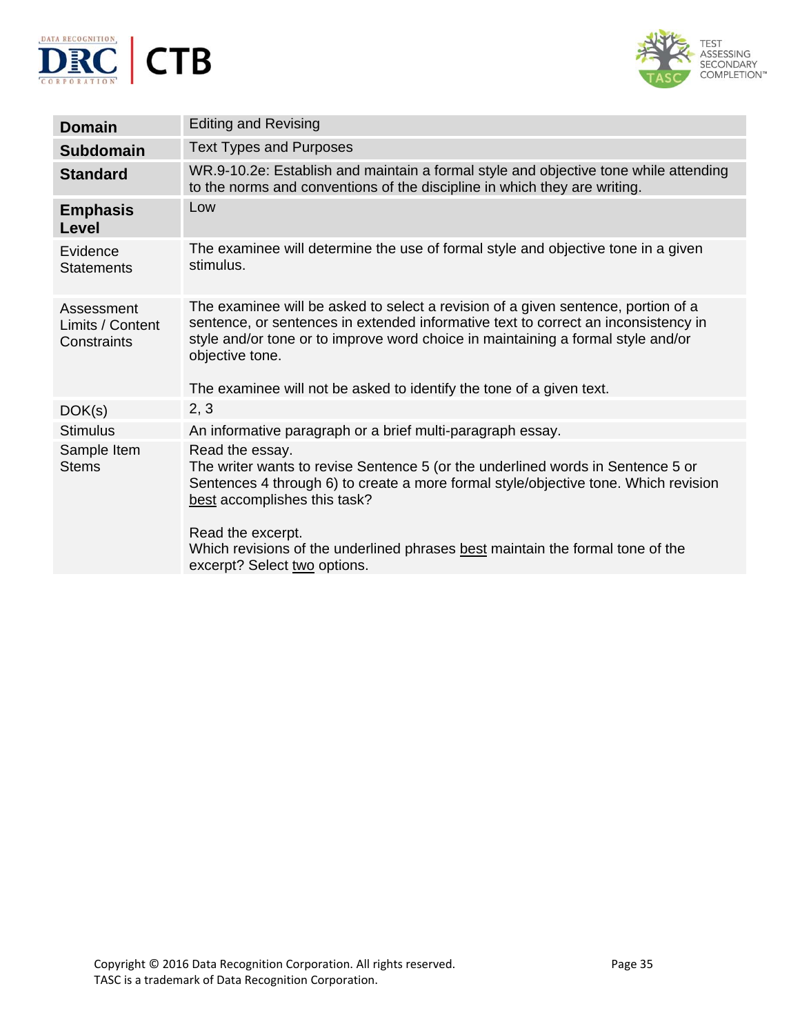



| <b>Domain</b>                                 | <b>Editing and Revising</b>                                                                                                                                                                                                                                                                                                                                      |
|-----------------------------------------------|------------------------------------------------------------------------------------------------------------------------------------------------------------------------------------------------------------------------------------------------------------------------------------------------------------------------------------------------------------------|
| <b>Subdomain</b>                              | <b>Text Types and Purposes</b>                                                                                                                                                                                                                                                                                                                                   |
| <b>Standard</b>                               | WR.9-10.2e: Establish and maintain a formal style and objective tone while attending<br>to the norms and conventions of the discipline in which they are writing.                                                                                                                                                                                                |
| <b>Emphasis</b><br>Level                      | Low                                                                                                                                                                                                                                                                                                                                                              |
| Evidence<br><b>Statements</b>                 | The examinee will determine the use of formal style and objective tone in a given<br>stimulus.                                                                                                                                                                                                                                                                   |
| Assessment<br>Limits / Content<br>Constraints | The examinee will be asked to select a revision of a given sentence, portion of a<br>sentence, or sentences in extended informative text to correct an inconsistency in<br>style and/or tone or to improve word choice in maintaining a formal style and/or<br>objective tone.<br>The examinee will not be asked to identify the tone of a given text.           |
| DOK(s)                                        | 2, 3                                                                                                                                                                                                                                                                                                                                                             |
| <b>Stimulus</b>                               | An informative paragraph or a brief multi-paragraph essay.                                                                                                                                                                                                                                                                                                       |
| Sample Item<br><b>Stems</b>                   | Read the essay.<br>The writer wants to revise Sentence 5 (or the underlined words in Sentence 5 or<br>Sentences 4 through 6) to create a more formal style/objective tone. Which revision<br>best accomplishes this task?<br>Read the excerpt.<br>Which revisions of the underlined phrases best maintain the formal tone of the<br>excerpt? Select two options. |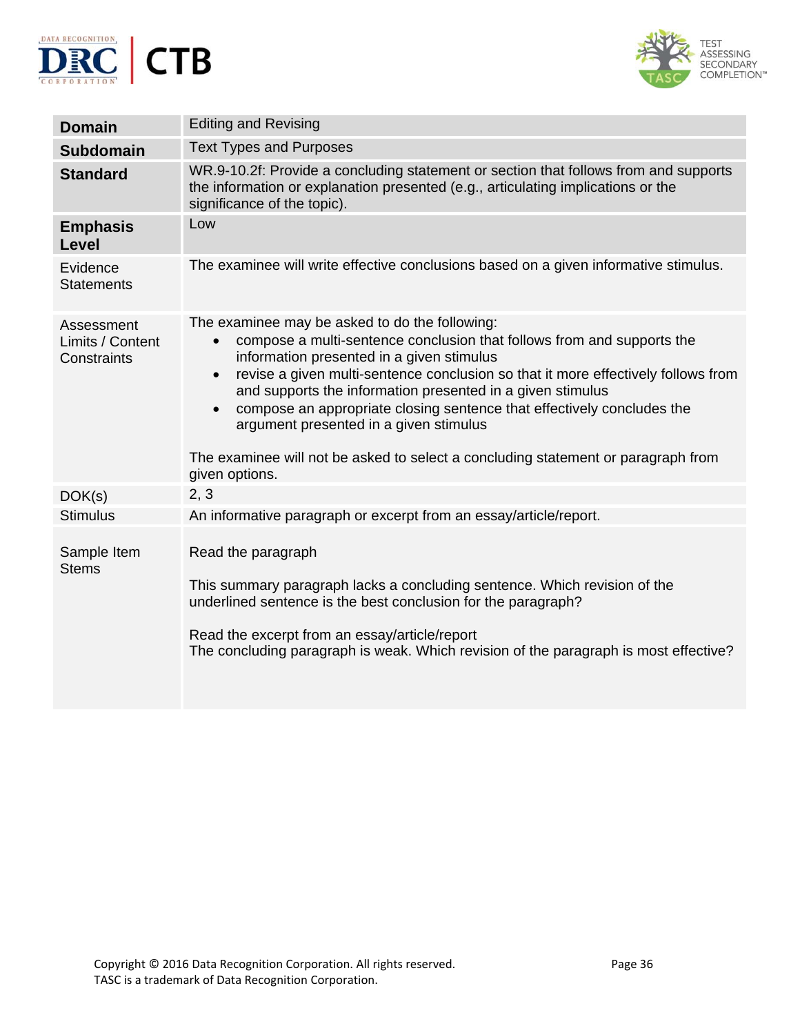



| <b>Domain</b>                                 | <b>Editing and Revising</b>                                                                                                                                                                                                                                                                                                                                                                                                                                                                                                                                                                |
|-----------------------------------------------|--------------------------------------------------------------------------------------------------------------------------------------------------------------------------------------------------------------------------------------------------------------------------------------------------------------------------------------------------------------------------------------------------------------------------------------------------------------------------------------------------------------------------------------------------------------------------------------------|
| <b>Subdomain</b>                              | <b>Text Types and Purposes</b>                                                                                                                                                                                                                                                                                                                                                                                                                                                                                                                                                             |
| <b>Standard</b>                               | WR.9-10.2f: Provide a concluding statement or section that follows from and supports<br>the information or explanation presented (e.g., articulating implications or the<br>significance of the topic).                                                                                                                                                                                                                                                                                                                                                                                    |
| <b>Emphasis</b><br>Level                      | Low                                                                                                                                                                                                                                                                                                                                                                                                                                                                                                                                                                                        |
| Evidence<br><b>Statements</b>                 | The examinee will write effective conclusions based on a given informative stimulus.                                                                                                                                                                                                                                                                                                                                                                                                                                                                                                       |
| Assessment<br>Limits / Content<br>Constraints | The examinee may be asked to do the following:<br>compose a multi-sentence conclusion that follows from and supports the<br>$\bullet$<br>information presented in a given stimulus<br>revise a given multi-sentence conclusion so that it more effectively follows from<br>$\bullet$<br>and supports the information presented in a given stimulus<br>compose an appropriate closing sentence that effectively concludes the<br>$\bullet$<br>argument presented in a given stimulus<br>The examinee will not be asked to select a concluding statement or paragraph from<br>given options. |
| DOK(s)                                        | 2, 3                                                                                                                                                                                                                                                                                                                                                                                                                                                                                                                                                                                       |
| <b>Stimulus</b>                               | An informative paragraph or excerpt from an essay/article/report.                                                                                                                                                                                                                                                                                                                                                                                                                                                                                                                          |
| Sample Item<br><b>Stems</b>                   | Read the paragraph<br>This summary paragraph lacks a concluding sentence. Which revision of the<br>underlined sentence is the best conclusion for the paragraph?<br>Read the excerpt from an essay/article/report<br>The concluding paragraph is weak. Which revision of the paragraph is most effective?                                                                                                                                                                                                                                                                                  |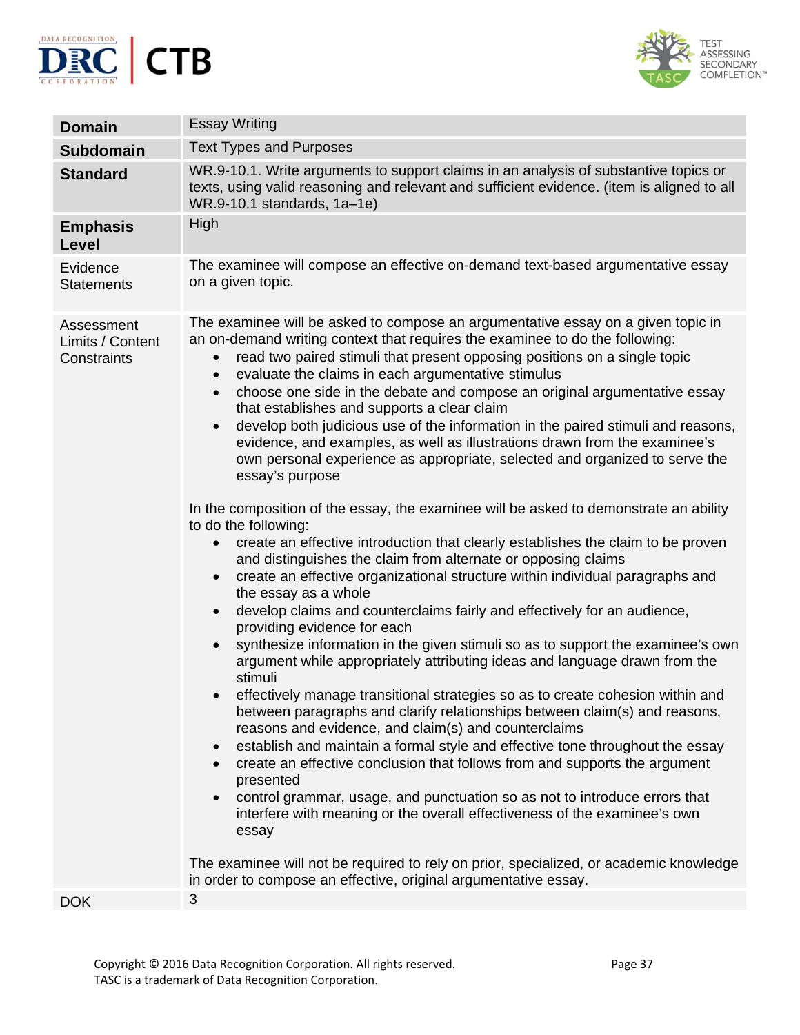



| <b>Essay Writing</b>                                                                                                                                                                                                                                                                                                                                                                                                                                                                                                                                                                                                                                                                                                                                                                                                                                                                                                                                                                                                                                                                                                                                                                                                                                                                                                                                                                                                                                                                                                                                                                                                                                                                                                                                                                                                                                                                                                                                                                                                                                                                                                                                                                                                                |
|-------------------------------------------------------------------------------------------------------------------------------------------------------------------------------------------------------------------------------------------------------------------------------------------------------------------------------------------------------------------------------------------------------------------------------------------------------------------------------------------------------------------------------------------------------------------------------------------------------------------------------------------------------------------------------------------------------------------------------------------------------------------------------------------------------------------------------------------------------------------------------------------------------------------------------------------------------------------------------------------------------------------------------------------------------------------------------------------------------------------------------------------------------------------------------------------------------------------------------------------------------------------------------------------------------------------------------------------------------------------------------------------------------------------------------------------------------------------------------------------------------------------------------------------------------------------------------------------------------------------------------------------------------------------------------------------------------------------------------------------------------------------------------------------------------------------------------------------------------------------------------------------------------------------------------------------------------------------------------------------------------------------------------------------------------------------------------------------------------------------------------------------------------------------------------------------------------------------------------------|
| <b>Text Types and Purposes</b>                                                                                                                                                                                                                                                                                                                                                                                                                                                                                                                                                                                                                                                                                                                                                                                                                                                                                                                                                                                                                                                                                                                                                                                                                                                                                                                                                                                                                                                                                                                                                                                                                                                                                                                                                                                                                                                                                                                                                                                                                                                                                                                                                                                                      |
| WR.9-10.1. Write arguments to support claims in an analysis of substantive topics or<br>texts, using valid reasoning and relevant and sufficient evidence. (item is aligned to all<br>WR.9-10.1 standards, 1a-1e)                                                                                                                                                                                                                                                                                                                                                                                                                                                                                                                                                                                                                                                                                                                                                                                                                                                                                                                                                                                                                                                                                                                                                                                                                                                                                                                                                                                                                                                                                                                                                                                                                                                                                                                                                                                                                                                                                                                                                                                                                   |
| High                                                                                                                                                                                                                                                                                                                                                                                                                                                                                                                                                                                                                                                                                                                                                                                                                                                                                                                                                                                                                                                                                                                                                                                                                                                                                                                                                                                                                                                                                                                                                                                                                                                                                                                                                                                                                                                                                                                                                                                                                                                                                                                                                                                                                                |
| The examinee will compose an effective on-demand text-based argumentative essay<br>on a given topic.                                                                                                                                                                                                                                                                                                                                                                                                                                                                                                                                                                                                                                                                                                                                                                                                                                                                                                                                                                                                                                                                                                                                                                                                                                                                                                                                                                                                                                                                                                                                                                                                                                                                                                                                                                                                                                                                                                                                                                                                                                                                                                                                |
| The examinee will be asked to compose an argumentative essay on a given topic in<br>an on-demand writing context that requires the examinee to do the following:<br>read two paired stimuli that present opposing positions on a single topic<br>$\bullet$<br>evaluate the claims in each argumentative stimulus<br>$\bullet$<br>choose one side in the debate and compose an original argumentative essay<br>$\bullet$<br>that establishes and supports a clear claim<br>develop both judicious use of the information in the paired stimuli and reasons,<br>$\bullet$<br>evidence, and examples, as well as illustrations drawn from the examinee's<br>own personal experience as appropriate, selected and organized to serve the<br>essay's purpose<br>In the composition of the essay, the examinee will be asked to demonstrate an ability<br>to do the following:<br>create an effective introduction that clearly establishes the claim to be proven<br>and distinguishes the claim from alternate or opposing claims<br>create an effective organizational structure within individual paragraphs and<br>$\bullet$<br>the essay as a whole<br>develop claims and counterclaims fairly and effectively for an audience,<br>$\bullet$<br>providing evidence for each<br>synthesize information in the given stimuli so as to support the examinee's own<br>argument while appropriately attributing ideas and language drawn from the<br>stimuli<br>effectively manage transitional strategies so as to create cohesion within and<br>between paragraphs and clarify relationships between claim(s) and reasons,<br>reasons and evidence, and claim(s) and counterclaims<br>establish and maintain a formal style and effective tone throughout the essay<br>$\bullet$<br>create an effective conclusion that follows from and supports the argument<br>$\bullet$<br>presented<br>control grammar, usage, and punctuation so as not to introduce errors that<br>$\bullet$<br>interfere with meaning or the overall effectiveness of the examinee's own<br>essay<br>The examinee will not be required to rely on prior, specialized, or academic knowledge<br>in order to compose an effective, original argumentative essay. |
| 3                                                                                                                                                                                                                                                                                                                                                                                                                                                                                                                                                                                                                                                                                                                                                                                                                                                                                                                                                                                                                                                                                                                                                                                                                                                                                                                                                                                                                                                                                                                                                                                                                                                                                                                                                                                                                                                                                                                                                                                                                                                                                                                                                                                                                                   |
|                                                                                                                                                                                                                                                                                                                                                                                                                                                                                                                                                                                                                                                                                                                                                                                                                                                                                                                                                                                                                                                                                                                                                                                                                                                                                                                                                                                                                                                                                                                                                                                                                                                                                                                                                                                                                                                                                                                                                                                                                                                                                                                                                                                                                                     |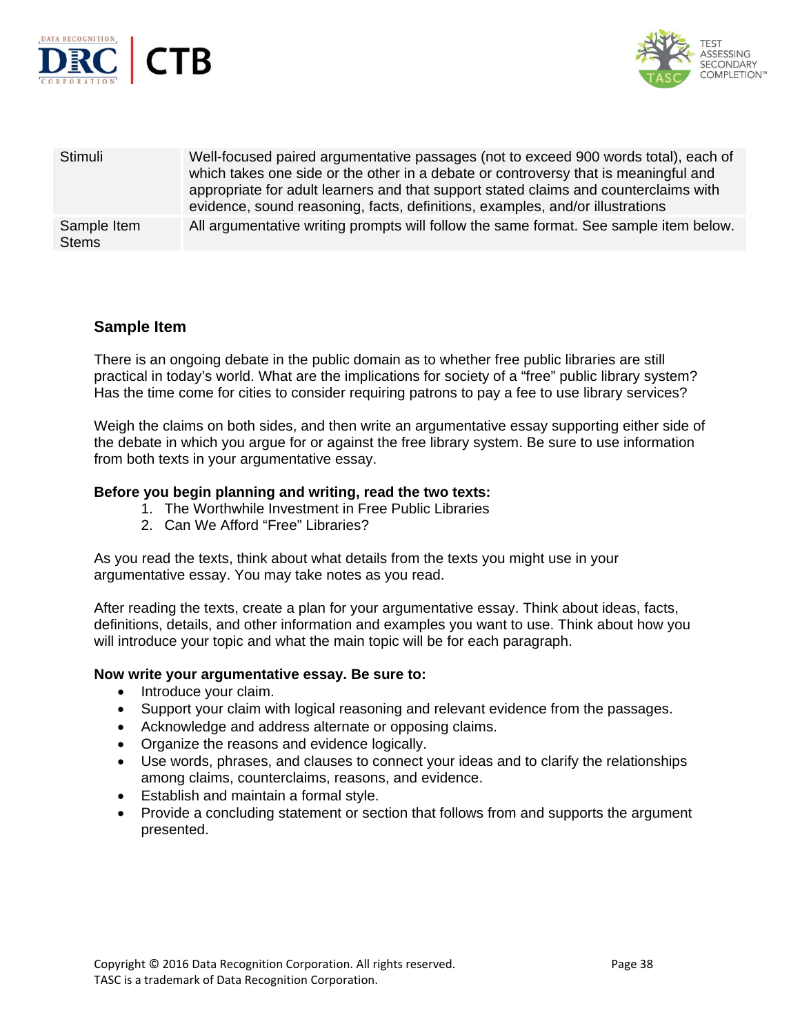



| Stimuli                     | Well-focused paired argumentative passages (not to exceed 900 words total), each of<br>which takes one side or the other in a debate or controversy that is meaningful and<br>appropriate for adult learners and that support stated claims and counterclaims with<br>evidence, sound reasoning, facts, definitions, examples, and/or illustrations |
|-----------------------------|-----------------------------------------------------------------------------------------------------------------------------------------------------------------------------------------------------------------------------------------------------------------------------------------------------------------------------------------------------|
| Sample Item<br><b>Stems</b> | All argumentative writing prompts will follow the same format. See sample item below.                                                                                                                                                                                                                                                               |

### **Sample Item**

There is an ongoing debate in the public domain as to whether free public libraries are still practical in today's world. What are the implications for society of a "free" public library system? Has the time come for cities to consider requiring patrons to pay a fee to use library services?

Weigh the claims on both sides, and then write an argumentative essay supporting either side of the debate in which you argue for or against the free library system. Be sure to use information from both texts in your argumentative essay.

#### **Before you begin planning and writing, read the two texts:**

- 1. The Worthwhile Investment in Free Public Libraries
- 2. Can We Afford "Free" Libraries?

As you read the texts, think about what details from the texts you might use in your argumentative essay. You may take notes as you read.

After reading the texts, create a plan for your argumentative essay. Think about ideas, facts, definitions, details, and other information and examples you want to use. Think about how you will introduce your topic and what the main topic will be for each paragraph.

#### **Now write your argumentative essay. Be sure to:**

- Introduce your claim.
- Support your claim with logical reasoning and relevant evidence from the passages.
- Acknowledge and address alternate or opposing claims.
- Organize the reasons and evidence logically.
- Use words, phrases, and clauses to connect your ideas and to clarify the relationships among claims, counterclaims, reasons, and evidence.
- Establish and maintain a formal style.
- Provide a concluding statement or section that follows from and supports the argument presented.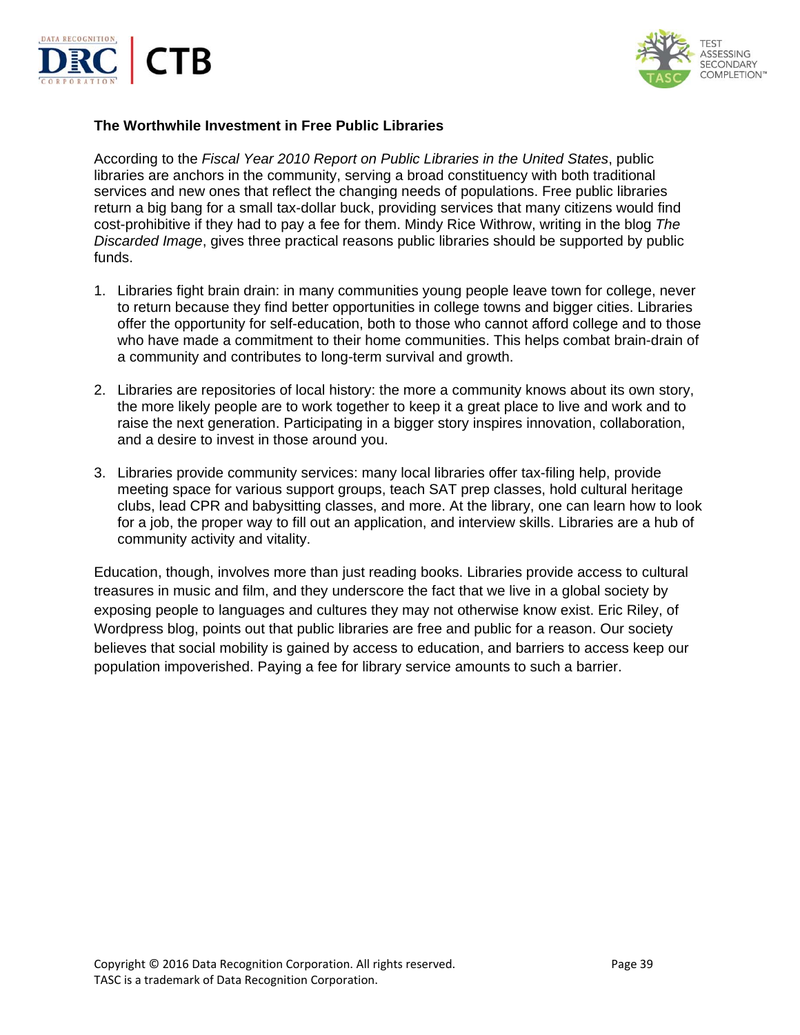



#### **The Worthwhile Investment in Free Public Libraries**

According to the *Fiscal Year 2010 Report on Public Libraries in the United States*, public libraries are anchors in the community, serving a broad constituency with both traditional services and new ones that reflect the changing needs of populations. Free public libraries return a big bang for a small tax-dollar buck, providing services that many citizens would find cost-prohibitive if they had to pay a fee for them. Mindy Rice Withrow, writing in the blog *The Discarded Image*, gives three practical reasons public libraries should be supported by public funds.

- 1. Libraries fight brain drain: in many communities young people leave town for college, never to return because they find better opportunities in college towns and bigger cities. Libraries offer the opportunity for self-education, both to those who cannot afford college and to those who have made a commitment to their home communities. This helps combat brain-drain of a community and contributes to long-term survival and growth.
- 2. Libraries are repositories of local history: the more a community knows about its own story, the more likely people are to work together to keep it a great place to live and work and to raise the next generation. Participating in a bigger story inspires innovation, collaboration, and a desire to invest in those around you.
- 3. Libraries provide community services: many local libraries offer tax-filing help, provide meeting space for various support groups, teach SAT prep classes, hold cultural heritage clubs, lead CPR and babysitting classes, and more. At the library, one can learn how to look for a job, the proper way to fill out an application, and interview skills. Libraries are a hub of community activity and vitality.

Education, though, involves more than just reading books. Libraries provide access to cultural treasures in music and film, and they underscore the fact that we live in a global society by exposing people to languages and cultures they may not otherwise know exist. Eric Riley, of Wordpress blog, points out that public libraries are free and public for a reason. Our society believes that social mobility is gained by access to education, and barriers to access keep our population impoverished. Paying a fee for library service amounts to such a barrier.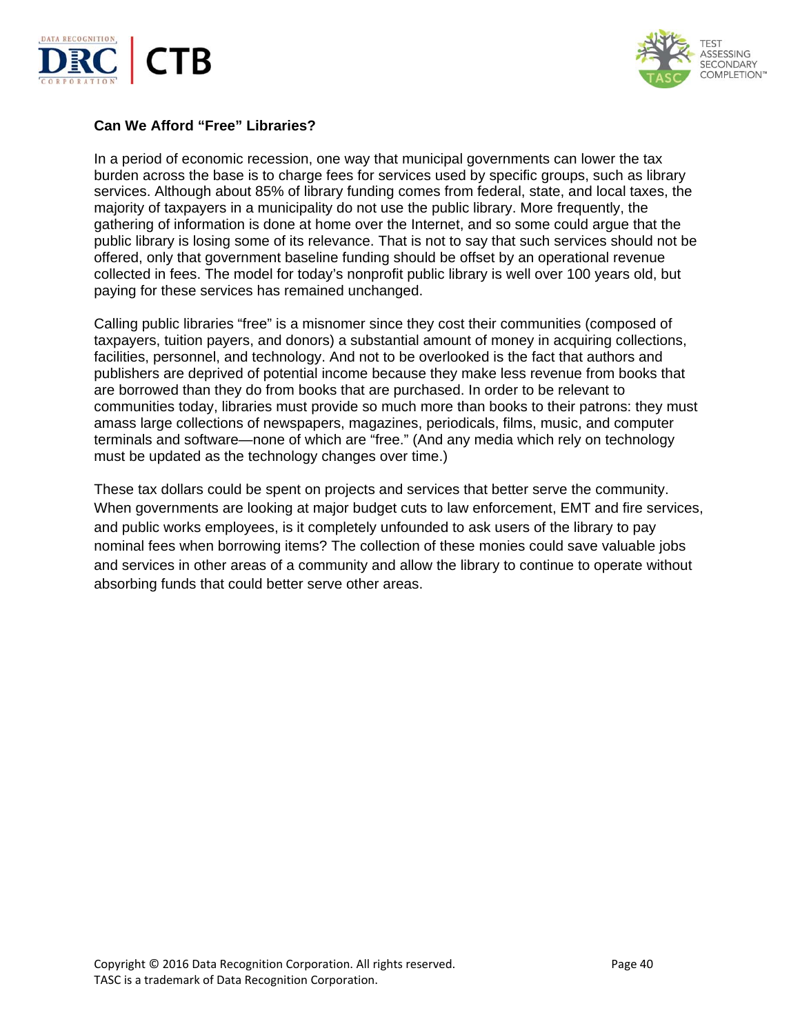



#### **Can We Afford "Free" Libraries?**

In a period of economic recession, one way that municipal governments can lower the tax burden across the base is to charge fees for services used by specific groups, such as library services. Although about 85% of library funding comes from federal, state, and local taxes, the majority of taxpayers in a municipality do not use the public library. More frequently, the gathering of information is done at home over the Internet, and so some could argue that the public library is losing some of its relevance. That is not to say that such services should not be offered, only that government baseline funding should be offset by an operational revenue collected in fees. The model for today's nonprofit public library is well over 100 years old, but paying for these services has remained unchanged.

Calling public libraries "free" is a misnomer since they cost their communities (composed of taxpayers, tuition payers, and donors) a substantial amount of money in acquiring collections, facilities, personnel, and technology. And not to be overlooked is the fact that authors and publishers are deprived of potential income because they make less revenue from books that are borrowed than they do from books that are purchased. In order to be relevant to communities today, libraries must provide so much more than books to their patrons: they must amass large collections of newspapers, magazines, periodicals, films, music, and computer terminals and software—none of which are "free." (And any media which rely on technology must be updated as the technology changes over time.)

These tax dollars could be spent on projects and services that better serve the community. When governments are looking at major budget cuts to law enforcement, EMT and fire services, and public works employees, is it completely unfounded to ask users of the library to pay nominal fees when borrowing items? The collection of these monies could save valuable jobs and services in other areas of a community and allow the library to continue to operate without absorbing funds that could better serve other areas.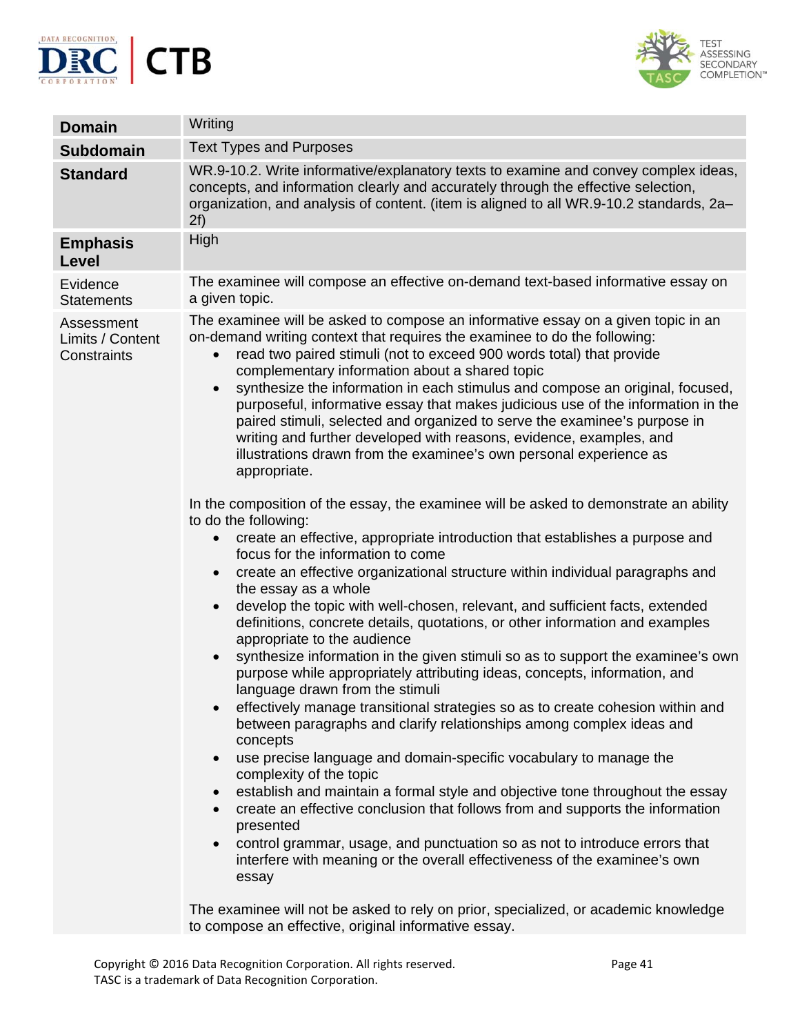



| <b>Domain</b>                                 | Writing                                                                                                                                                                                                                                                                                                                                                                                                                                                                                                                                                                                                                                                                                                                                                                                                                                                                                                                                                                                                                                                                                                                                                                                                                                                                                                                                                                                                                                                                                                                                                                                                                                                                                                                                                                                                                                                                                                                                                                                                                                                                                                                                                                                                                                                                                                     |
|-----------------------------------------------|-------------------------------------------------------------------------------------------------------------------------------------------------------------------------------------------------------------------------------------------------------------------------------------------------------------------------------------------------------------------------------------------------------------------------------------------------------------------------------------------------------------------------------------------------------------------------------------------------------------------------------------------------------------------------------------------------------------------------------------------------------------------------------------------------------------------------------------------------------------------------------------------------------------------------------------------------------------------------------------------------------------------------------------------------------------------------------------------------------------------------------------------------------------------------------------------------------------------------------------------------------------------------------------------------------------------------------------------------------------------------------------------------------------------------------------------------------------------------------------------------------------------------------------------------------------------------------------------------------------------------------------------------------------------------------------------------------------------------------------------------------------------------------------------------------------------------------------------------------------------------------------------------------------------------------------------------------------------------------------------------------------------------------------------------------------------------------------------------------------------------------------------------------------------------------------------------------------------------------------------------------------------------------------------------------------|
| <b>Subdomain</b>                              | <b>Text Types and Purposes</b>                                                                                                                                                                                                                                                                                                                                                                                                                                                                                                                                                                                                                                                                                                                                                                                                                                                                                                                                                                                                                                                                                                                                                                                                                                                                                                                                                                                                                                                                                                                                                                                                                                                                                                                                                                                                                                                                                                                                                                                                                                                                                                                                                                                                                                                                              |
| <b>Standard</b>                               | WR.9-10.2. Write informative/explanatory texts to examine and convey complex ideas,<br>concepts, and information clearly and accurately through the effective selection,<br>organization, and analysis of content. (item is aligned to all WR.9-10.2 standards, 2a–<br>2f)                                                                                                                                                                                                                                                                                                                                                                                                                                                                                                                                                                                                                                                                                                                                                                                                                                                                                                                                                                                                                                                                                                                                                                                                                                                                                                                                                                                                                                                                                                                                                                                                                                                                                                                                                                                                                                                                                                                                                                                                                                  |
| <b>Emphasis</b><br><b>Level</b>               | High                                                                                                                                                                                                                                                                                                                                                                                                                                                                                                                                                                                                                                                                                                                                                                                                                                                                                                                                                                                                                                                                                                                                                                                                                                                                                                                                                                                                                                                                                                                                                                                                                                                                                                                                                                                                                                                                                                                                                                                                                                                                                                                                                                                                                                                                                                        |
| Evidence<br><b>Statements</b>                 | The examinee will compose an effective on-demand text-based informative essay on<br>a given topic.                                                                                                                                                                                                                                                                                                                                                                                                                                                                                                                                                                                                                                                                                                                                                                                                                                                                                                                                                                                                                                                                                                                                                                                                                                                                                                                                                                                                                                                                                                                                                                                                                                                                                                                                                                                                                                                                                                                                                                                                                                                                                                                                                                                                          |
| Assessment<br>Limits / Content<br>Constraints | The examinee will be asked to compose an informative essay on a given topic in an<br>on-demand writing context that requires the examinee to do the following:<br>read two paired stimuli (not to exceed 900 words total) that provide<br>$\bullet$<br>complementary information about a shared topic<br>synthesize the information in each stimulus and compose an original, focused,<br>$\bullet$<br>purposeful, informative essay that makes judicious use of the information in the<br>paired stimuli, selected and organized to serve the examinee's purpose in<br>writing and further developed with reasons, evidence, examples, and<br>illustrations drawn from the examinee's own personal experience as<br>appropriate.<br>In the composition of the essay, the examinee will be asked to demonstrate an ability<br>to do the following:<br>create an effective, appropriate introduction that establishes a purpose and<br>$\bullet$<br>focus for the information to come<br>create an effective organizational structure within individual paragraphs and<br>$\bullet$<br>the essay as a whole<br>develop the topic with well-chosen, relevant, and sufficient facts, extended<br>$\bullet$<br>definitions, concrete details, quotations, or other information and examples<br>appropriate to the audience<br>synthesize information in the given stimuli so as to support the examinee's own<br>$\bullet$<br>purpose while appropriately attributing ideas, concepts, information, and<br>language drawn from the stimuli<br>effectively manage transitional strategies so as to create cohesion within and<br>$\bullet$<br>between paragraphs and clarify relationships among complex ideas and<br>concepts<br>use precise language and domain-specific vocabulary to manage the<br>$\bullet$<br>complexity of the topic<br>establish and maintain a formal style and objective tone throughout the essay<br>$\bullet$<br>create an effective conclusion that follows from and supports the information<br>$\bullet$<br>presented<br>control grammar, usage, and punctuation so as not to introduce errors that<br>interfere with meaning or the overall effectiveness of the examinee's own<br>essay<br>The examines will not be asked to rely on prior, specialized, or assetomic knowledge |

The examinee will not be asked to rely on prior, specialized, or academic knowledge to compose an effective, original informative essay.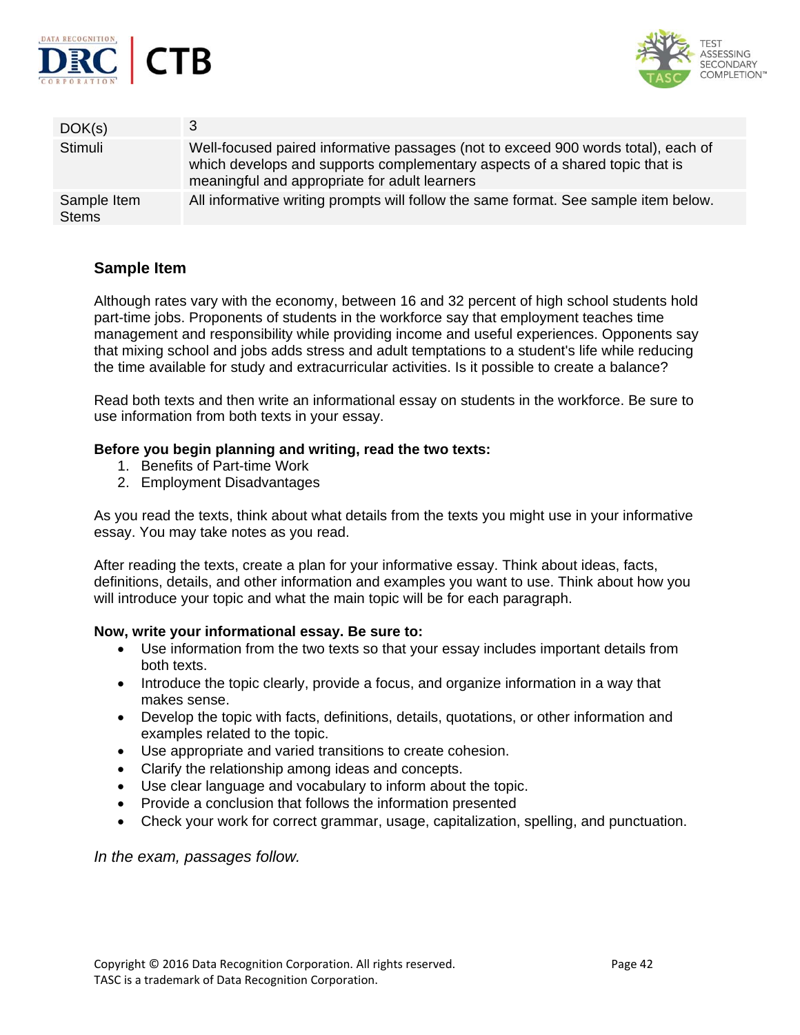



| DOK(s)                      |                                                                                                                                                                                                                   |
|-----------------------------|-------------------------------------------------------------------------------------------------------------------------------------------------------------------------------------------------------------------|
| Stimuli                     | Well-focused paired informative passages (not to exceed 900 words total), each of<br>which develops and supports complementary aspects of a shared topic that is<br>meaningful and appropriate for adult learners |
| Sample Item<br><b>Stems</b> | All informative writing prompts will follow the same format. See sample item below.                                                                                                                               |

### **Sample Item**

Although rates vary with the economy, between 16 and 32 percent of high school students hold part-time jobs. Proponents of students in the workforce say that employment teaches time management and responsibility while providing income and useful experiences. Opponents say that mixing school and jobs adds stress and adult temptations to a student's life while reducing the time available for study and extracurricular activities. Is it possible to create a balance?

Read both texts and then write an informational essay on students in the workforce. Be sure to use information from both texts in your essay.

#### **Before you begin planning and writing, read the two texts:**

- 1. Benefits of Part-time Work
- 2. Employment Disadvantages

As you read the texts, think about what details from the texts you might use in your informative essay. You may take notes as you read.

After reading the texts, create a plan for your informative essay. Think about ideas, facts, definitions, details, and other information and examples you want to use. Think about how you will introduce your topic and what the main topic will be for each paragraph.

#### **Now, write your informational essay. Be sure to:**

- Use information from the two texts so that your essay includes important details from both texts.
- Introduce the topic clearly, provide a focus, and organize information in a way that makes sense.
- Develop the topic with facts, definitions, details, quotations, or other information and examples related to the topic.
- Use appropriate and varied transitions to create cohesion.
- Clarify the relationship among ideas and concepts.
- Use clear language and vocabulary to inform about the topic.
- Provide a conclusion that follows the information presented
- Check your work for correct grammar, usage, capitalization, spelling, and punctuation.

*In the exam, passages follow.*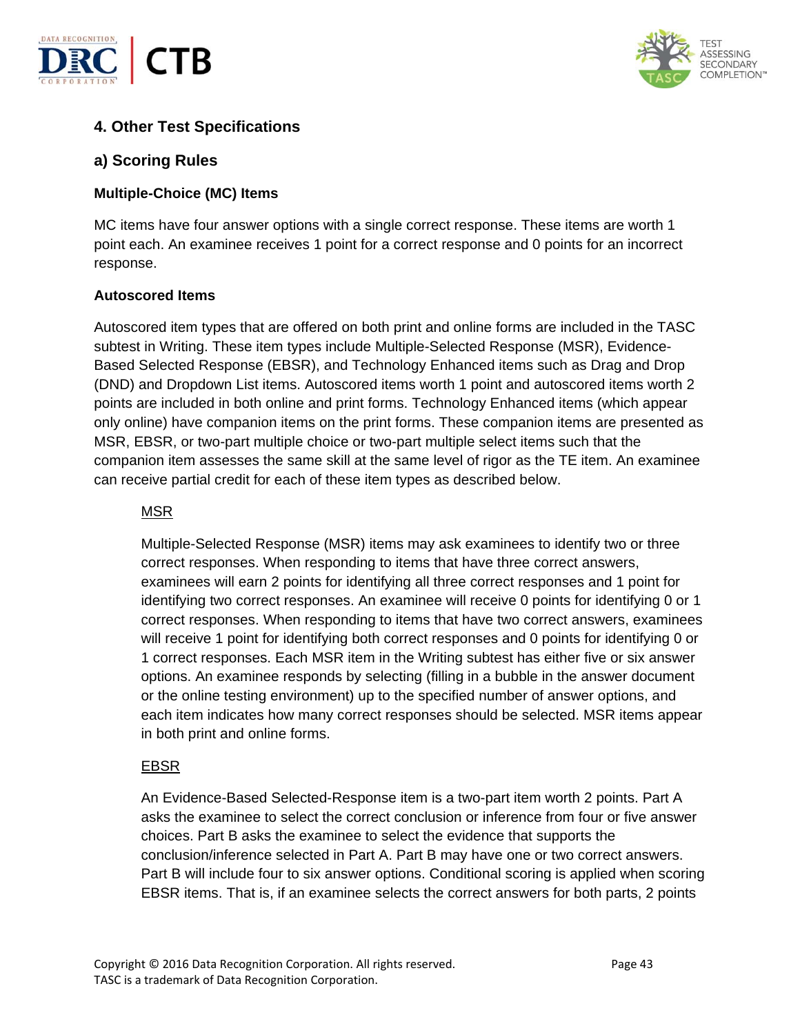



# **4. Other Test Specifications**

### **a) Scoring Rules**

### **Multiple-Choice (MC) Items**

MC items have four answer options with a single correct response. These items are worth 1 point each. An examinee receives 1 point for a correct response and 0 points for an incorrect response.

### **Autoscored Items**

Autoscored item types that are offered on both print and online forms are included in the TASC subtest in Writing. These item types include Multiple-Selected Response (MSR), Evidence-Based Selected Response (EBSR), and Technology Enhanced items such as Drag and Drop (DND) and Dropdown List items. Autoscored items worth 1 point and autoscored items worth 2 points are included in both online and print forms. Technology Enhanced items (which appear only online) have companion items on the print forms. These companion items are presented as MSR, EBSR, or two-part multiple choice or two-part multiple select items such that the companion item assesses the same skill at the same level of rigor as the TE item. An examinee can receive partial credit for each of these item types as described below.

#### MSR

Multiple-Selected Response (MSR) items may ask examinees to identify two or three correct responses. When responding to items that have three correct answers, examinees will earn 2 points for identifying all three correct responses and 1 point for identifying two correct responses. An examinee will receive 0 points for identifying 0 or 1 correct responses. When responding to items that have two correct answers, examinees will receive 1 point for identifying both correct responses and 0 points for identifying 0 or 1 correct responses. Each MSR item in the Writing subtest has either five or six answer options. An examinee responds by selecting (filling in a bubble in the answer document or the online testing environment) up to the specified number of answer options, and each item indicates how many correct responses should be selected. MSR items appear in both print and online forms.

### EBSR

An Evidence-Based Selected-Response item is a two-part item worth 2 points. Part A asks the examinee to select the correct conclusion or inference from four or five answer choices. Part B asks the examinee to select the evidence that supports the conclusion/inference selected in Part A. Part B may have one or two correct answers. Part B will include four to six answer options. Conditional scoring is applied when scoring EBSR items. That is, if an examinee selects the correct answers for both parts, 2 points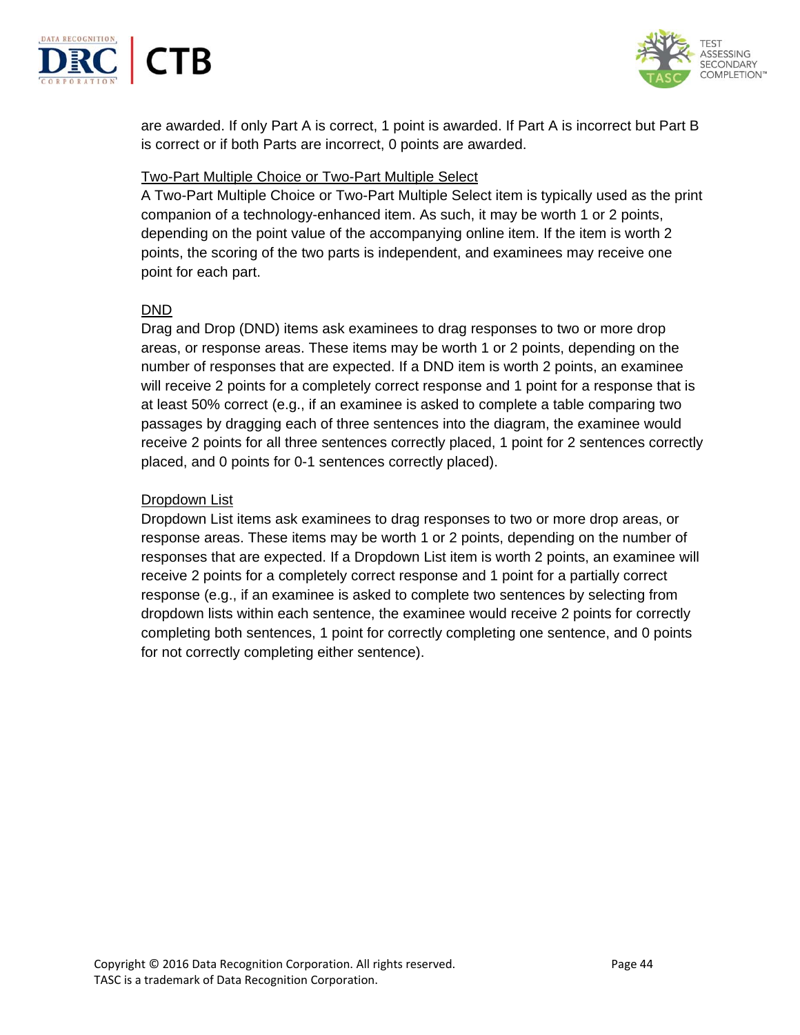



are awarded. If only Part A is correct, 1 point is awarded. If Part A is incorrect but Part B is correct or if both Parts are incorrect, 0 points are awarded.

### Two-Part Multiple Choice or Two-Part Multiple Select

A Two-Part Multiple Choice or Two-Part Multiple Select item is typically used as the print companion of a technology-enhanced item. As such, it may be worth 1 or 2 points, depending on the point value of the accompanying online item. If the item is worth 2 points, the scoring of the two parts is independent, and examinees may receive one point for each part.

#### DND

Drag and Drop (DND) items ask examinees to drag responses to two or more drop areas, or response areas. These items may be worth 1 or 2 points, depending on the number of responses that are expected. If a DND item is worth 2 points, an examinee will receive 2 points for a completely correct response and 1 point for a response that is at least 50% correct (e.g., if an examinee is asked to complete a table comparing two passages by dragging each of three sentences into the diagram, the examinee would receive 2 points for all three sentences correctly placed, 1 point for 2 sentences correctly placed, and 0 points for 0-1 sentences correctly placed).

### Dropdown List

Dropdown List items ask examinees to drag responses to two or more drop areas, or response areas. These items may be worth 1 or 2 points, depending on the number of responses that are expected. If a Dropdown List item is worth 2 points, an examinee will receive 2 points for a completely correct response and 1 point for a partially correct response (e.g., if an examinee is asked to complete two sentences by selecting from dropdown lists within each sentence, the examinee would receive 2 points for correctly completing both sentences, 1 point for correctly completing one sentence, and 0 points for not correctly completing either sentence).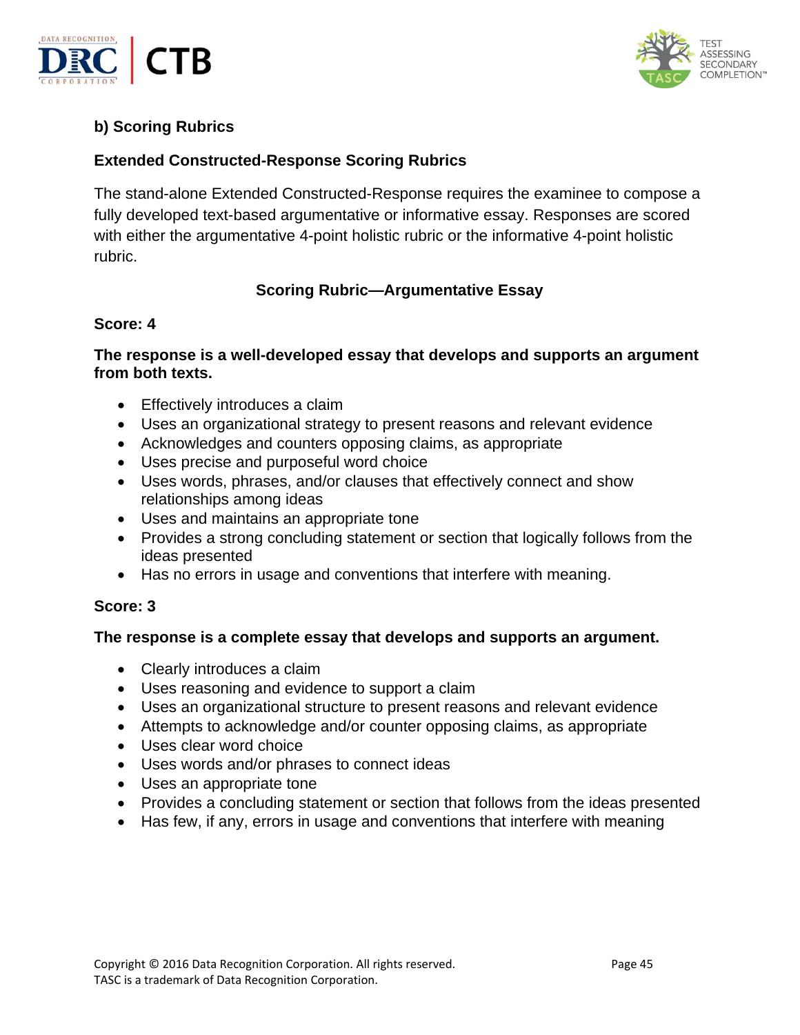



# **b) Scoring Rubrics**

# **Extended Constructed-Response Scoring Rubrics**

The stand-alone Extended Constructed-Response requires the examinee to compose a fully developed text-based argumentative or informative essay. Responses are scored with either the argumentative 4-point holistic rubric or the informative 4-point holistic rubric.

# **Scoring Rubric—Argumentative Essay**

### **Score: 4**

# **The response is a well-developed essay that develops and supports an argument from both texts.**

- Effectively introduces a claim
- Uses an organizational strategy to present reasons and relevant evidence
- Acknowledges and counters opposing claims, as appropriate
- Uses precise and purposeful word choice
- Uses words, phrases, and/or clauses that effectively connect and show relationships among ideas
- Uses and maintains an appropriate tone
- Provides a strong concluding statement or section that logically follows from the ideas presented
- Has no errors in usage and conventions that interfere with meaning.

### **Score: 3**

### **The response is a complete essay that develops and supports an argument.**

- Clearly introduces a claim
- Uses reasoning and evidence to support a claim
- Uses an organizational structure to present reasons and relevant evidence
- Attempts to acknowledge and/or counter opposing claims, as appropriate
- Uses clear word choice
- Uses words and/or phrases to connect ideas
- Uses an appropriate tone
- Provides a concluding statement or section that follows from the ideas presented
- Has few, if any, errors in usage and conventions that interfere with meaning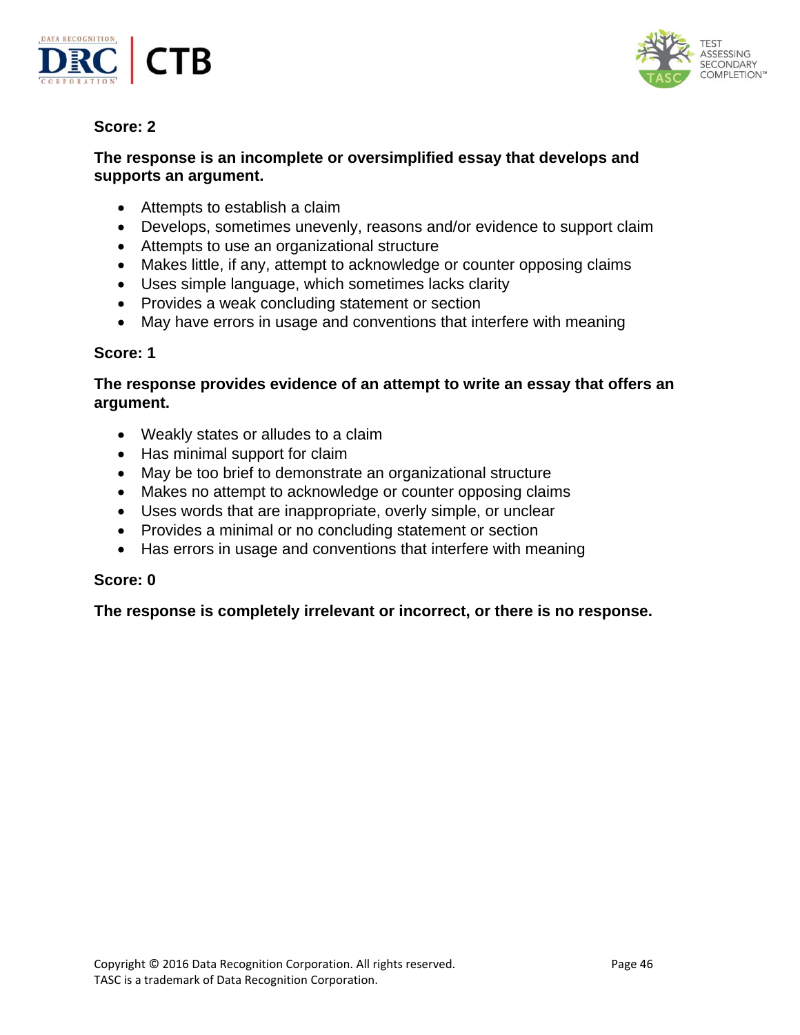



# **Score: 2**

# **The response is an incomplete or oversimplified essay that develops and supports an argument.**

- Attempts to establish a claim
- Develops, sometimes unevenly, reasons and/or evidence to support claim
- Attempts to use an organizational structure
- Makes little, if any, attempt to acknowledge or counter opposing claims
- Uses simple language, which sometimes lacks clarity
- Provides a weak concluding statement or section
- May have errors in usage and conventions that interfere with meaning

# **Score: 1**

# **The response provides evidence of an attempt to write an essay that offers an argument.**

- Weakly states or alludes to a claim
- Has minimal support for claim
- May be too brief to demonstrate an organizational structure
- Makes no attempt to acknowledge or counter opposing claims
- Uses words that are inappropriate, overly simple, or unclear
- Provides a minimal or no concluding statement or section
- Has errors in usage and conventions that interfere with meaning

# **Score: 0**

**The response is completely irrelevant or incorrect, or there is no response.**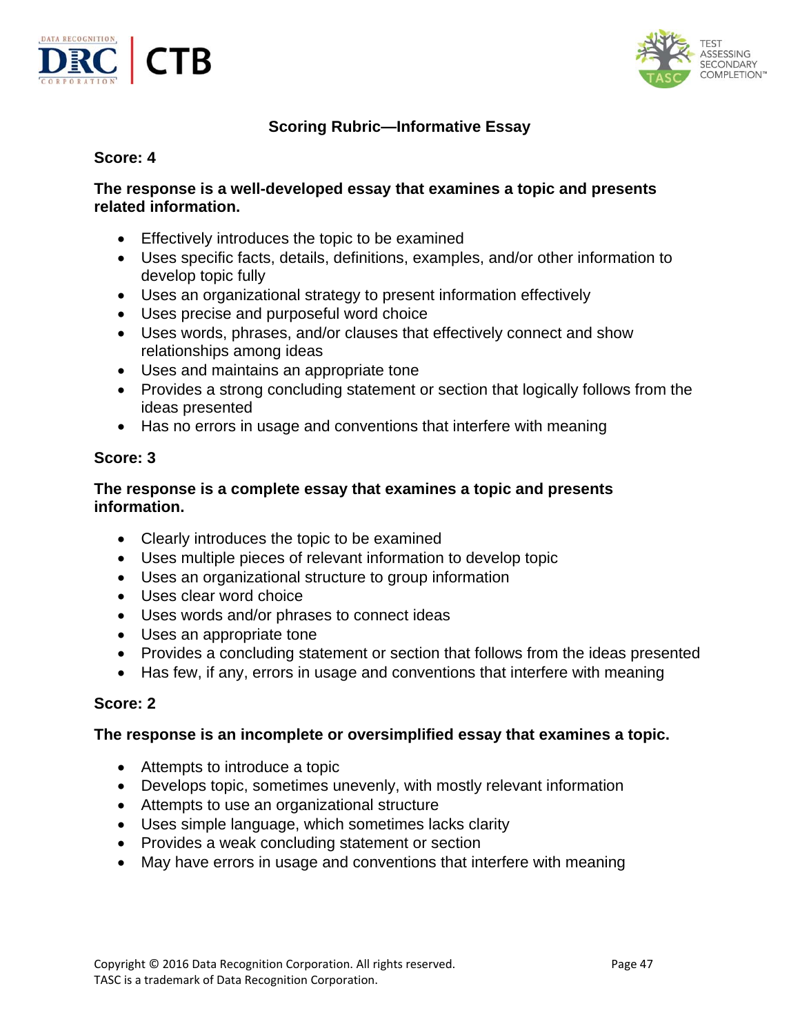



# **Scoring Rubric—Informative Essay**

# **Score: 4**

### **The response is a well-developed essay that examines a topic and presents related information.**

- Effectively introduces the topic to be examined
- Uses specific facts, details, definitions, examples, and/or other information to develop topic fully
- Uses an organizational strategy to present information effectively
- Uses precise and purposeful word choice
- Uses words, phrases, and/or clauses that effectively connect and show relationships among ideas
- Uses and maintains an appropriate tone
- Provides a strong concluding statement or section that logically follows from the ideas presented
- Has no errors in usage and conventions that interfere with meaning

# **Score: 3**

# **The response is a complete essay that examines a topic and presents information.**

- Clearly introduces the topic to be examined
- Uses multiple pieces of relevant information to develop topic
- Uses an organizational structure to group information
- Uses clear word choice
- Uses words and/or phrases to connect ideas
- Uses an appropriate tone
- Provides a concluding statement or section that follows from the ideas presented
- Has few, if any, errors in usage and conventions that interfere with meaning

# **Score: 2**

# **The response is an incomplete or oversimplified essay that examines a topic.**

- Attempts to introduce a topic
- Develops topic, sometimes unevenly, with mostly relevant information
- Attempts to use an organizational structure
- Uses simple language, which sometimes lacks clarity
- Provides a weak concluding statement or section
- May have errors in usage and conventions that interfere with meaning